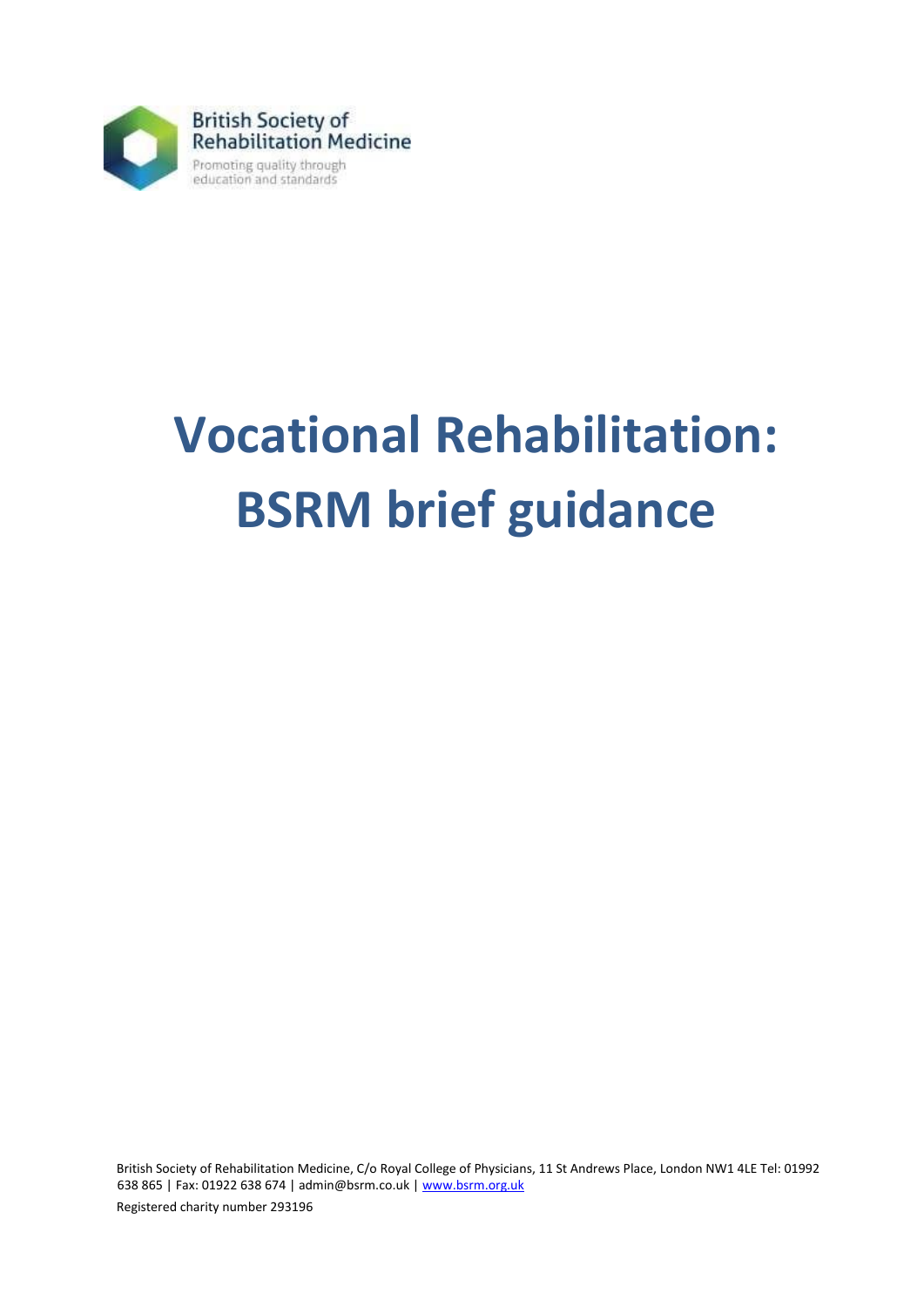

# **Vocational Rehabilitation: BSRM brief guidance**

British Society of Rehabilitation Medicine, C/o Royal College of Physicians, 11 St Andrews Place, London NW1 4LE Tel: 01992 638 865 | Fax: 01922 638 674 | admin@bsrm.co.uk [| www.bsrm.org.uk](http://www.bsrm.org.uk/)

Registered charity number 293196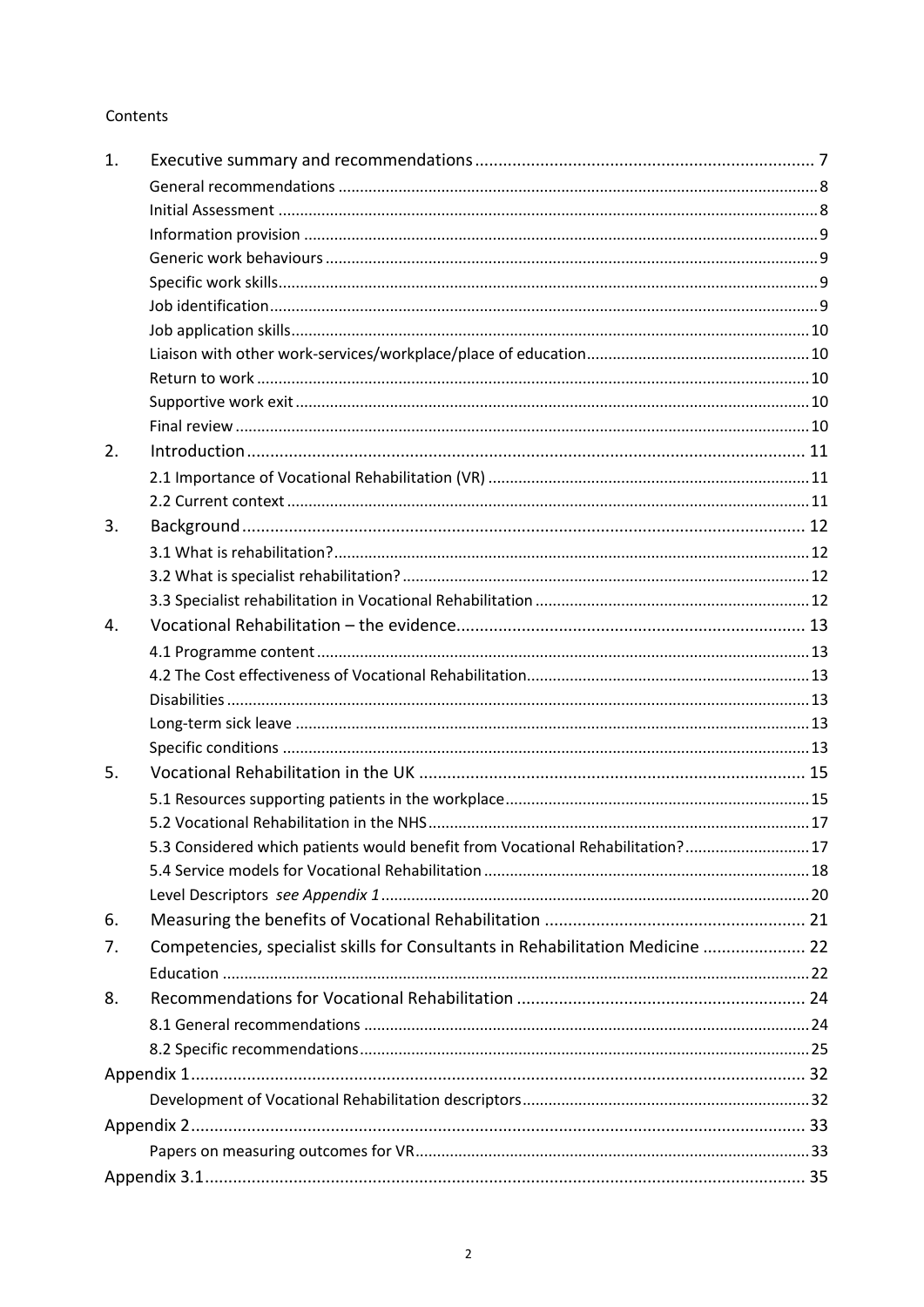#### Contents

| $\mathbf{1}$ . |                                                                                |  |
|----------------|--------------------------------------------------------------------------------|--|
|                |                                                                                |  |
|                |                                                                                |  |
|                |                                                                                |  |
|                |                                                                                |  |
|                |                                                                                |  |
|                |                                                                                |  |
|                |                                                                                |  |
|                |                                                                                |  |
|                |                                                                                |  |
|                |                                                                                |  |
|                |                                                                                |  |
| 2.             |                                                                                |  |
|                |                                                                                |  |
|                |                                                                                |  |
| 3.             |                                                                                |  |
|                |                                                                                |  |
|                |                                                                                |  |
|                |                                                                                |  |
| 4.             |                                                                                |  |
|                |                                                                                |  |
|                |                                                                                |  |
|                |                                                                                |  |
|                |                                                                                |  |
|                |                                                                                |  |
| 5.             |                                                                                |  |
|                |                                                                                |  |
|                |                                                                                |  |
|                | 5.3 Considered which patients would benefit from Vocational Rehabilitation? 17 |  |
|                |                                                                                |  |
|                |                                                                                |  |
| 6.             |                                                                                |  |
| 7.             | Competencies, specialist skills for Consultants in Rehabilitation Medicine  22 |  |
|                |                                                                                |  |
| 8.             |                                                                                |  |
|                |                                                                                |  |
|                |                                                                                |  |
|                |                                                                                |  |
|                |                                                                                |  |
|                |                                                                                |  |
|                |                                                                                |  |
|                |                                                                                |  |
|                |                                                                                |  |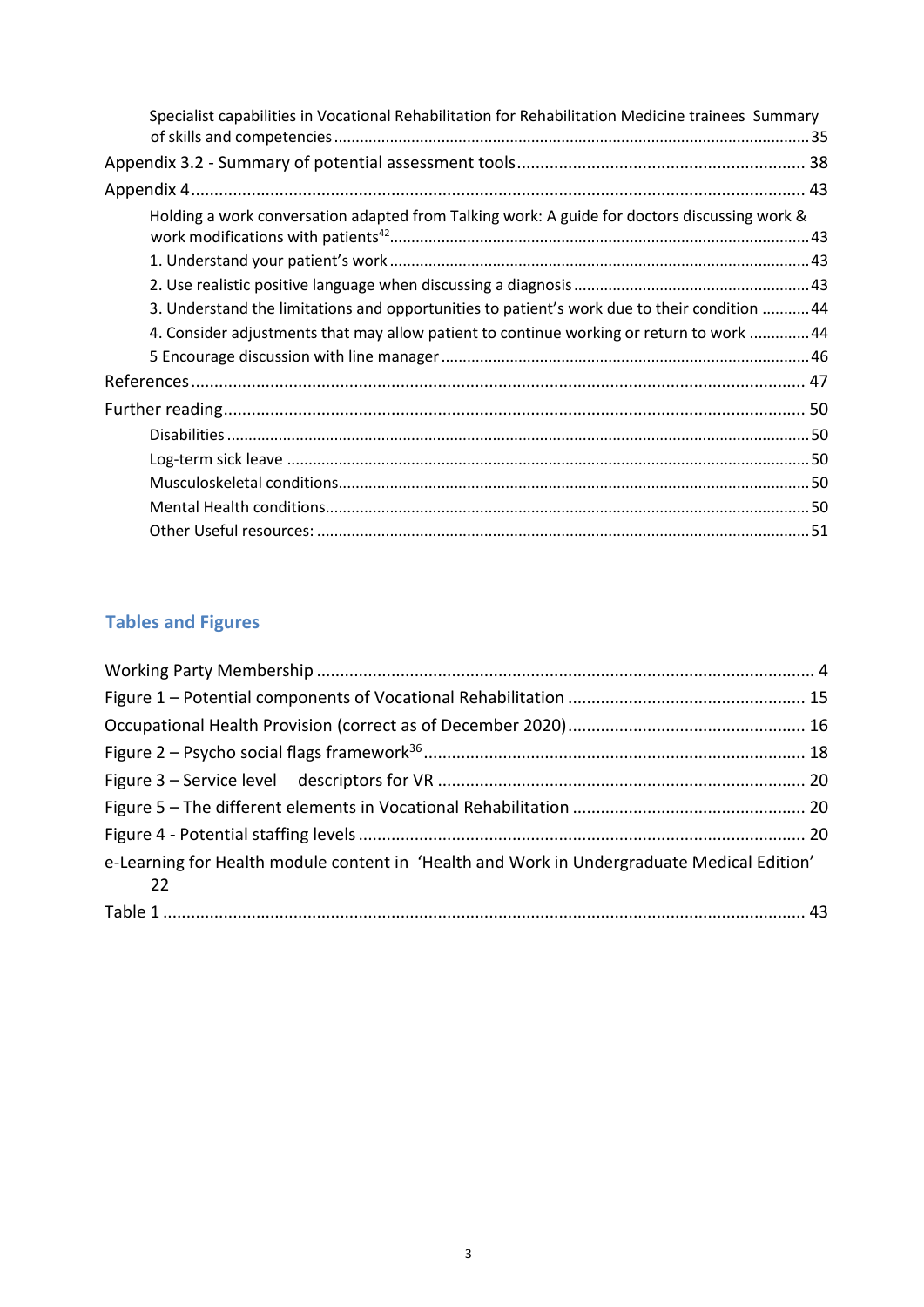| Specialist capabilities in Vocational Rehabilitation for Rehabilitation Medicine trainees Summary |  |
|---------------------------------------------------------------------------------------------------|--|
|                                                                                                   |  |
|                                                                                                   |  |
| Holding a work conversation adapted from Talking work: A guide for doctors discussing work &      |  |
|                                                                                                   |  |
|                                                                                                   |  |
| 3. Understand the limitations and opportunities to patient's work due to their condition  44      |  |
| 4. Consider adjustments that may allow patient to continue working or return to work  44          |  |
|                                                                                                   |  |
|                                                                                                   |  |
|                                                                                                   |  |
|                                                                                                   |  |
|                                                                                                   |  |
|                                                                                                   |  |
|                                                                                                   |  |
|                                                                                                   |  |

# **Tables and Figures**

| e-Learning for Health module content in 'Health and Work in Undergraduate Medical Edition'<br>$\overline{\phantom{2}}$ 22 |  |
|---------------------------------------------------------------------------------------------------------------------------|--|
|                                                                                                                           |  |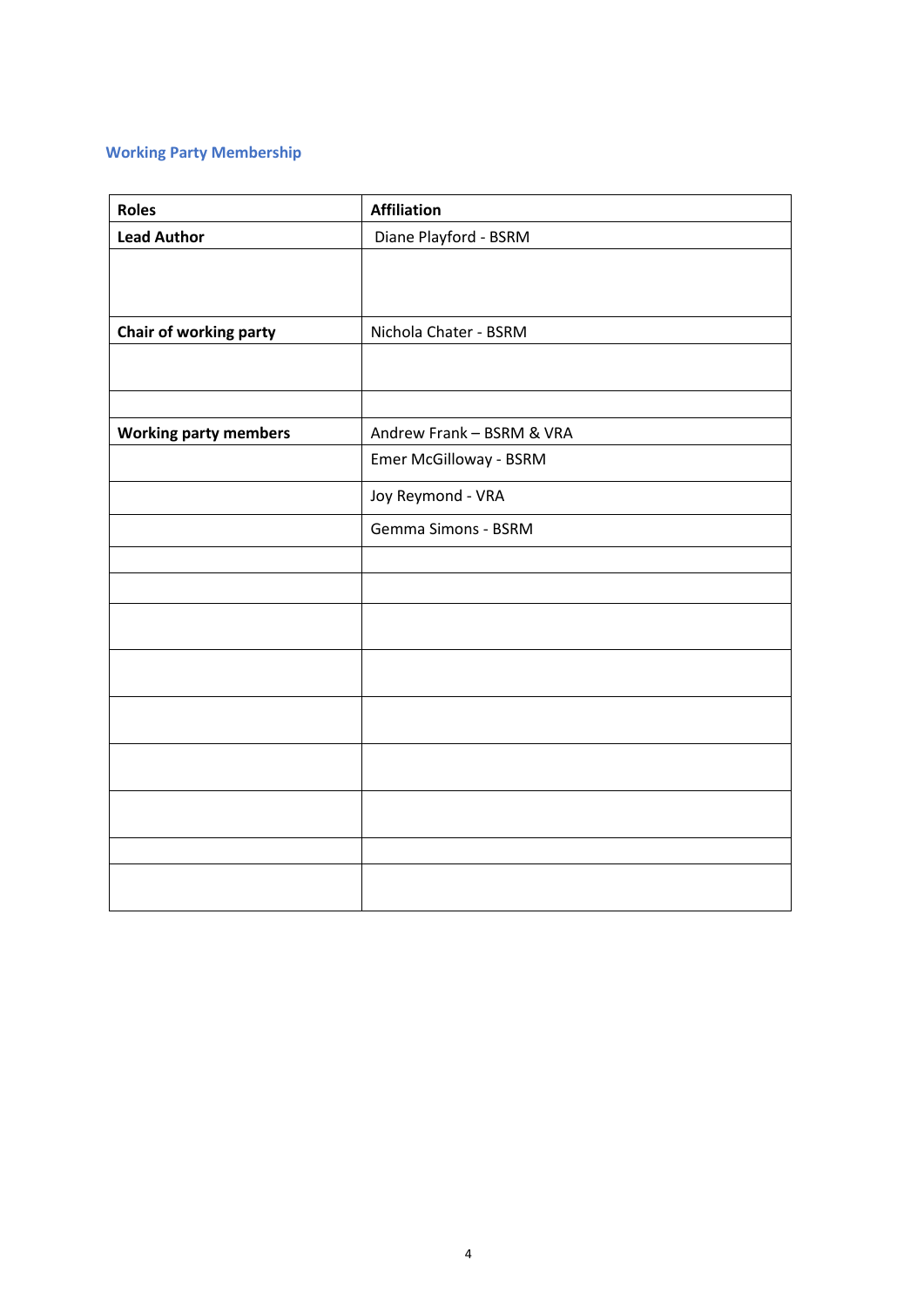### <span id="page-3-0"></span>**Working Party Membership**

| <b>Roles</b>                 | <b>Affiliation</b>        |  |
|------------------------------|---------------------------|--|
| <b>Lead Author</b>           | Diane Playford - BSRM     |  |
|                              |                           |  |
|                              |                           |  |
|                              | Nichola Chater - BSRM     |  |
| Chair of working party       |                           |  |
|                              |                           |  |
|                              |                           |  |
| <b>Working party members</b> | Andrew Frank - BSRM & VRA |  |
|                              | Emer McGilloway - BSRM    |  |
|                              | Joy Reymond - VRA         |  |
|                              | Gemma Simons - BSRM       |  |
|                              |                           |  |
|                              |                           |  |
|                              |                           |  |
|                              |                           |  |
|                              |                           |  |
|                              |                           |  |
|                              |                           |  |
|                              |                           |  |
|                              |                           |  |
|                              |                           |  |
|                              |                           |  |
|                              |                           |  |
|                              |                           |  |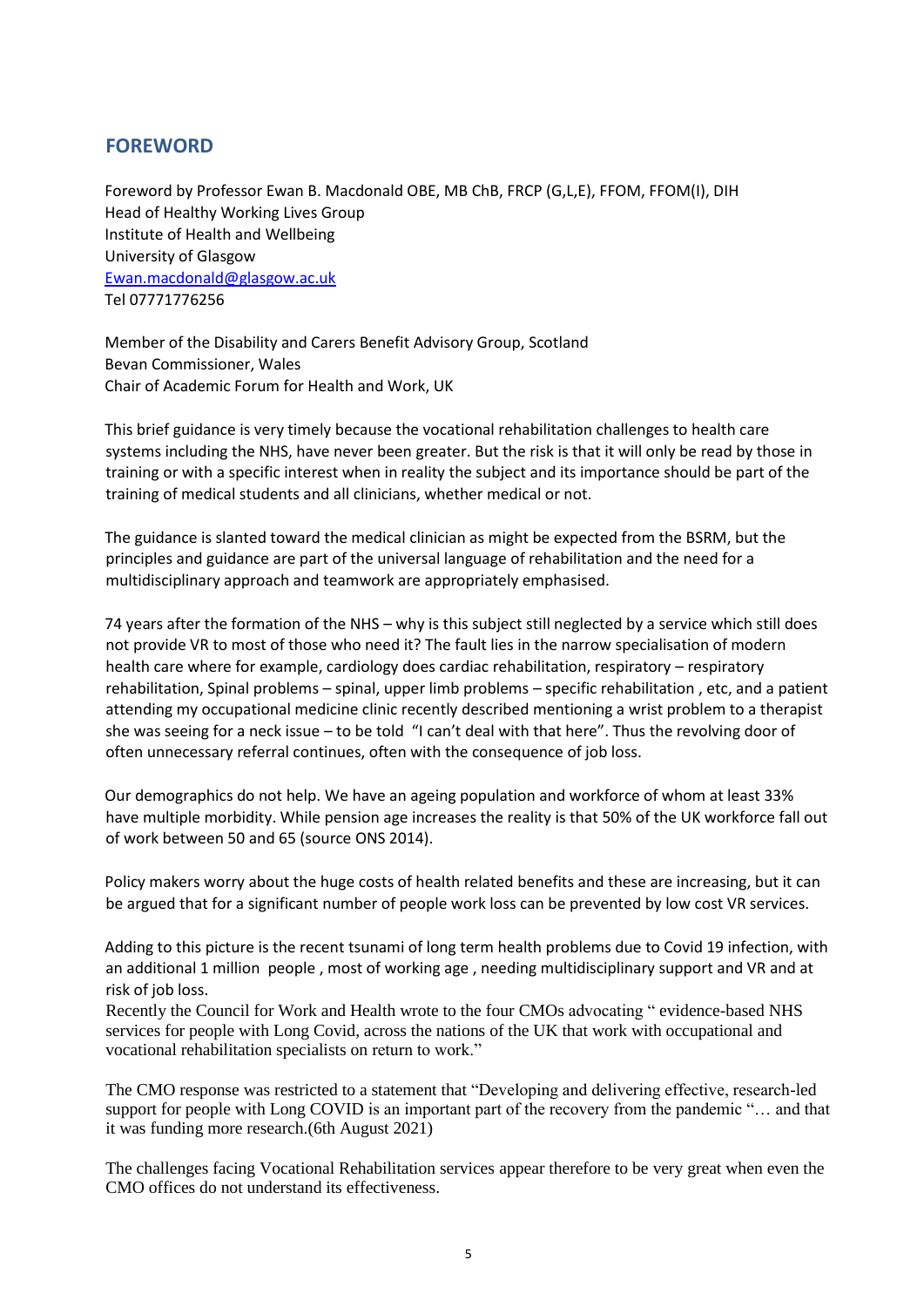#### **FOREWORD**

Foreword by Professor Ewan B. Macdonald OBE, MB ChB, FRCP (G,L,E), FFOM, FFOM(I), DIH Head of Healthy Working Lives Group Institute of Health and Wellbeing University of Glasgow [Ewan.macdonald@glasgow.ac.uk](mailto:Ewan.macdonald@glasgow.ac.uk) Tel 07771776256

Member of the Disability and Carers Benefit Advisory Group, Scotland Bevan Commissioner, Wales Chair of Academic Forum for Health and Work, UK

This brief guidance is very timely because the vocational rehabilitation challenges to health care systems including the NHS, have never been greater. But the risk is that it will only be read by those in training or with a specific interest when in reality the subject and its importance should be part of the training of medical students and all clinicians, whether medical or not.

The guidance is slanted toward the medical clinician as might be expected from the BSRM, but the principles and guidance are part of the universal language of rehabilitation and the need for a multidisciplinary approach and teamwork are appropriately emphasised.

74 years after the formation of the NHS – why is this subject still neglected by a service which still does not provide VR to most of those who need it? The fault lies in the narrow specialisation of modern health care where for example, cardiology does cardiac rehabilitation, respiratory – respiratory rehabilitation, Spinal problems – spinal, upper limb problems – specific rehabilitation , etc, and a patient attending my occupational medicine clinic recently described mentioning a wrist problem to a therapist she was seeing for a neck issue – to be told "I can't deal with that here". Thus the revolving door of often unnecessary referral continues, often with the consequence of job loss.

Our demographics do not help. We have an ageing population and workforce of whom at least 33% have multiple morbidity. While pension age increases the reality is that 50% of the UK workforce fall out of work between 50 and 65 (source ONS 2014).

Policy makers worry about the huge costs of health related benefits and these are increasing, but it can be argued that for a significant number of people work loss can be prevented by low cost VR services.

Adding to this picture is the recent tsunami of long term health problems due to Covid 19 infection, with an additional 1 million people , most of working age , needing multidisciplinary support and VR and at risk of job loss.

Recently the Council for Work and Health wrote to the four CMOs advocating " evidence-based NHS services for people with Long Covid, across the nations of the UK that work with occupational and vocational rehabilitation specialists on return to work."

The CMO response was restricted to a statement that "Developing and delivering effective, research-led support for people with Long COVID is an important part of the recovery from the pandemic "… and that it was funding more research.(6th August 2021)

The challenges facing Vocational Rehabilitation services appear therefore to be very great when even the CMO offices do not understand its effectiveness.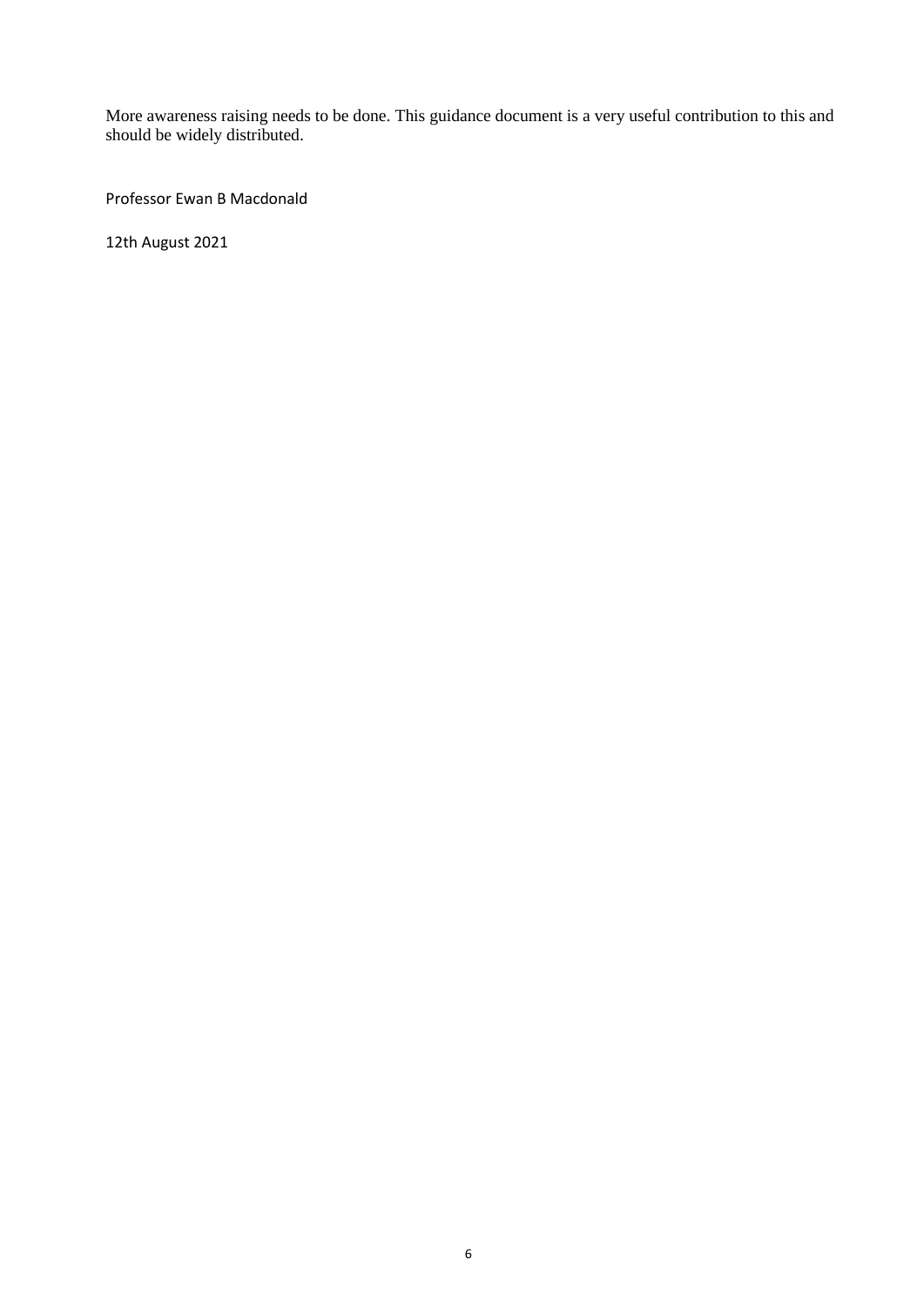More awareness raising needs to be done. This guidance document is a very useful contribution to this and should be widely distributed.

Professor Ewan B Macdonald

12th August 2021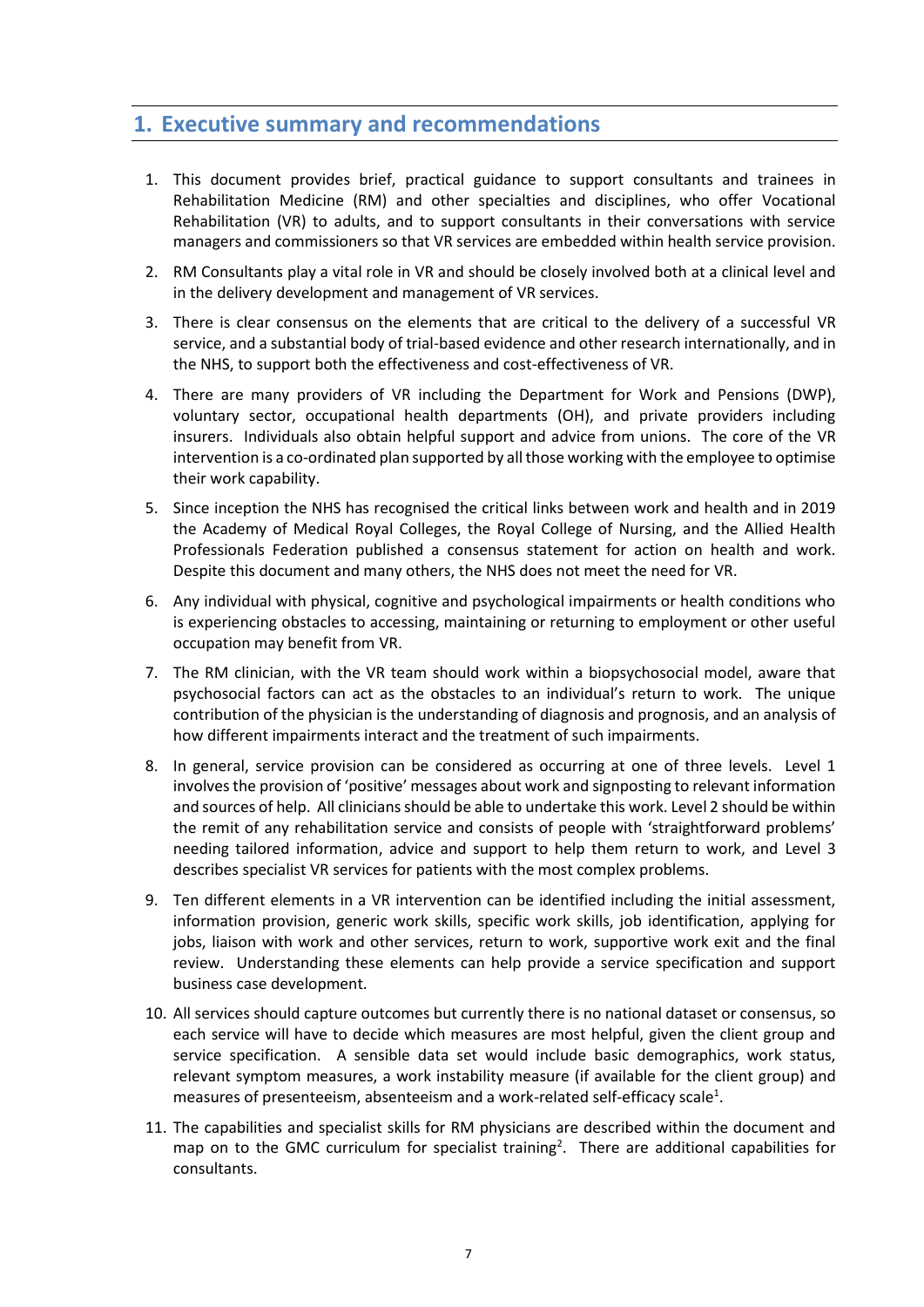## **1. Executive summary and recommendations**

- 1. This document provides brief, practical guidance to support consultants and trainees in Rehabilitation Medicine (RM) and other specialties and disciplines, who offer Vocational Rehabilitation (VR) to adults, and to support consultants in their conversations with service managers and commissioners so that VR services are embedded within health service provision.
- 2. RM Consultants play a vital role in VR and should be closely involved both at a clinical level and in the delivery development and management of VR services.
- 3. There is clear consensus on the elements that are critical to the delivery of a successful VR service, and a substantial body of trial-based evidence and other research internationally, and in the NHS, to support both the effectiveness and cost-effectiveness of VR.
- 4. There are many providers of VR including the Department for Work and Pensions (DWP), voluntary sector, occupational health departments (OH), and private providers including insurers. Individuals also obtain helpful support and advice from unions. The core of the VR intervention is a co-ordinated plan supported by all those working with the employee to optimise their work capability.
- 5. Since inception the NHS has recognised the critical links between work and health and in 2019 the Academy of Medical Royal Colleges, the Royal College of Nursing, and the Allied Health Professionals Federation published a consensus statement for action on health and work. Despite this document and many others, the NHS does not meet the need for VR.
- 6. Any individual with physical, cognitive and psychological impairments or health conditions who is experiencing obstacles to accessing, maintaining or returning to employment or other useful occupation may benefit from VR.
- 7. The RM clinician, with the VR team should work within a biopsychosocial model, aware that psychosocial factors can act as the obstacles to an individual's return to work. The unique contribution of the physician is the understanding of diagnosis and prognosis, and an analysis of how different impairments interact and the treatment of such impairments.
- 8. In general, service provision can be considered as occurring at one of three levels. Level 1 involves the provision of 'positive' messages about work and signposting to relevant information and sources of help. All clinicians should be able to undertake this work. Level 2 should be within the remit of any rehabilitation service and consists of people with 'straightforward problems' needing tailored information, advice and support to help them return to work, and Level 3 describes specialist VR services for patients with the most complex problems.
- 9. Ten different elements in a VR intervention can be identified including the initial assessment, information provision, generic work skills, specific work skills, job identification, applying for jobs, liaison with work and other services, return to work, supportive work exit and the final review. Understanding these elements can help provide a service specification and support business case development.
- 10. All services should capture outcomes but currently there is no national dataset or consensus, so each service will have to decide which measures are most helpful, given the client group and service specification. A sensible data set would include basic demographics, work status, relevant symptom measures, a work instability measure (if available for the client group) and measures of presenteeism, absenteeism and a work-related self-efficacy scale<sup>1</sup>.
- 11. The capabilities and specialist skills for RM physicians are described within the document and map on to the GMC curriculum for specialist training<sup>2</sup>. There are additional capabilities for consultants.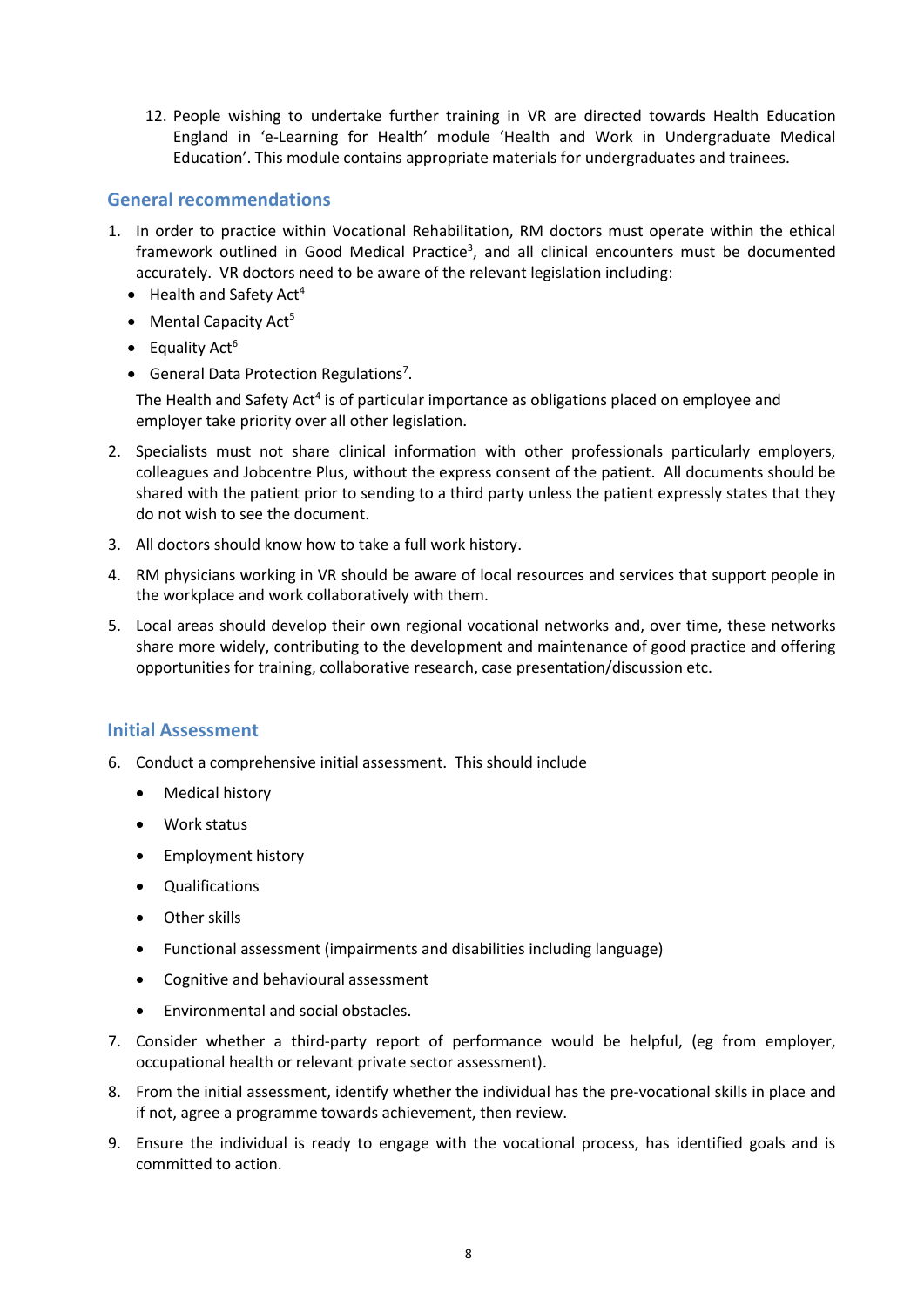12. People wishing to undertake further training in VR are directed towards Health Education England in 'e-Learning for Health' module 'Health and Work in Undergraduate Medical Education'. This module contains appropriate materials for undergraduates and trainees.

#### **General recommendations**

- 1. In order to practice within Vocational Rehabilitation, RM doctors must operate within the ethical framework outlined in Good Medical Practice<sup>3</sup>, and all clinical encounters must be documented accurately. VR doctors need to be aware of the relevant legislation including:
	- $\bullet$  Health and Safety Act<sup>4</sup>
	- Mental Capacity Act<sup>5</sup>
	- $\bullet$  Equality Act<sup>6</sup>
	- General Data Protection Regulations<sup>7</sup>.

The Health and Safety Act<sup>4</sup> is of particular importance as obligations placed on employee and employer take priority over all other legislation.

- 2. Specialists must not share clinical information with other professionals particularly employers, colleagues and Jobcentre Plus, without the express consent of the patient. All documents should be shared with the patient prior to sending to a third party unless the patient expressly states that they do not wish to see the document.
- 3. All doctors should know how to take a full work history.
- 4. RM physicians working in VR should be aware of local resources and services that support people in the workplace and work collaboratively with them.
- 5. Local areas should develop their own regional vocational networks and, over time, these networks share more widely, contributing to the development and maintenance of good practice and offering opportunities for training, collaborative research, case presentation/discussion etc.

#### **Initial Assessment**

- 6. Conduct a comprehensive initial assessment. This should include
	- Medical history
	- Work status
	- Employment history
	- Qualifications
	- Other skills
	- Functional assessment (impairments and disabilities including language)
	- Cognitive and behavioural assessment
	- Environmental and social obstacles.
- 7. Consider whether a third-party report of performance would be helpful, (eg from employer, occupational health or relevant private sector assessment).
- 8. From the initial assessment, identify whether the individual has the pre-vocational skills in place and if not, agree a programme towards achievement, then review.
- 9. Ensure the individual is ready to engage with the vocational process, has identified goals and is committed to action.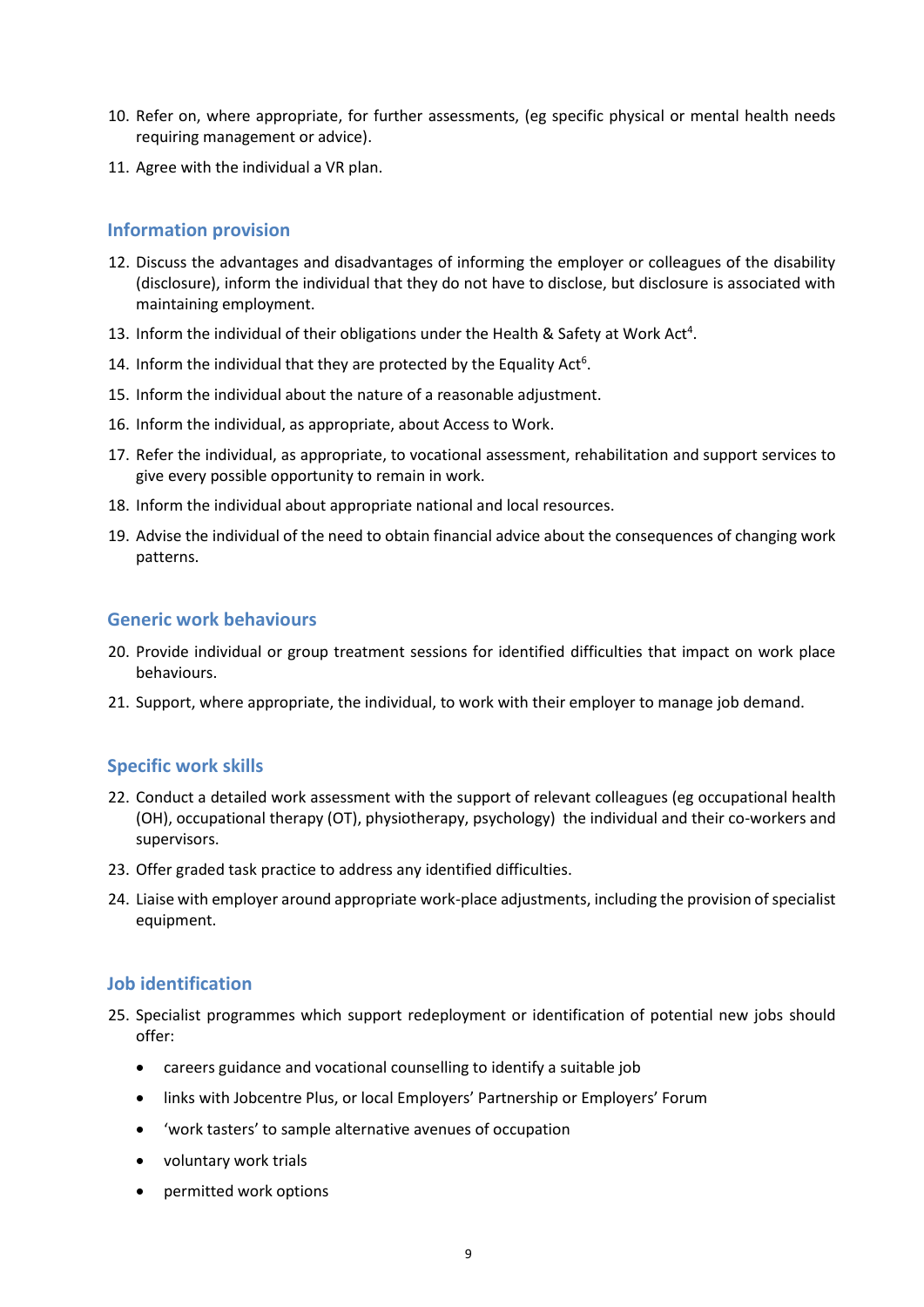- 10. Refer on, where appropriate, for further assessments, (eg specific physical or mental health needs requiring management or advice).
- 11. Agree with the individual a VR plan.

#### **Information provision**

- 12. Discuss the advantages and disadvantages of informing the employer or colleagues of the disability (disclosure), inform the individual that they do not have to disclose, but disclosure is associated with maintaining employment.
- 13. Inform the individual of their obligations under the Health & Safety at Work Act<sup>4</sup>.
- 14. Inform the individual that they are protected by the Equality Act<sup>6</sup>.
- 15. Inform the individual about the nature of a reasonable adjustment.
- 16. Inform the individual, as appropriate, about Access to Work.
- 17. Refer the individual, as appropriate, to vocational assessment, rehabilitation and support services to give every possible opportunity to remain in work.
- 18. Inform the individual about appropriate national and local resources.
- 19. Advise the individual of the need to obtain financial advice about the consequences of changing work patterns.

#### **Generic work behaviours**

- 20. Provide individual or group treatment sessions for identified difficulties that impact on work place behaviours.
- 21. Support, where appropriate, the individual, to work with their employer to manage job demand.

#### **Specific work skills**

- 22. Conduct a detailed work assessment with the support of relevant colleagues (eg occupational health (OH), occupational therapy (OT), physiotherapy, psychology) the individual and their co-workers and supervisors.
- 23. Offer graded task practice to address any identified difficulties.
- 24. Liaise with employer around appropriate work-place adjustments, including the provision of specialist equipment.

#### **Job identification**

- 25. Specialist programmes which support redeployment or identification of potential new jobs should offer:
	- careers guidance and vocational counselling to identify a suitable job
	- links with Jobcentre Plus, or local Employers' Partnership or Employers' Forum
	- 'work tasters' to sample alternative avenues of occupation
	- voluntary work trials
	- permitted work options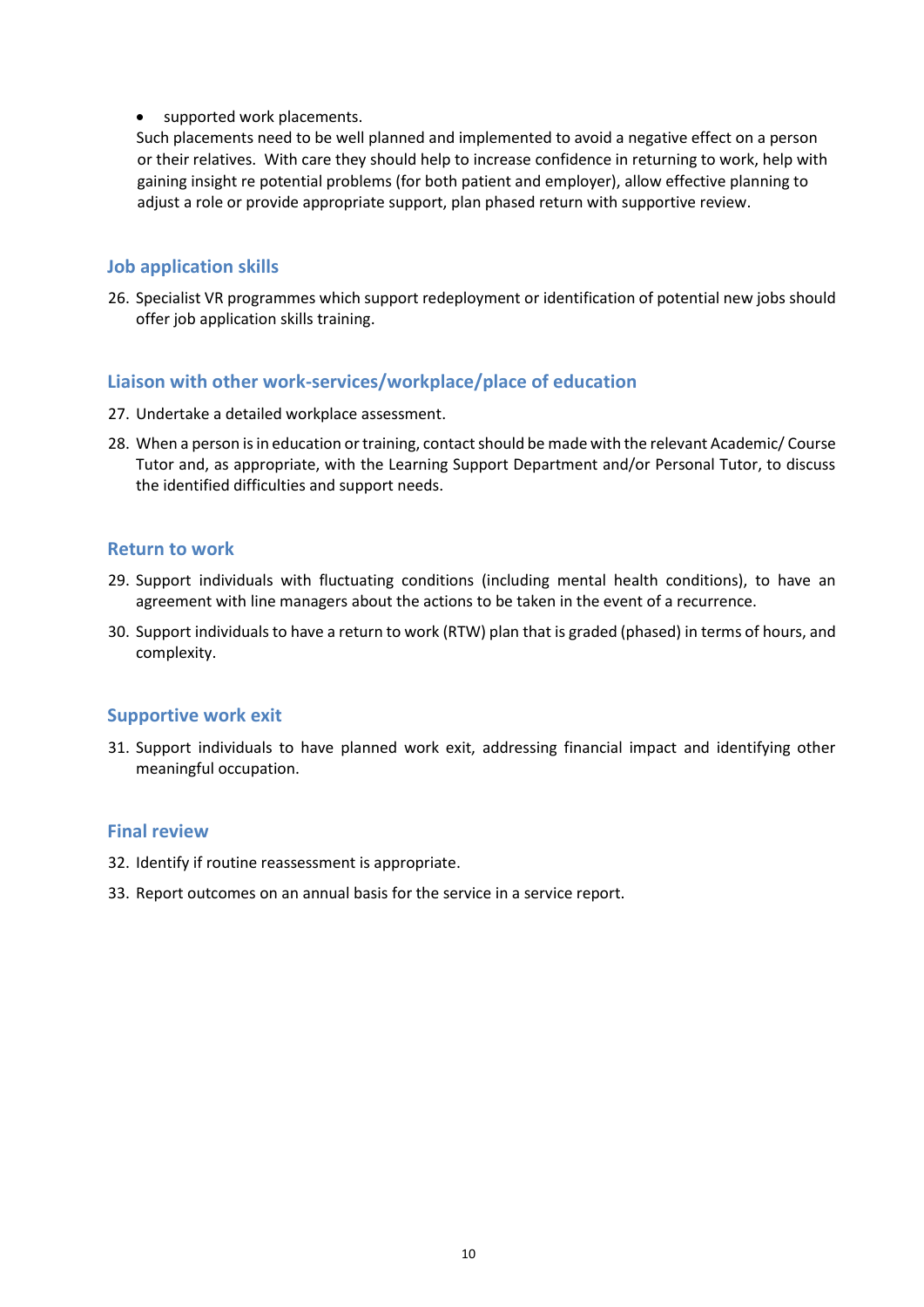• supported work placements.

Such placements need to be well planned and implemented to avoid a negative effect on a person or their relatives. With care they should help to increase confidence in returning to work, help with gaining insight re potential problems (for both patient and employer), allow effective planning to adjust a role or provide appropriate support, plan phased return with supportive review.

#### **Job application skills**

26. Specialist VR programmes which support redeployment or identification of potential new jobs should offer job application skills training.

#### **Liaison with other work-services/workplace/place of education**

- 27. Undertake a detailed workplace assessment.
- 28. When a person is in education or training, contact should be made with the relevant Academic/ Course Tutor and, as appropriate, with the Learning Support Department and/or Personal Tutor, to discuss the identified difficulties and support needs.

#### **Return to work**

- 29. Support individuals with fluctuating conditions (including mental health conditions), to have an agreement with line managers about the actions to be taken in the event of a recurrence.
- 30. Support individuals to have a return to work (RTW) plan that is graded (phased) in terms of hours, and complexity.

#### **Supportive work exit**

31. Support individuals to have planned work exit, addressing financial impact and identifying other meaningful occupation.

#### **Final review**

- 32. Identify if routine reassessment is appropriate.
- 33. Report outcomes on an annual basis for the service in a service report.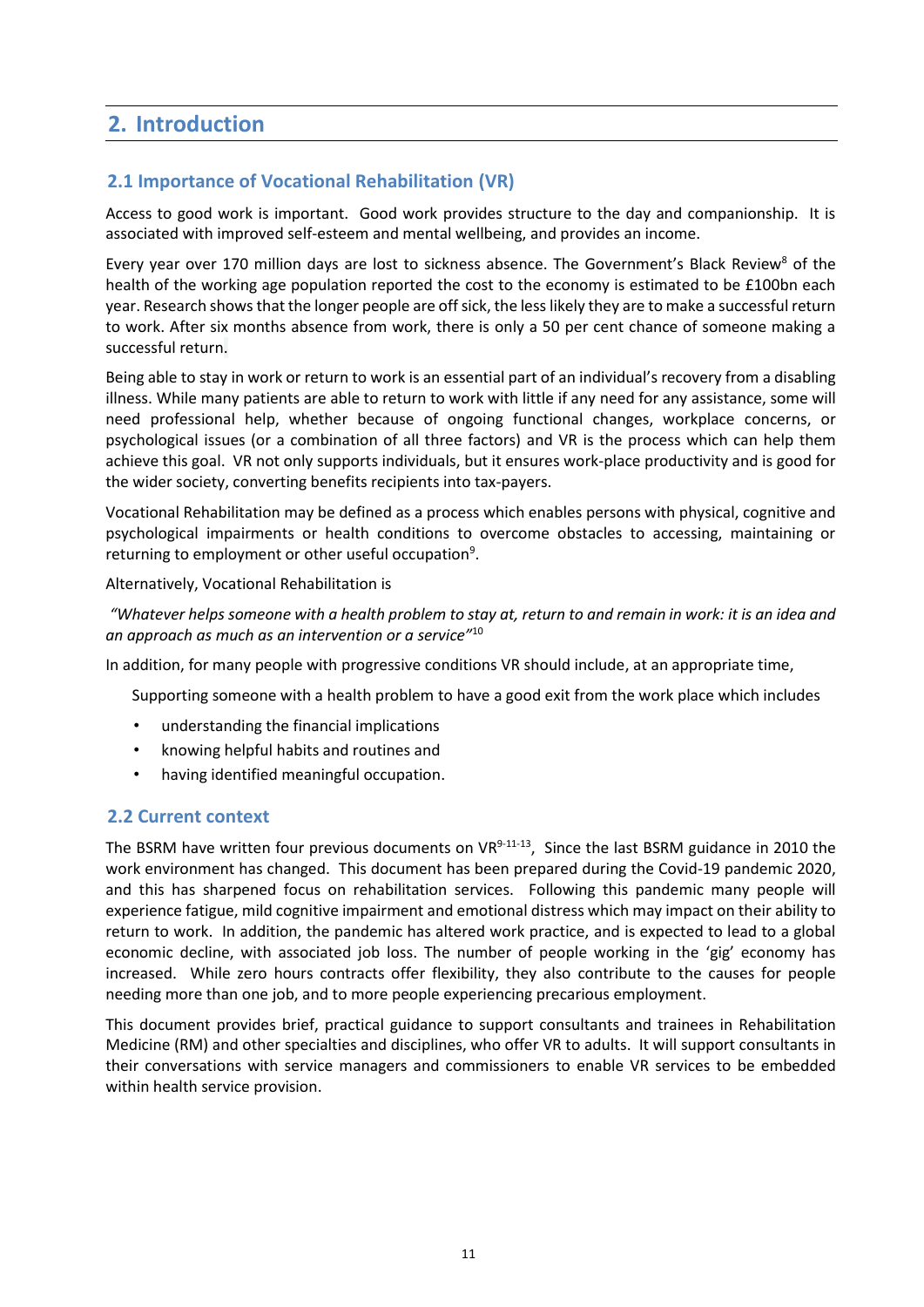# **2. Introduction**

#### **2.1 Importance of Vocational Rehabilitation (VR)**

Access to good work is important. Good work provides structure to the day and companionship. It is associated with improved self-esteem and mental wellbeing, and provides an income.

Every year over 170 million days are lost to sickness absence. The Government's Black Review<sup>8</sup> of the health of the working age population reported the cost to the economy is estimated to be £100bn each year. Research shows that the longer people are off sick, the less likely they are to make a successful return to work. After six months absence from work, there is only a 50 per cent chance of someone making a successful return.

Being able to stay in work or return to work is an essential part of an individual's recovery from a disabling illness. While many patients are able to return to work with little if any need for any assistance, some will need professional help, whether because of ongoing functional changes, workplace concerns, or psychological issues (or a combination of all three factors) and VR is the process which can help them achieve this goal. VR not only supports individuals, but it ensures work-place productivity and is good for the wider society, converting benefits recipients into tax-payers.

Vocational Rehabilitation may be defined as a process which enables persons with physical, cognitive and psychological impairments or health conditions to overcome obstacles to accessing, maintaining or returning to employment or other useful occupation<sup>9</sup>.

#### Alternatively, Vocational Rehabilitation is

*"Whatever helps someone with a health problem to stay at, return to and remain in work: it is an idea and an approach as much as an intervention or a service"*<sup>10</sup>

In addition, for many people with progressive conditions VR should include, at an appropriate time,

Supporting someone with a health problem to have a good exit from the work place which includes

- understanding the financial implications
- knowing helpful habits and routines and
- having identified meaningful occupation.

#### **2.2 Current context**

The BSRM have written four previous documents on VR<sup>9-11-13</sup>, Since the last BSRM guidance in 2010 the work environment has changed. This document has been prepared during the Covid-19 pandemic 2020, and this has sharpened focus on rehabilitation services. Following this pandemic many people will experience fatigue, mild cognitive impairment and emotional distress which may impact on their ability to return to work. In addition, the pandemic has altered work practice, and is expected to lead to a global economic decline, with associated job loss. The number of people working in the 'gig' economy has increased. While zero hours contracts offer flexibility, they also contribute to the causes for people needing more than one job, and to more people experiencing precarious employment.

This document provides brief, practical guidance to support consultants and trainees in Rehabilitation Medicine (RM) and other specialties and disciplines, who offer VR to adults. It will support consultants in their conversations with service managers and commissioners to enable VR services to be embedded within health service provision.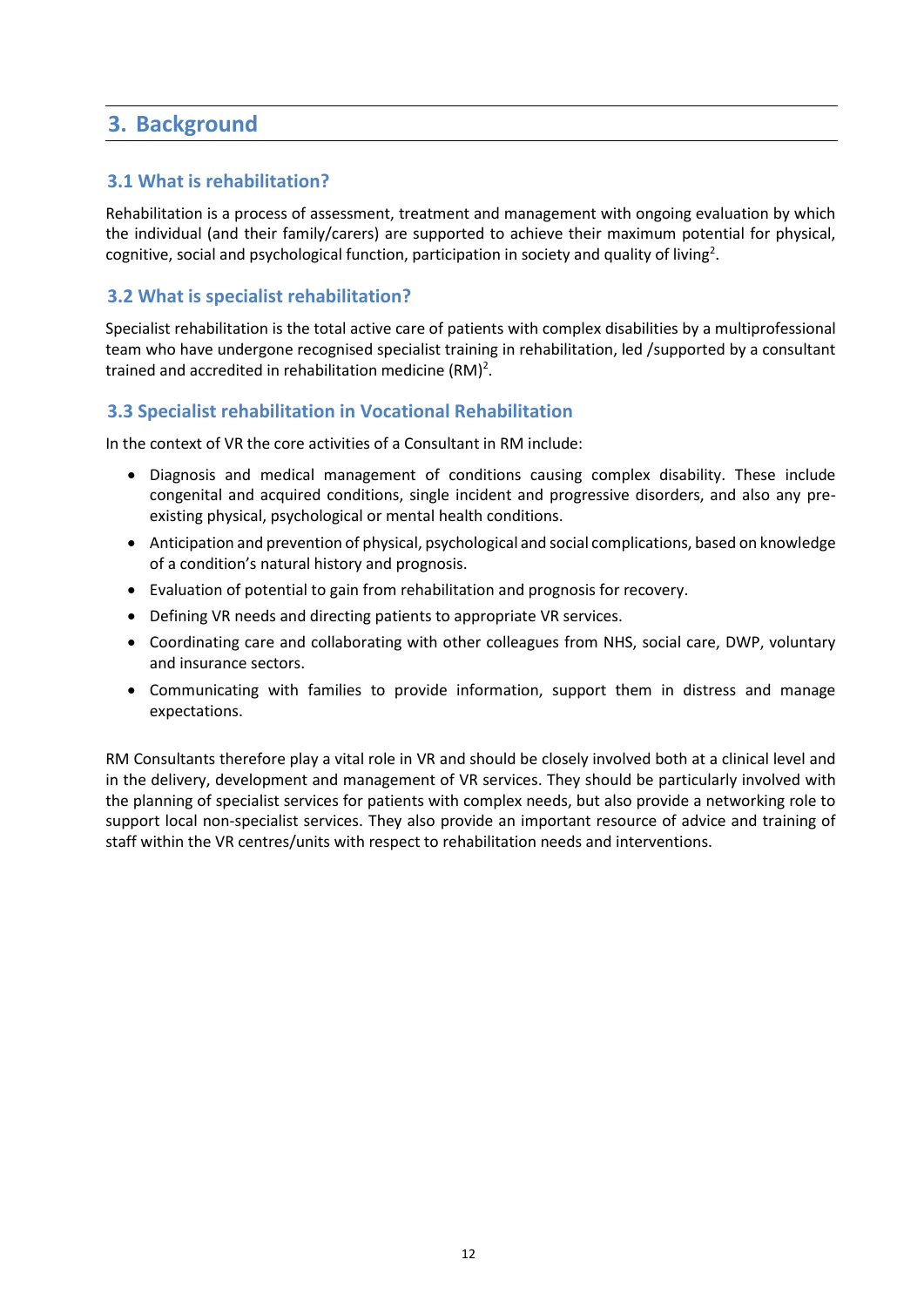# **3. Background**

#### **3.1 What is rehabilitation?**

Rehabilitation is a process of assessment, treatment and management with ongoing evaluation by which the individual (and their family/carers) are supported to achieve their maximum potential for physical, cognitive, social and psychological function, participation in society and quality of living<sup>2</sup>.

#### **3.2 What is specialist rehabilitation?**

Specialist rehabilitation is the total active care of patients with complex disabilities by a multiprofessional team who have undergone recognised specialist training in rehabilitation, led /supported by a consultant trained and accredited in rehabilitation medicine (RM)<sup>2</sup>.

#### **3.3 Specialist rehabilitation in Vocational Rehabilitation**

In the context of VR the core activities of a Consultant in RM include:

- Diagnosis and medical management of conditions causing complex disability. These include congenital and acquired conditions, single incident and progressive disorders, and also any preexisting physical, psychological or mental health conditions.
- Anticipation and prevention of physical, psychological and social complications, based on knowledge of a condition's natural history and prognosis.
- Evaluation of potential to gain from rehabilitation and prognosis for recovery.
- Defining VR needs and directing patients to appropriate VR services.
- Coordinating care and collaborating with other colleagues from NHS, social care, DWP, voluntary and insurance sectors.
- Communicating with families to provide information, support them in distress and manage expectations.

RM Consultants therefore play a vital role in VR and should be closely involved both at a clinical level and in the delivery, development and management of VR services. They should be particularly involved with the planning of specialist services for patients with complex needs, but also provide a networking role to support local non-specialist services. They also provide an important resource of advice and training of staff within the VR centres/units with respect to rehabilitation needs and interventions.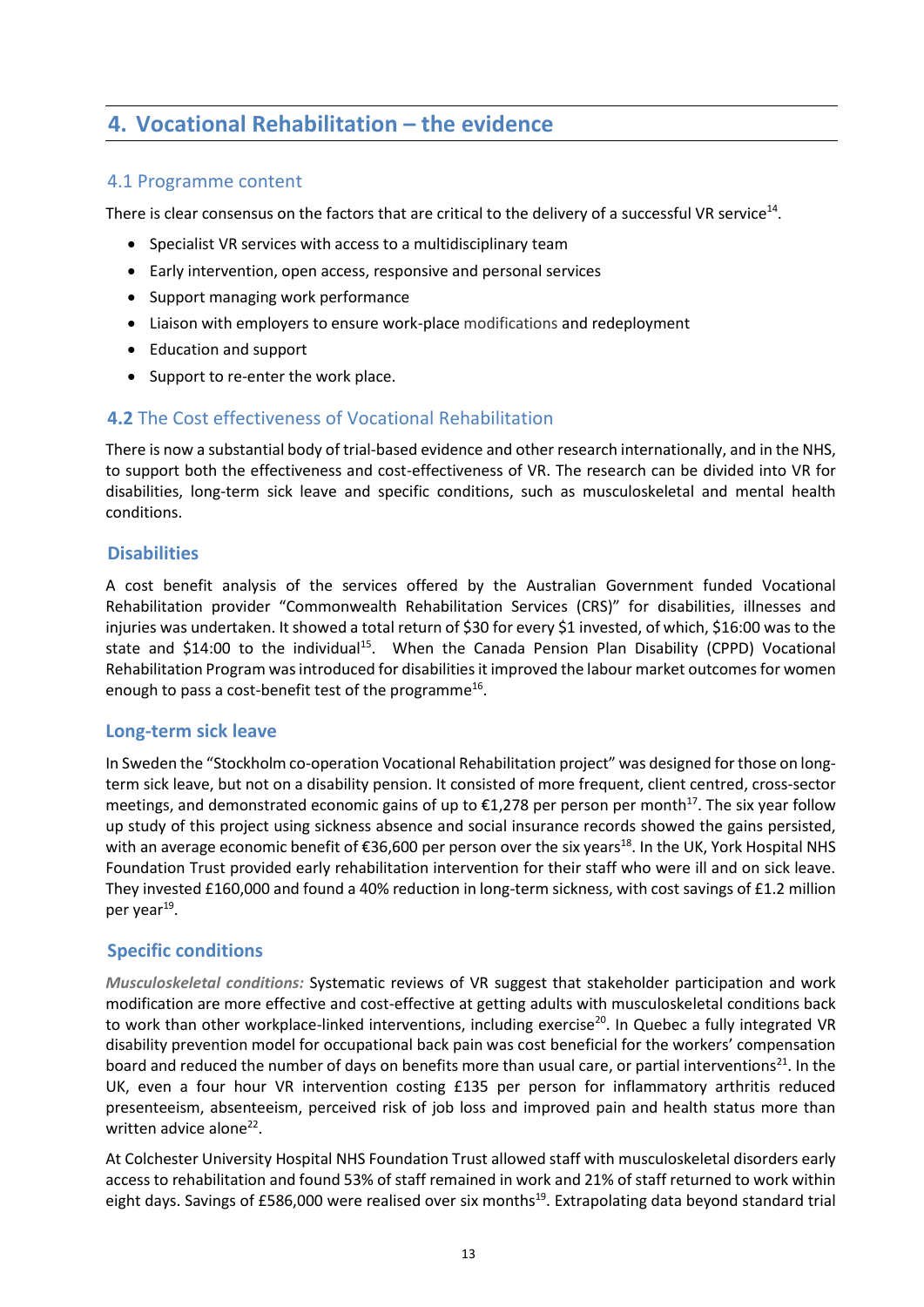# **4. Vocational Rehabilitation – the evidence**

#### 4.1 Programme content

There is clear consensus on the factors that are critical to the delivery of a successful VR service<sup>14</sup>.

- Specialist VR services with access to a multidisciplinary team
- Early intervention, open access, responsive and personal services
- Support managing work performance
- Liaison with employers to ensure work-place modifications and redeployment
- Education and support
- Support to re-enter the work place.

#### **4.2** The Cost effectiveness of Vocational Rehabilitation

There is now a substantial body of trial-based evidence and other research internationally, and in the NHS, to support both the effectiveness and cost-effectiveness of VR. The research can be divided into VR for disabilities, long-term sick leave and specific conditions, such as musculoskeletal and mental health conditions.

#### **Disabilities**

A cost benefit analysis of the services offered by the Australian Government funded Vocational Rehabilitation provider "Commonwealth Rehabilitation Services (CRS)" for disabilities, illnesses and injuries was undertaken. It showed a total return of \$30 for every \$1 invested, of which, \$16:00 was to the state and \$14:00 to the individual<sup>15</sup>. When the Canada Pension Plan Disability (CPPD) Vocational Rehabilitation Program was introduced for disabilities it improved the labour market outcomes for women enough to pass a cost-benefit test of the programme<sup>16</sup>.

#### **Long-term sick leave**

In Sweden the "Stockholm co-operation Vocational Rehabilitation project" was designed for those on longterm sick leave, but not on a disability pension. It consisted of more frequent, client centred, cross-sector meetings, and demonstrated economic gains of up to  $\epsilon$ 1,278 per person per month<sup>17</sup>. The six year follow up study of this project using sickness absence and social insurance records showed the gains persisted, with an average economic benefit of €36,600 per person over the six years<sup>18</sup>. In the UK, York Hospital NHS Foundation Trust provided early rehabilitation intervention for their staff who were ill and on sick leave. They invested £160,000 and found a 40% reduction in long-term sickness, with cost savings of £1.2 million per year<sup>19</sup>.

#### **Specific conditions**

*Musculoskeletal conditions:* Systematic reviews of VR suggest that stakeholder participation and work modification are more effective and cost-effective at getting adults with musculoskeletal conditions back to work than other workplace-linked interventions, including exercise<sup>20</sup>. In Quebec a fully integrated VR disability prevention model for occupational back pain was cost beneficial for the workers' compensation board and reduced the number of days on benefits more than usual care, or partial interventions<sup>21</sup>. In the UK, even a four hour VR intervention costing £135 per person for inflammatory arthritis reduced presenteeism, absenteeism, perceived risk of job loss and improved pain and health status more than written advice alone<sup>22</sup>.

At Colchester University Hospital NHS Foundation Trust allowed staff with musculoskeletal disorders early access to rehabilitation and found 53% of staff remained in work and 21% of staff returned to work within eight days. Savings of £586,000 were realised over six months<sup>19</sup>. Extrapolating data beyond standard trial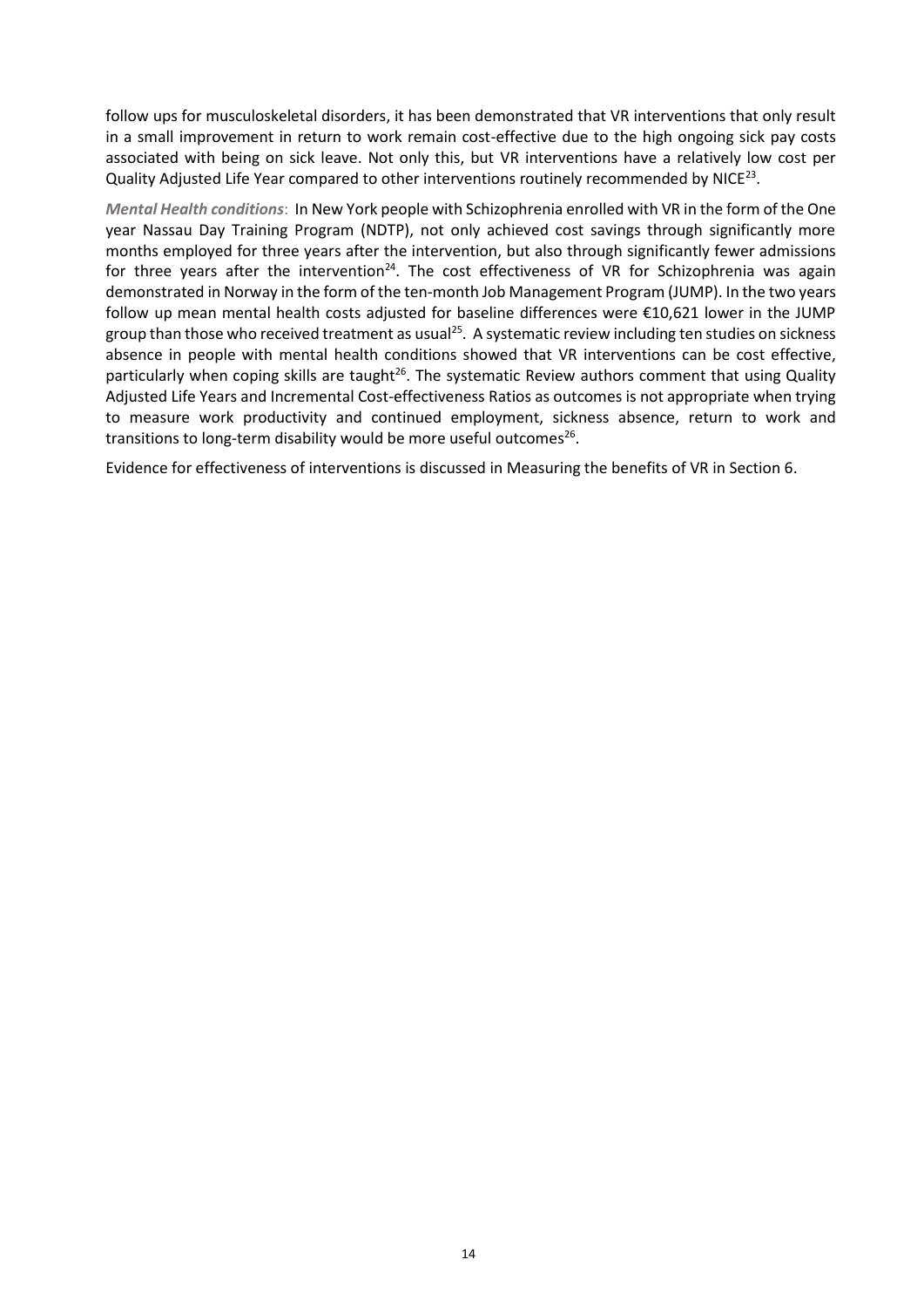follow ups for musculoskeletal disorders, it has been demonstrated that VR interventions that only result in a small improvement in return to work remain cost-effective due to the high ongoing sick pay costs associated with being on sick leave. Not only this, but VR interventions have a relatively low cost per Quality Adjusted Life Year compared to other interventions routinely recommended by NICE<sup>23</sup>.

*Mental Health conditions*: In New York people with Schizophrenia enrolled with VR in the form of the One year Nassau Day Training Program (NDTP), not only achieved cost savings through significantly more months employed for three years after the intervention, but also through significantly fewer admissions for three years after the intervention<sup>24</sup>. The cost effectiveness of VR for Schizophrenia was again demonstrated in Norway in the form of the ten-month Job Management Program (JUMP). In the two years follow up mean mental health costs adjusted for baseline differences were €10,621 lower in the JUMP group than those who received treatment as usual<sup>25</sup>. A systematic review including ten studies on sickness absence in people with mental health conditions showed that VR interventions can be cost effective, particularly when coping skills are taught<sup>26</sup>. The systematic Review authors comment that using Quality Adjusted Life Years and Incremental Cost-effectiveness Ratios as outcomes is not appropriate when trying to measure work productivity and continued employment, sickness absence, return to work and transitions to long-term disability would be more useful outcomes<sup>26</sup>.

Evidence for effectiveness of interventions is discussed in Measuring the benefits of VR in Section 6.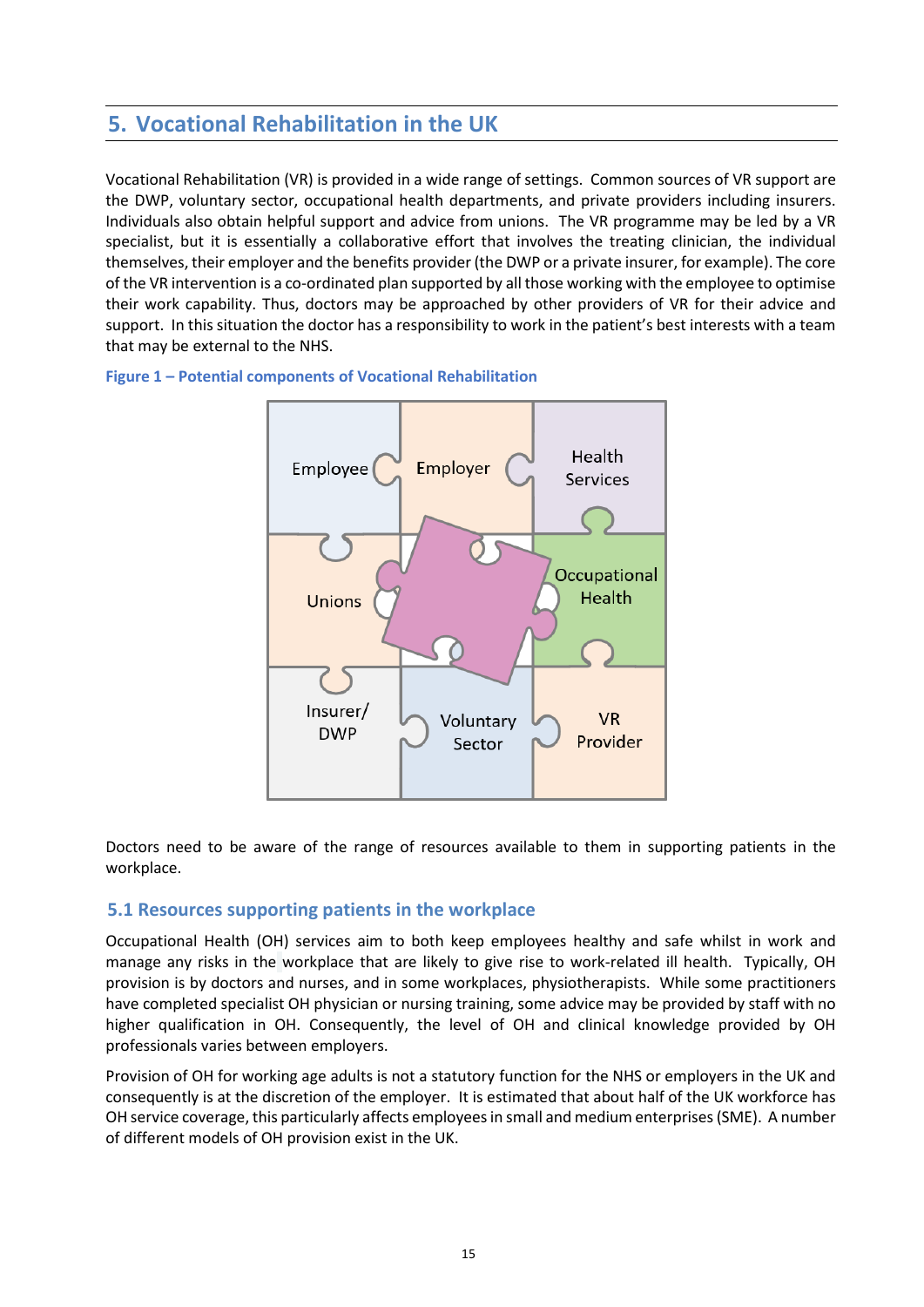# **5. Vocational Rehabilitation in the UK**

Vocational Rehabilitation (VR) is provided in a wide range of settings. Common sources of VR support are the DWP, voluntary sector, occupational health departments, and private providers including insurers. Individuals also obtain helpful support and advice from unions. The VR programme may be led by a VR specialist, but it is essentially a collaborative effort that involves the treating clinician, the individual themselves, their employer and the benefits provider (the DWP or a private insurer, for example). The core of the VR intervention is a co-ordinated plan supported by all those working with the employee to optimise their work capability. Thus, doctors may be approached by other providers of VR for their advice and support. In this situation the doctor has a responsibility to work in the patient's best interests with a team that may be external to the NHS.



#### <span id="page-14-0"></span>**Figure 1 – Potential components of Vocational Rehabilitation**

Doctors need to be aware of the range of resources available to them in supporting patients in the workplace.

#### **5.1 Resources supporting patients in the workplace**

Occupational Health (OH) services aim to both keep employees healthy and safe whilst in work and manage any risks in the workplace that are likely to give rise to work-related ill health. Typically, OH provision is by doctors and nurses, and in some workplaces, physiotherapists. While some practitioners have completed specialist OH physician or nursing training, some advice may be provided by staff with no higher qualification in OH. Consequently, the level of OH and clinical knowledge provided by OH professionals varies between employers.

Provision of OH for working age adults is not a statutory function for the NHS or employers in the UK and consequently is at the discretion of the employer. It is estimated that about half of the UK workforce has OH service coverage, this particularly affects employees in small and medium enterprises (SME). A number of different models of OH provision exist in the UK.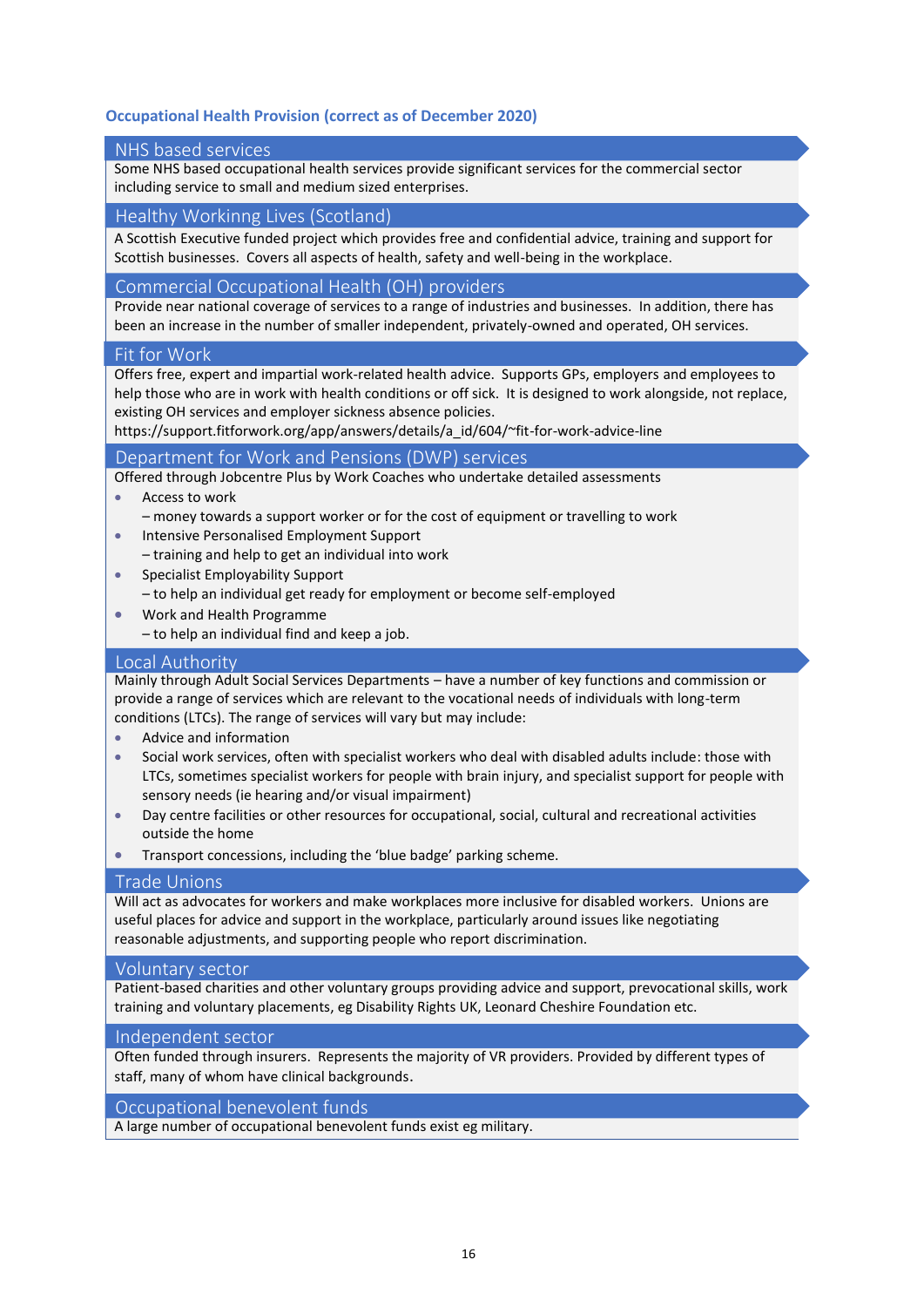#### <span id="page-15-0"></span>**Occupational Health Provision (correct as of December 2020)**

#### NHS based services

Some NHS based occupational health services provide significant services for the commercial sector including service to small and medium sized enterprises.

#### Healthy Workinng Lives (Scotland)

A Scottish Executive funded project which provides free and confidential advice, training and support for Scottish businesses. Covers all aspects of health, safety and well-being in the workplace.

#### Commercial Occupational Health (OH) providers

Provide near national coverage of services to a range of industries and businesses. In addition, there has been an increase in the number of smaller independent, privately-owned and operated, OH services.

#### Fit for Work

Offers free, expert and impartial work-related health advice. Supports GPs, employers and employees to help those who are in work with health conditions or off sick. It is designed to work alongside, not replace, existing OH services and employer sickness absence policies.

https://support.fitforwork.org/app/answers/details/a\_id/604/~fit-for-work-advice-line

#### Department for Work and Pensions (DWP) services

Offered through Jobcentre Plus by Work Coaches who undertake detailed assessments

- [Access to work](https://www.gov.uk/access-to-work)
- money towards a support worker or for the cost of equipment or travelling to work
- [Intensive Personalised Employment Support](https://www.gov.uk/intensive-personalised-employment-support)
- training and help to get an individual into work
- [Specialist Employability Support](https://www.gov.uk/financial-help-disabled) – to help an individual get ready for employment or become self-employed
- [Work and Health Programme](https://www.gov.uk/work-health-programme)
	- to help an individual find and keep a job.

#### Local Authority

Mainly through Adult Social Services Departments – have a number of key functions and commission or provide a range of services which are relevant to the vocational needs of individuals with long-term conditions (LTCs). The range of services will vary but may include:

- Advice and information
- Social work services, often with specialist workers who deal with disabled adults include: those with LTCs, sometimes specialist workers for people with brain injury, and specialist support for people with sensory needs (ie hearing and/or visual impairment)
- Day centre facilities or other resources for occupational, social, cultural and recreational activities outside the home
- Transport concessions, including the 'blue badge' parking scheme.

#### Trade Unions

Will act as advocates for workers and make workplaces more inclusive for disabled workers. Unions are useful places for advice and support in the workplace, particularly around issues like negotiating reasonable adjustments, and supporting people who report discrimination.

#### Voluntary sector

Patient-based charities and other voluntary groups providing advice and support, prevocational skills, work training and voluntary placements, eg Disability Rights UK, Leonard Cheshire Foundation etc.

#### Independent sector

Often funded through insurers. Represents the majority of VR providers. Provided by different types of staff, many of whom have clinical backgrounds.

#### Occupational benevolent funds

A large number of occupational benevolent funds exist eg military.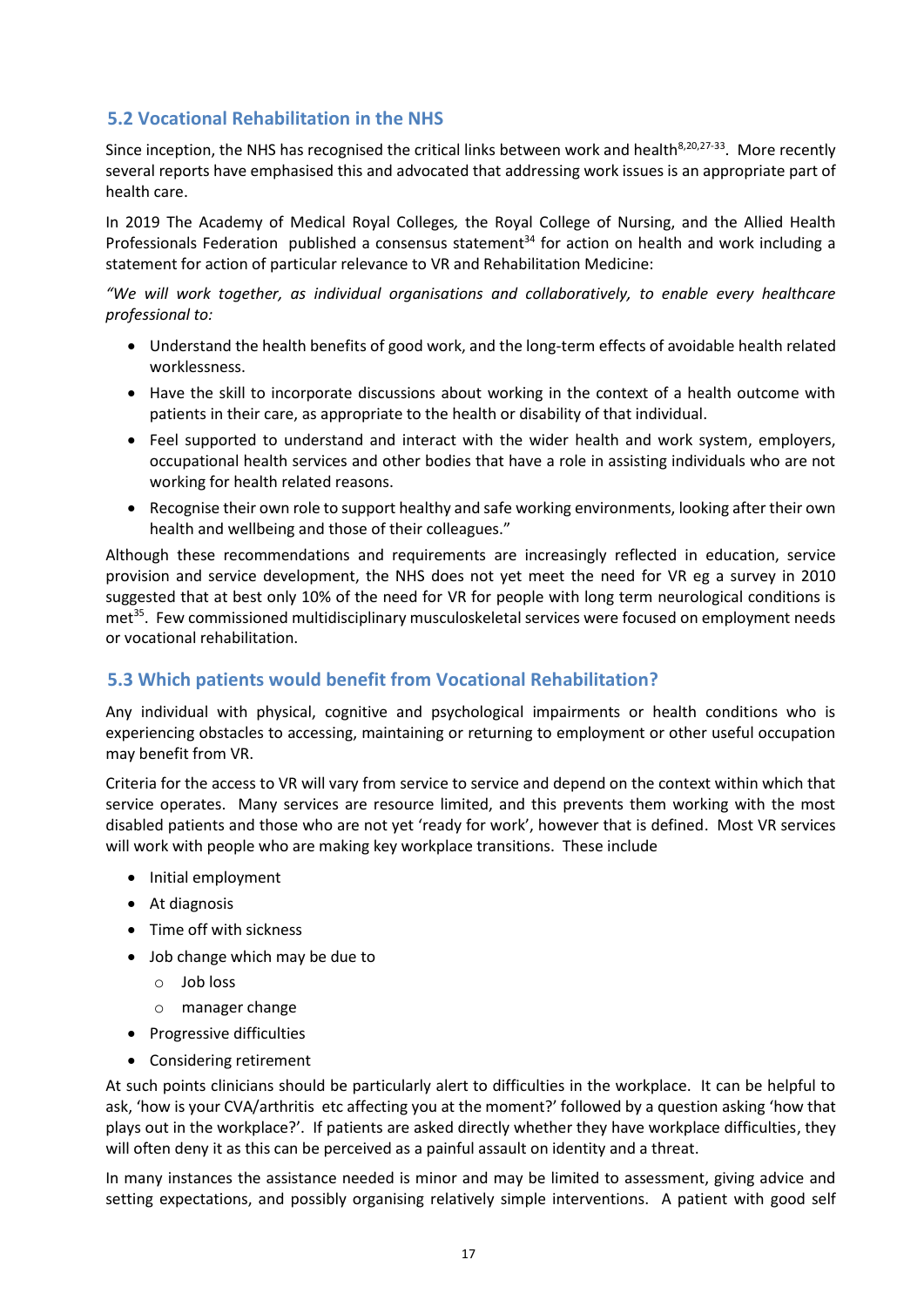#### **5.2 Vocational Rehabilitation in the NHS**

Since inception, the NHS has recognised the critical links between work and health<sup>8,20,27-33</sup>. More recently several reports have emphasised this and advocated that addressing work issues is an appropriate part of health care.

In 2019 The Academy of Medical Royal Colleges*,* the Royal College of Nursing, and the Allied Health Professionals Federation published a consensus statement<sup>34</sup> for action on health and work including a statement for action of particular relevance to VR and Rehabilitation Medicine:

*"We will work together, as individual organisations and collaboratively, to enable every healthcare professional to:*

- Understand the health benefits of good work, and the long-term effects of avoidable health related worklessness.
- Have the skill to incorporate discussions about working in the context of a health outcome with patients in their care, as appropriate to the health or disability of that individual.
- Feel supported to understand and interact with the wider health and work system, employers, occupational health services and other bodies that have a role in assisting individuals who are not working for health related reasons.
- Recognise their own role to support healthy and safe working environments, looking after their own health and wellbeing and those of their colleagues."

Although these recommendations and requirements are increasingly reflected in education, service provision and service development, the NHS does not yet meet the need for VR eg a survey in 2010 suggested that at best only 10% of the need for VR for people with long term neurological conditions is met<sup>35</sup>. Few commissioned multidisciplinary musculoskeletal services were focused on employment needs or vocational rehabilitation.

#### **5.3 Which patients would benefit from Vocational Rehabilitation?**

Any individual with physical, cognitive and psychological impairments or health conditions who is experiencing obstacles to accessing, maintaining or returning to employment or other useful occupation may benefit from VR.

Criteria for the access to VR will vary from service to service and depend on the context within which that service operates. Many services are resource limited, and this prevents them working with the most disabled patients and those who are not yet 'ready for work', however that is defined. Most VR services will work with people who are making key workplace transitions. These include

- Initial employment
- At diagnosis
- Time off with sickness
- Job change which may be due to
	- o Job loss
	- o manager change
- Progressive difficulties
- Considering retirement

At such points clinicians should be particularly alert to difficulties in the workplace. It can be helpful to ask, 'how is your CVA/arthritis etc affecting you at the moment?' followed by a question asking 'how that plays out in the workplace?'. If patients are asked directly whether they have workplace difficulties, they will often deny it as this can be perceived as a painful assault on identity and a threat.

In many instances the assistance needed is minor and may be limited to assessment, giving advice and setting expectations, and possibly organising relatively simple interventions. A patient with good self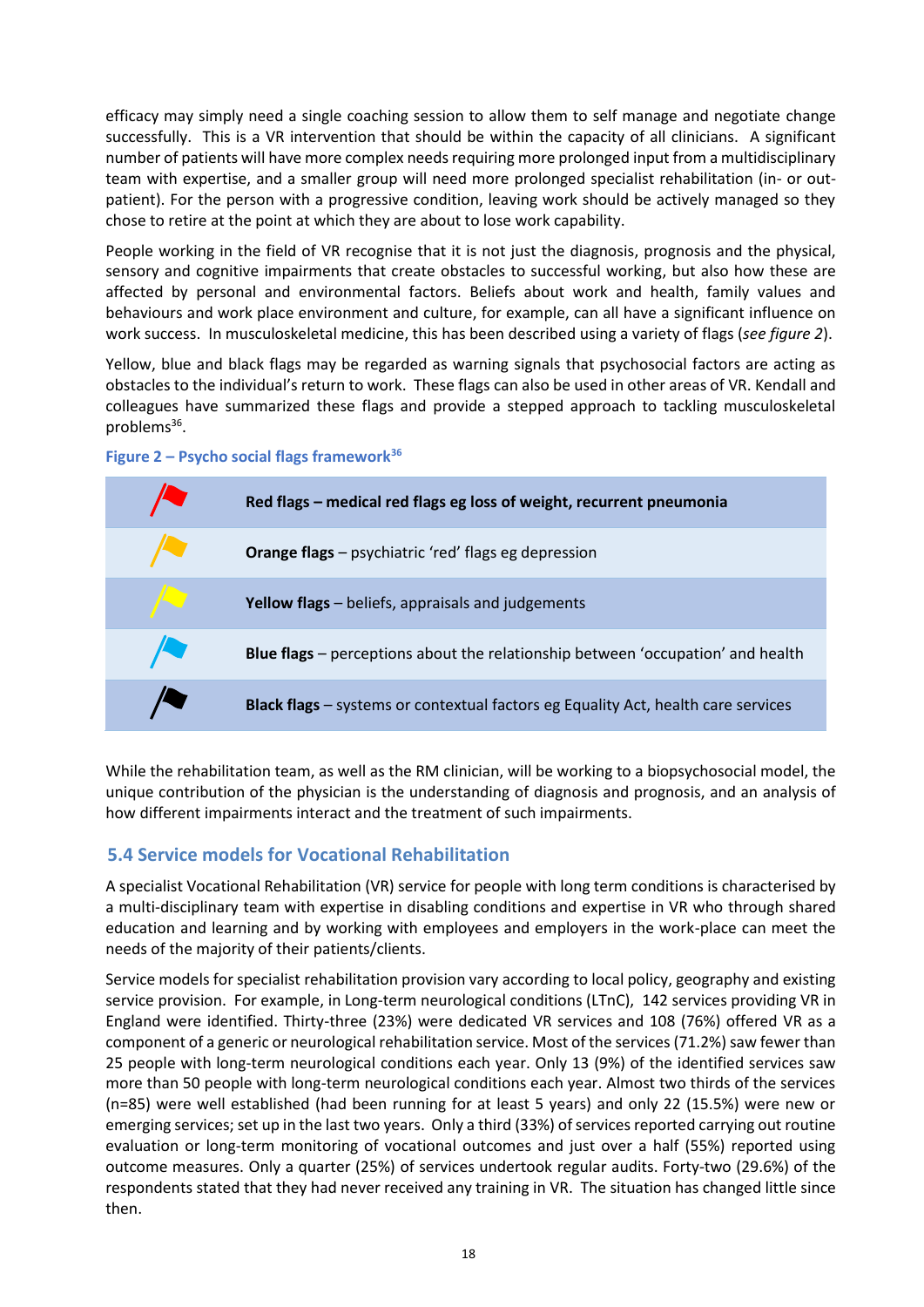efficacy may simply need a single coaching session to allow them to self manage and negotiate change successfully. This is a VR intervention that should be within the capacity of all clinicians. A significant number of patients will have more complex needs requiring more prolonged input from a multidisciplinary team with expertise, and a smaller group will need more prolonged specialist rehabilitation (in- or outpatient). For the person with a progressive condition, leaving work should be actively managed so they chose to retire at the point at which they are about to lose work capability.

People working in the field of VR recognise that it is not just the diagnosis, prognosis and the physical, sensory and cognitive impairments that create obstacles to successful working, but also how these are affected by personal and environmental factors. Beliefs about work and health, family values and behaviours and work place environment and culture, for example, can all have a significant influence on work success. In musculoskeletal medicine, this has been described using a variety of flags (*see figure 2*).

Yellow, blue and black flags may be regarded as warning signals that psychosocial factors are acting as obstacles to the individual's return to work. These flags can also be used in other areas of VR. Kendall and colleagues have summarized these flags and provide a stepped approach to tackling musculoskeletal problems<sup>36</sup>.

<span id="page-17-0"></span>



While the rehabilitation team, as well as the RM clinician, will be working to a biopsychosocial model, the unique contribution of the physician is the understanding of diagnosis and prognosis, and an analysis of how different impairments interact and the treatment of such impairments.

#### **5.4 Service models for Vocational Rehabilitation**

A specialist Vocational Rehabilitation (VR) service for people with long term conditions is characterised by a multi-disciplinary team with expertise in disabling conditions and expertise in VR who through shared education and learning and by working with employees and employers in the work-place can meet the needs of the majority of their patients/clients.

Service models for specialist rehabilitation provision vary according to local policy, geography and existing service provision. For example, in Long-term neurological conditions (LTnC), 142 services providing VR in England were identified. Thirty-three (23%) were dedicated VR services and 108 (76%) offered VR as a component of a generic or neurological rehabilitation service. Most of the services (71.2%) saw fewer than 25 people with long-term neurological conditions each year. Only 13 (9%) of the identified services saw more than 50 people with long-term neurological conditions each year. Almost two thirds of the services (n=85) were well established (had been running for at least 5 years) and only 22 (15.5%) were new or emerging services; set up in the last two years. Only a third (33%) of services reported carrying out routine evaluation or long-term monitoring of vocational outcomes and just over a half (55%) reported using outcome measures. Only a quarter (25%) of services undertook regular audits. Forty-two (29.6%) of the respondents stated that they had never received any training in VR. The situation has changed little since then.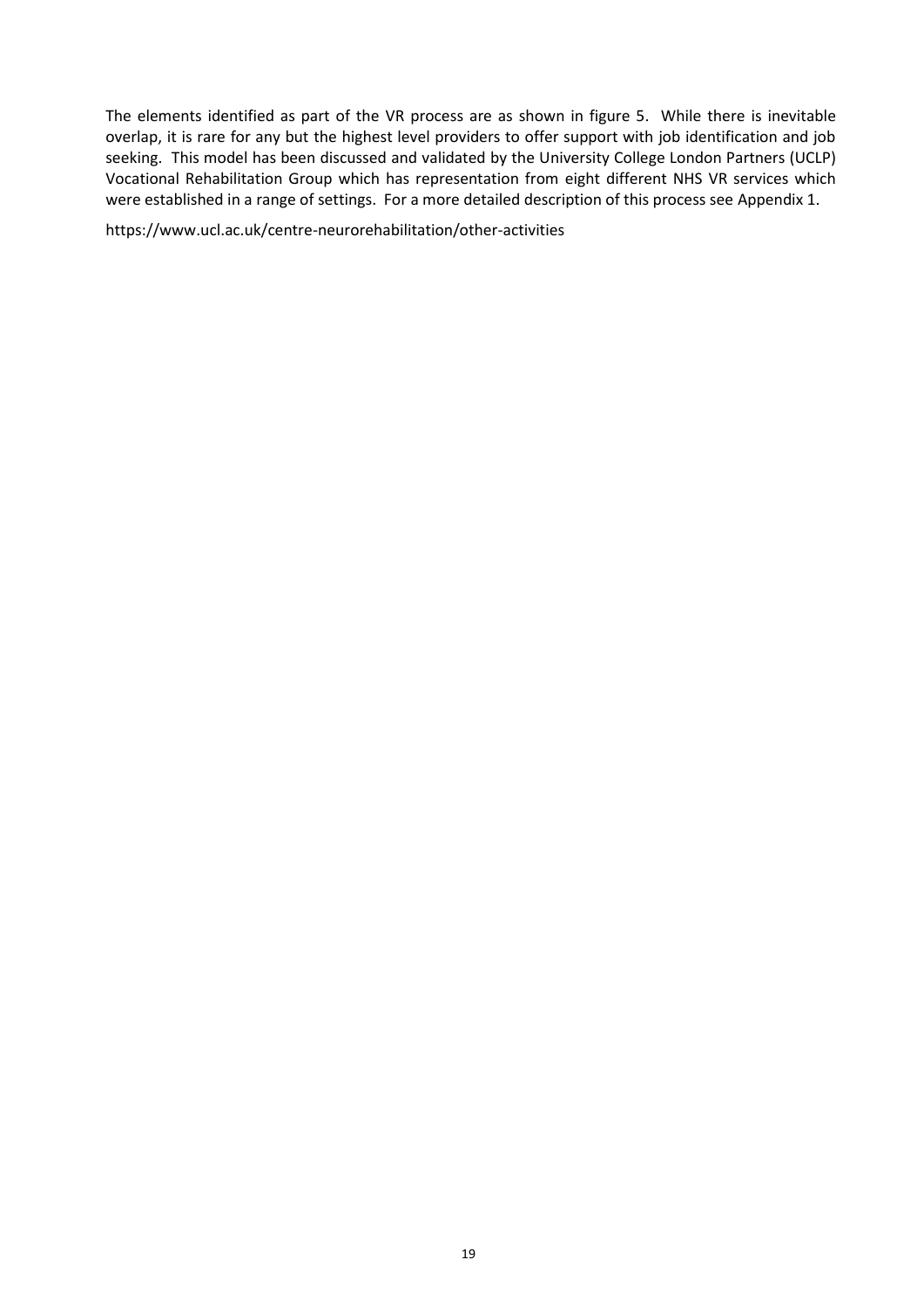The elements identified as part of the VR process are as shown in figure 5. While there is inevitable overlap, it is rare for any but the highest level providers to offer support with job identification and job seeking. This model has been discussed and validated by the University College London Partners (UCLP) Vocational Rehabilitation Group which has representation from eight different NHS VR services which were established in a range of settings. For a more detailed description of this process see Appendix 1.

https://www.ucl.ac.uk/centre-neurorehabilitation/other-activities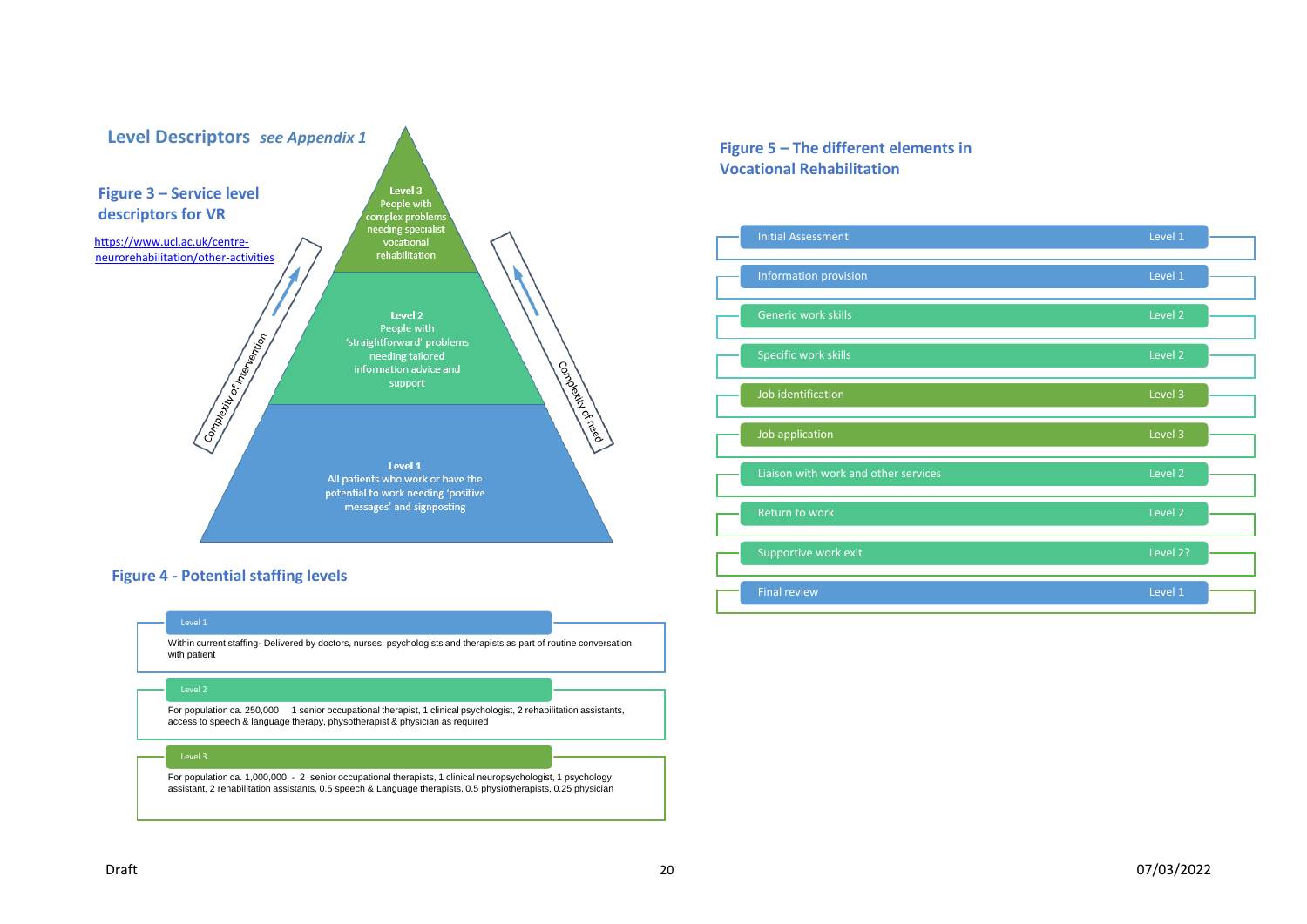

Within current staffing- Delivered by doctors, nurses, psychologists and therapists as part of routine conversation with patient

For population ca. 250,000 1 senior occupational therapist, 1 clinical psychologist, 2 rehabilitation assistants, access to speech & language therapy, physotherapist & physician as required

For population ca. 1,000,000 - 2 senior occupational therapists, 1 clinical neuropsychologist, 1 psychology assistant, 2 rehabilitation assistants, 0.5 speech & Language therapists, 0.5 physiotherapists, 0.25 physician

#### **Figure 5 – The different elements in Vocational Rehabilitation**

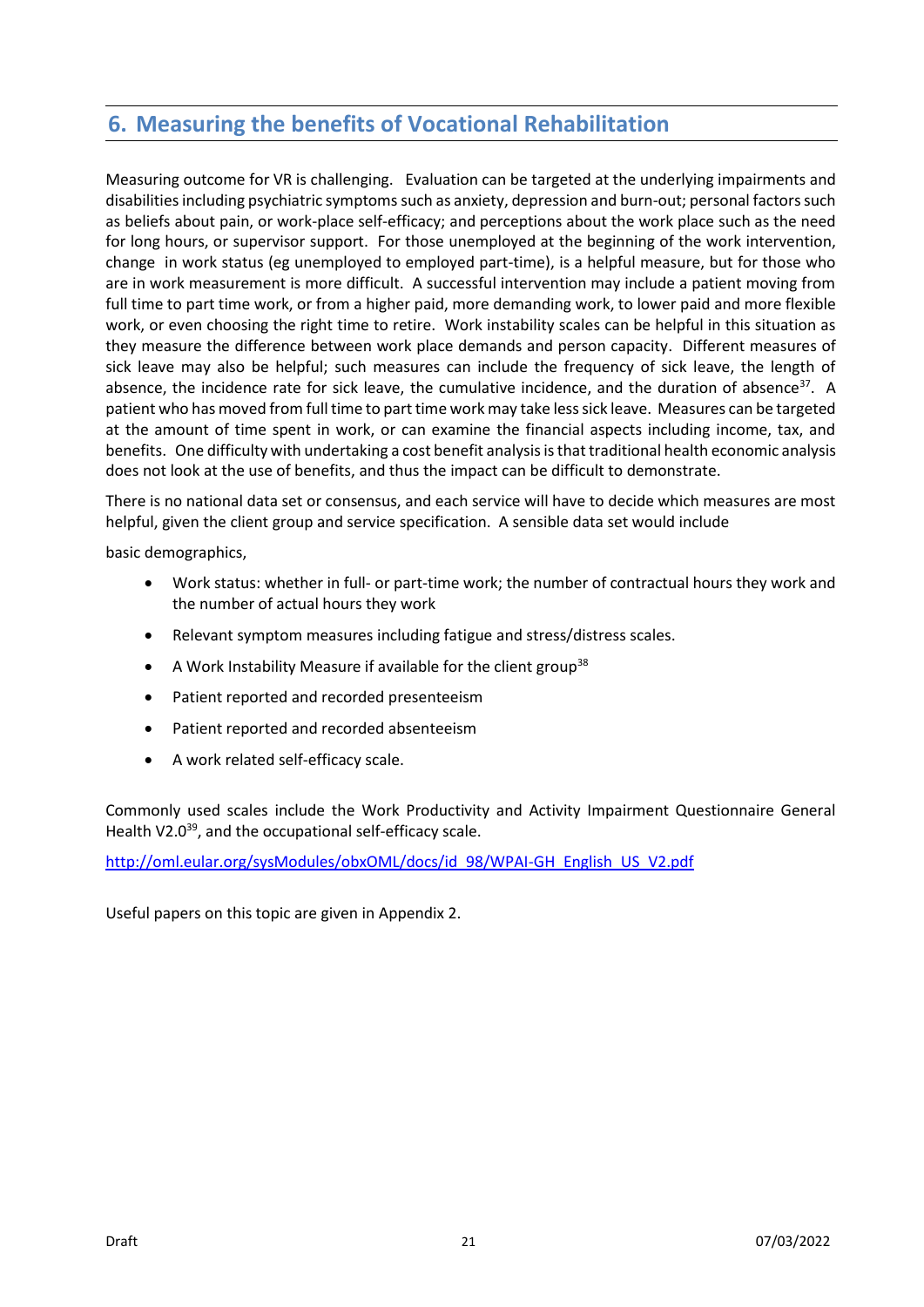# **6. Measuring the benefits of Vocational Rehabilitation**

Measuring outcome for VR is challenging. Evaluation can be targeted at the underlying impairments and disabilities including psychiatric symptoms such as anxiety, depression and burn-out; personal factors such as beliefs about pain, or work-place self-efficacy; and perceptions about the work place such as the need for long hours, or supervisor support. For those unemployed at the beginning of the work intervention, change in work status (eg unemployed to employed part-time), is a helpful measure, but for those who are in work measurement is more difficult. A successful intervention may include a patient moving from full time to part time work, or from a higher paid, more demanding work, to lower paid and more flexible work, or even choosing the right time to retire. Work instability scales can be helpful in this situation as they measure the difference between work place demands and person capacity. Different measures of sick leave may also be helpful; such measures can include the frequency of sick leave, the length of absence, the incidence rate for sick leave, the cumulative incidence, and the duration of absence<sup>37</sup>. A patient who has moved from full time to part time work may take less sick leave. Measures can be targeted at the amount of time spent in work, or can examine the financial aspects including income, tax, and benefits. One difficulty with undertaking a cost benefit analysis is that traditional health economic analysis does not look at the use of benefits, and thus the impact can be difficult to demonstrate.

There is no national data set or consensus, and each service will have to decide which measures are most helpful, given the client group and service specification. A sensible data set would include

basic demographics,

- Work status: whether in full- or part-time work; the number of contractual hours they work and the number of actual hours they work
- Relevant symptom measures including fatigue and stress/distress scales.
- A Work Instability Measure if available for the client group<sup>38</sup>
- Patient reported and recorded presenteeism
- Patient reported and recorded absenteeism
- A work related self-efficacy scale.

Commonly used scales include the Work Productivity and Activity Impairment Questionnaire General Health V2.0<sup>39</sup>, and the occupational self-efficacy scale.

[http://oml.eular.org/sysModules/obxOML/docs/id\\_98/WPAI-GH\\_English\\_US\\_V2.pdf](http://oml.eular.org/sysModules/obxOML/docs/id_98/WPAI-GH_English_US_V2.pdf)

Useful papers on this topic are given in Appendix 2.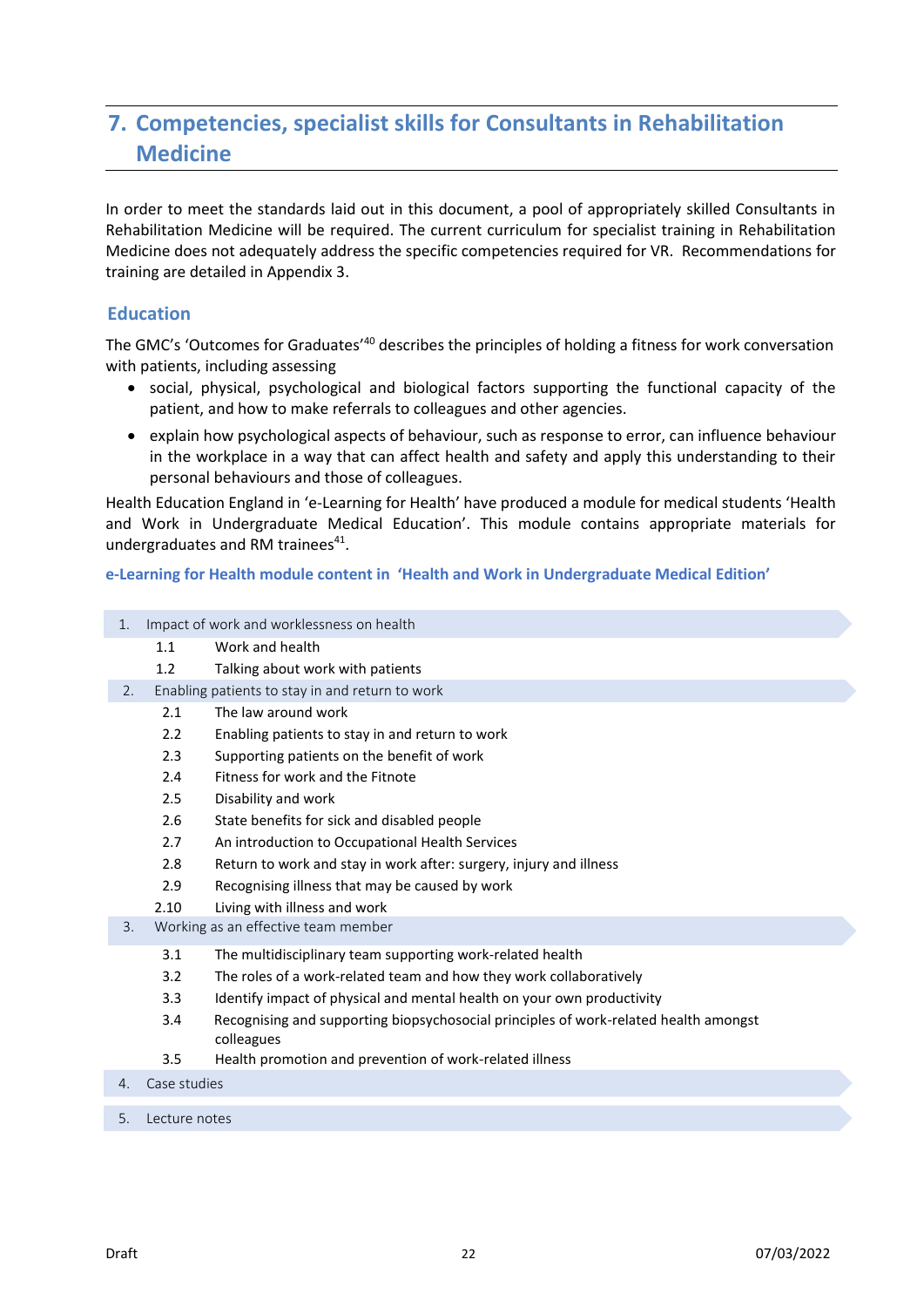# **7. Competencies, specialist skills for Consultants in Rehabilitation Medicine**

In order to meet the standards laid out in this document, a pool of appropriately skilled Consultants in Rehabilitation Medicine will be required. The current curriculum for specialist training in Rehabilitation Medicine does not adequately address the specific competencies required for VR. Recommendations for training are detailed in Appendix 3.

#### **Education**

The GMC's 'Outcomes for Graduates'<sup>40</sup> describes the principles of holding a fitness for work conversation with patients, including assessing

- social, physical, psychological and biological factors supporting the functional capacity of the patient, and how to make referrals to colleagues and other agencies.
- explain how psychological aspects of behaviour, such as response to error, can influence behaviour in the workplace in a way that can affect health and safety and apply this understanding to their personal behaviours and those of colleagues.

Health Education England in 'e-Learning for Health' have produced a module for medical students 'Health and Work in Undergraduate Medical Education'. This module contains appropriate materials for undergraduates and RM trainees<sup>41</sup>.

#### <span id="page-21-0"></span>**e-Learning for Health module content in 'Health and Work in Undergraduate Medical Edition'**

| 1. | Impact of work and worklessness on health |                                                                                                    |  |  |  |  |
|----|-------------------------------------------|----------------------------------------------------------------------------------------------------|--|--|--|--|
|    | 1.1                                       | Work and health                                                                                    |  |  |  |  |
|    | 1.2                                       | Talking about work with patients                                                                   |  |  |  |  |
| 2. |                                           | Enabling patients to stay in and return to work                                                    |  |  |  |  |
|    | 2.1                                       | The law around work                                                                                |  |  |  |  |
|    | $2.2\phantom{0}$                          | Enabling patients to stay in and return to work                                                    |  |  |  |  |
|    | 2.3                                       | Supporting patients on the benefit of work                                                         |  |  |  |  |
|    | 2.4                                       | Fitness for work and the Fitnote                                                                   |  |  |  |  |
|    | 2.5                                       | Disability and work                                                                                |  |  |  |  |
|    | 2.6                                       | State benefits for sick and disabled people                                                        |  |  |  |  |
|    | 2.7                                       | An introduction to Occupational Health Services                                                    |  |  |  |  |
|    | 2.8                                       | Return to work and stay in work after: surgery, injury and illness                                 |  |  |  |  |
|    | 2.9                                       | Recognising illness that may be caused by work                                                     |  |  |  |  |
|    | 2.10                                      | Living with illness and work                                                                       |  |  |  |  |
| 3. |                                           | Working as an effective team member                                                                |  |  |  |  |
|    | 3.1                                       | The multidisciplinary team supporting work-related health                                          |  |  |  |  |
|    | 3.2                                       | The roles of a work-related team and how they work collaboratively                                 |  |  |  |  |
|    | 3.3                                       | Identify impact of physical and mental health on your own productivity                             |  |  |  |  |
|    | 3.4                                       | Recognising and supporting biopsychosocial principles of work-related health amongst<br>colleagues |  |  |  |  |
|    | 3.5                                       | Health promotion and prevention of work-related illness                                            |  |  |  |  |
| 4. | Case studies                              |                                                                                                    |  |  |  |  |
| 5. | Lecture notes                             |                                                                                                    |  |  |  |  |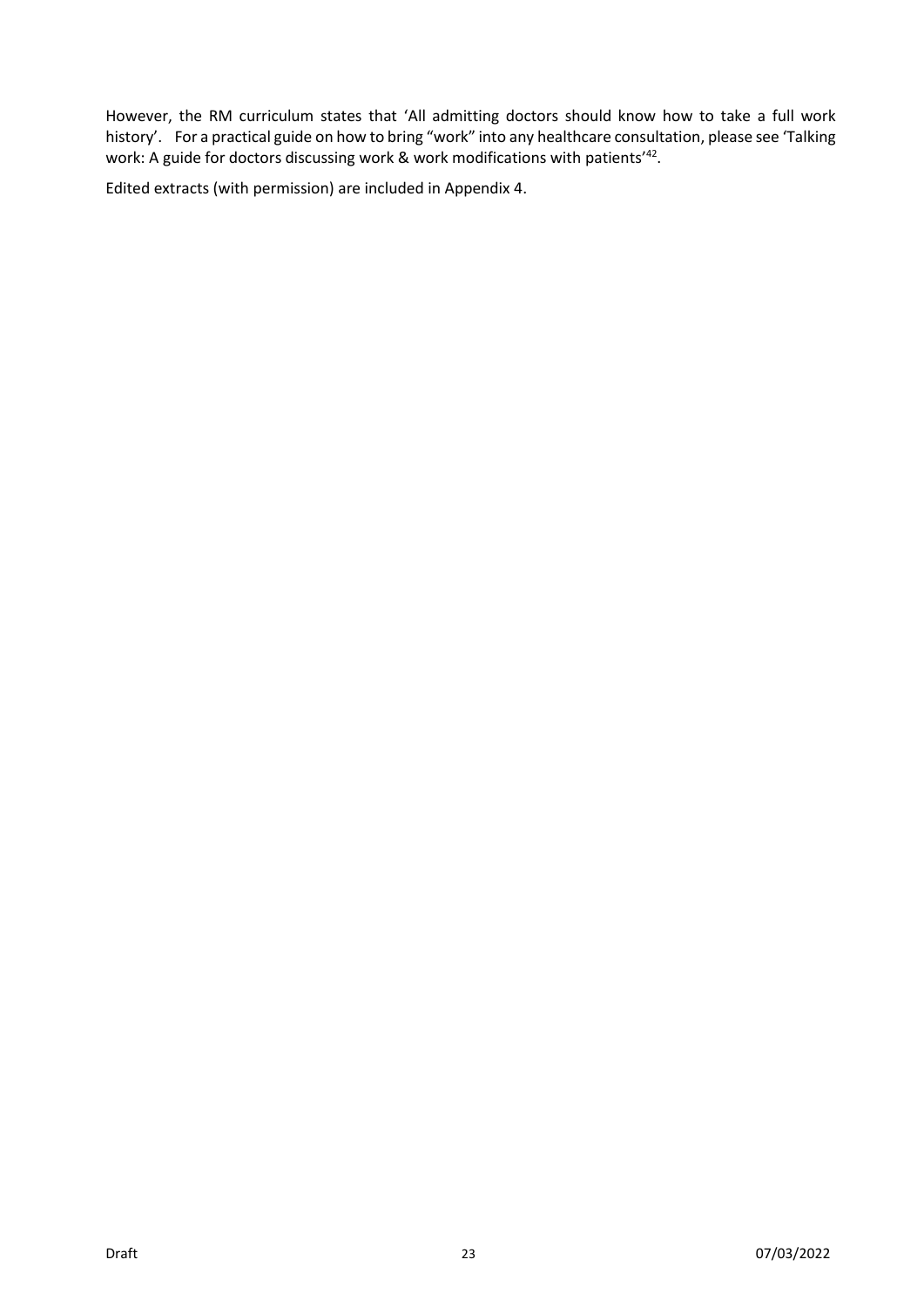However, the RM curriculum states that 'All admitting doctors should know how to take a full work history'. For a practical guide on how to bring "work" into any healthcare consultation, please see 'Talking work: A guide for doctors discussing work & work modifications with patients'<sup>42</sup>.

Edited extracts (with permission) are included in Appendix 4.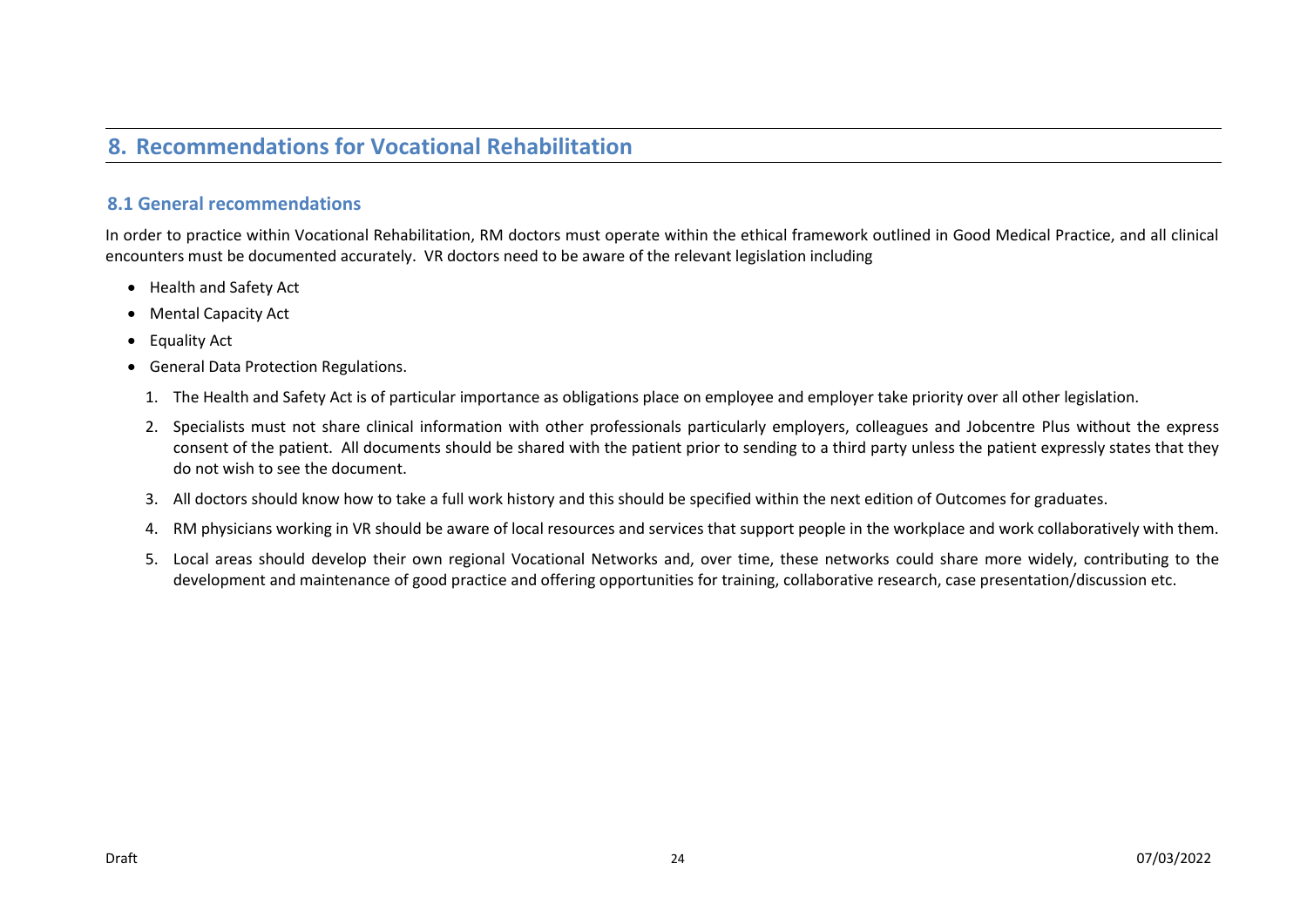# **8. Recommendations for Vocational Rehabilitation**

#### **8.1 General recommendations**

In order to practice within Vocational Rehabilitation, RM doctors must operate within the ethical framework outlined in Good Medical Practice, and all clinical encounters must be documented accurately. VR doctors need to be aware of the relevant legislation including

- Health and Safety Act
- Mental Capacity Act
- Equality Act
- General Data Protection Regulations.
	- 1. The Health and Safety Act is of particular importance as obligations place on employee and employer take priority over all other legislation.
	- 2. Specialists must not share clinical information with other professionals particularly employers, colleagues and Jobcentre Plus without the express consent of the patient. All documents should be shared with the patient prior to sending to a third party unless the patient expressly states that they do not wish to see the document.
	- 3. All doctors should know how to take a full work history and this should be specified within the next edition of Outcomes for graduates.
	- 4. RM physicians working in VR should be aware of local resources and services that support people in the workplace and work collaboratively with them.
	- 5. Local areas should develop their own regional Vocational Networks and, over time, these networks could share more widely, contributing to the development and maintenance of good practice and offering opportunities for training, collaborative research, case presentation/discussion etc.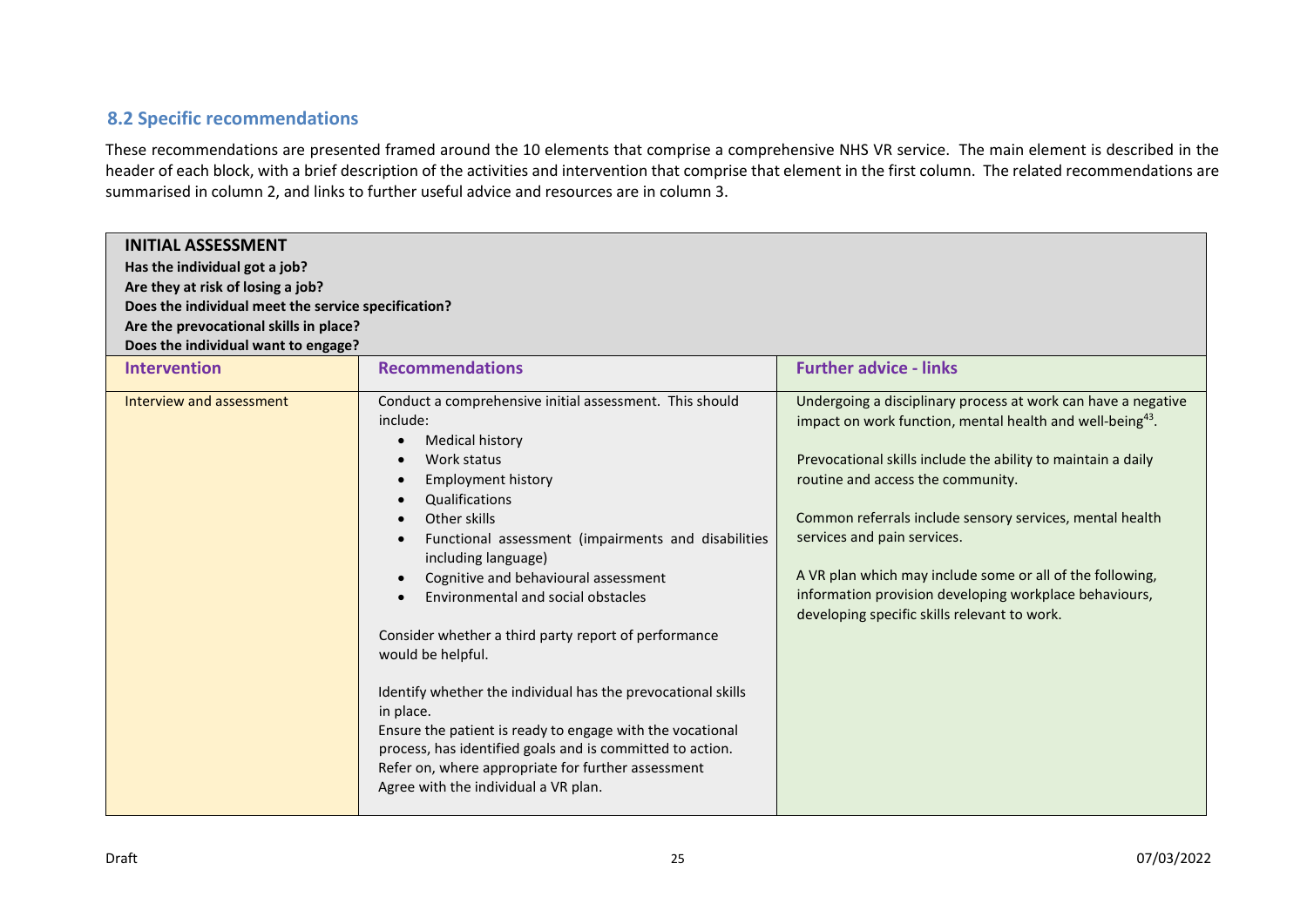#### **8.2 Specific recommendations**

These recommendations are presented framed around the 10 elements that comprise a comprehensive NHS VR service. The main element is described in the header of each block, with a brief description of the activities and intervention that comprise that element in the first column. The related recommendations are summarised in column 2, and links to further useful advice and resources are in column 3.

| <b>INITIAL ASSESSMENT</b><br>Has the individual got a job?<br>Are they at risk of losing a job?<br>Does the individual meet the service specification?<br>Are the prevocational skills in place?<br>Does the individual want to engage? |                                                                                                                                                                                                                                                                                                                                                                                                                                                                                                                                                                                                                                                                                                                    |                                                                                                                                                                                                                                                                                                                                                                                                                                                                                                               |  |  |
|-----------------------------------------------------------------------------------------------------------------------------------------------------------------------------------------------------------------------------------------|--------------------------------------------------------------------------------------------------------------------------------------------------------------------------------------------------------------------------------------------------------------------------------------------------------------------------------------------------------------------------------------------------------------------------------------------------------------------------------------------------------------------------------------------------------------------------------------------------------------------------------------------------------------------------------------------------------------------|---------------------------------------------------------------------------------------------------------------------------------------------------------------------------------------------------------------------------------------------------------------------------------------------------------------------------------------------------------------------------------------------------------------------------------------------------------------------------------------------------------------|--|--|
| Intervention                                                                                                                                                                                                                            | <b>Recommendations</b>                                                                                                                                                                                                                                                                                                                                                                                                                                                                                                                                                                                                                                                                                             | <b>Further advice - links</b>                                                                                                                                                                                                                                                                                                                                                                                                                                                                                 |  |  |
| Interview and assessment                                                                                                                                                                                                                | Conduct a comprehensive initial assessment. This should<br>include:<br>Medical history<br>Work status<br><b>Employment history</b><br>Qualifications<br>Other skills<br>Functional assessment (impairments and disabilities<br>including language)<br>Cognitive and behavioural assessment<br>Environmental and social obstacles<br>Consider whether a third party report of performance<br>would be helpful.<br>Identify whether the individual has the prevocational skills<br>in place.<br>Ensure the patient is ready to engage with the vocational<br>process, has identified goals and is committed to action.<br>Refer on, where appropriate for further assessment<br>Agree with the individual a VR plan. | Undergoing a disciplinary process at work can have a negative<br>impact on work function, mental health and well-being <sup>43</sup> .<br>Prevocational skills include the ability to maintain a daily<br>routine and access the community.<br>Common referrals include sensory services, mental health<br>services and pain services.<br>A VR plan which may include some or all of the following,<br>information provision developing workplace behaviours,<br>developing specific skills relevant to work. |  |  |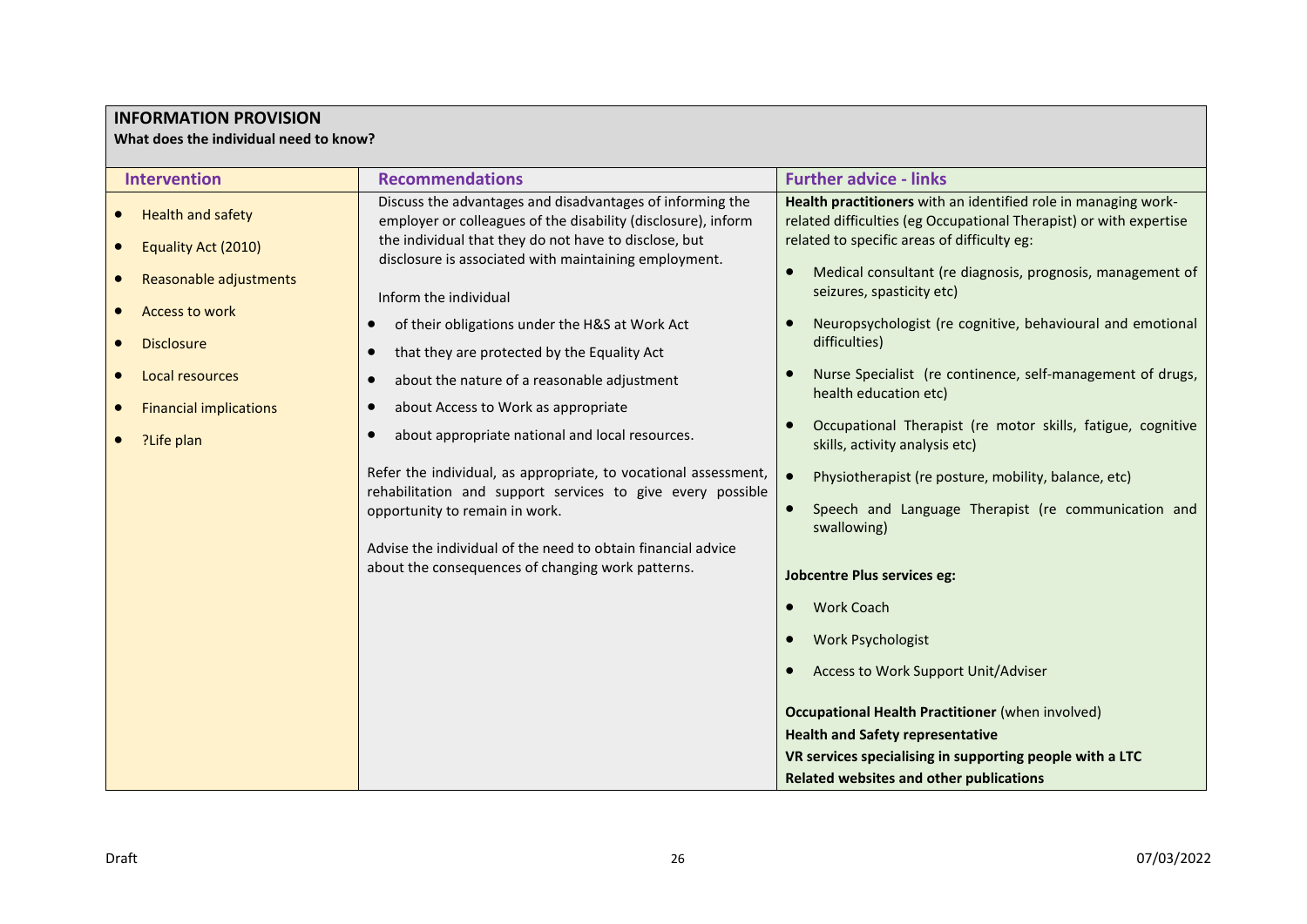#### **INFORMATION PROVISION**

**What does the individual need to know?**

| <b>Intervention</b>                             | <b>Recommendations</b>                                                                                                                                                                                                                                                               | <b>Further advice - links</b>                                                                                                                                                              |
|-------------------------------------------------|--------------------------------------------------------------------------------------------------------------------------------------------------------------------------------------------------------------------------------------------------------------------------------------|--------------------------------------------------------------------------------------------------------------------------------------------------------------------------------------------|
| <b>Health and safety</b><br>Equality Act (2010) | Discuss the advantages and disadvantages of informing the<br>employer or colleagues of the disability (disclosure), inform<br>the individual that they do not have to disclose, but<br>disclosure is associated with maintaining employment.                                         | Health practitioners with an identified role in managing work-<br>related difficulties (eg Occupational Therapist) or with expertise<br>related to specific areas of difficulty eg:        |
| Reasonable adjustments<br><b>Access to work</b> | Inform the individual<br>of their obligations under the H&S at Work Act                                                                                                                                                                                                              | Medical consultant (re diagnosis, prognosis, management of<br>seizures, spasticity etc)<br>Neuropsychologist (re cognitive, behavioural and emotional                                      |
| <b>Disclosure</b><br>Local resources            | that they are protected by the Equality Act<br>about the nature of a reasonable adjustment                                                                                                                                                                                           | difficulties)<br>Nurse Specialist (re continence, self-management of drugs,<br>health education etc)                                                                                       |
| <b>Financial implications</b><br>?Life plan     | about Access to Work as appropriate<br>$\bullet$<br>about appropriate national and local resources.                                                                                                                                                                                  | Occupational Therapist (re motor skills, fatigue, cognitive<br>skills, activity analysis etc)                                                                                              |
|                                                 | Refer the individual, as appropriate, to vocational assessment,<br>rehabilitation and support services to give every possible<br>opportunity to remain in work.<br>Advise the individual of the need to obtain financial advice<br>about the consequences of changing work patterns. | Physiotherapist (re posture, mobility, balance, etc)<br>$\bullet$<br>Speech and Language Therapist (re communication and<br>swallowing)<br><b>Jobcentre Plus services eg:</b>              |
|                                                 |                                                                                                                                                                                                                                                                                      | <b>Work Coach</b><br><b>Work Psychologist</b><br>Access to Work Support Unit/Adviser<br><b>Occupational Health Practitioner (when involved)</b><br><b>Health and Safety representative</b> |
|                                                 |                                                                                                                                                                                                                                                                                      | VR services specialising in supporting people with a LTC<br><b>Related websites and other publications</b>                                                                                 |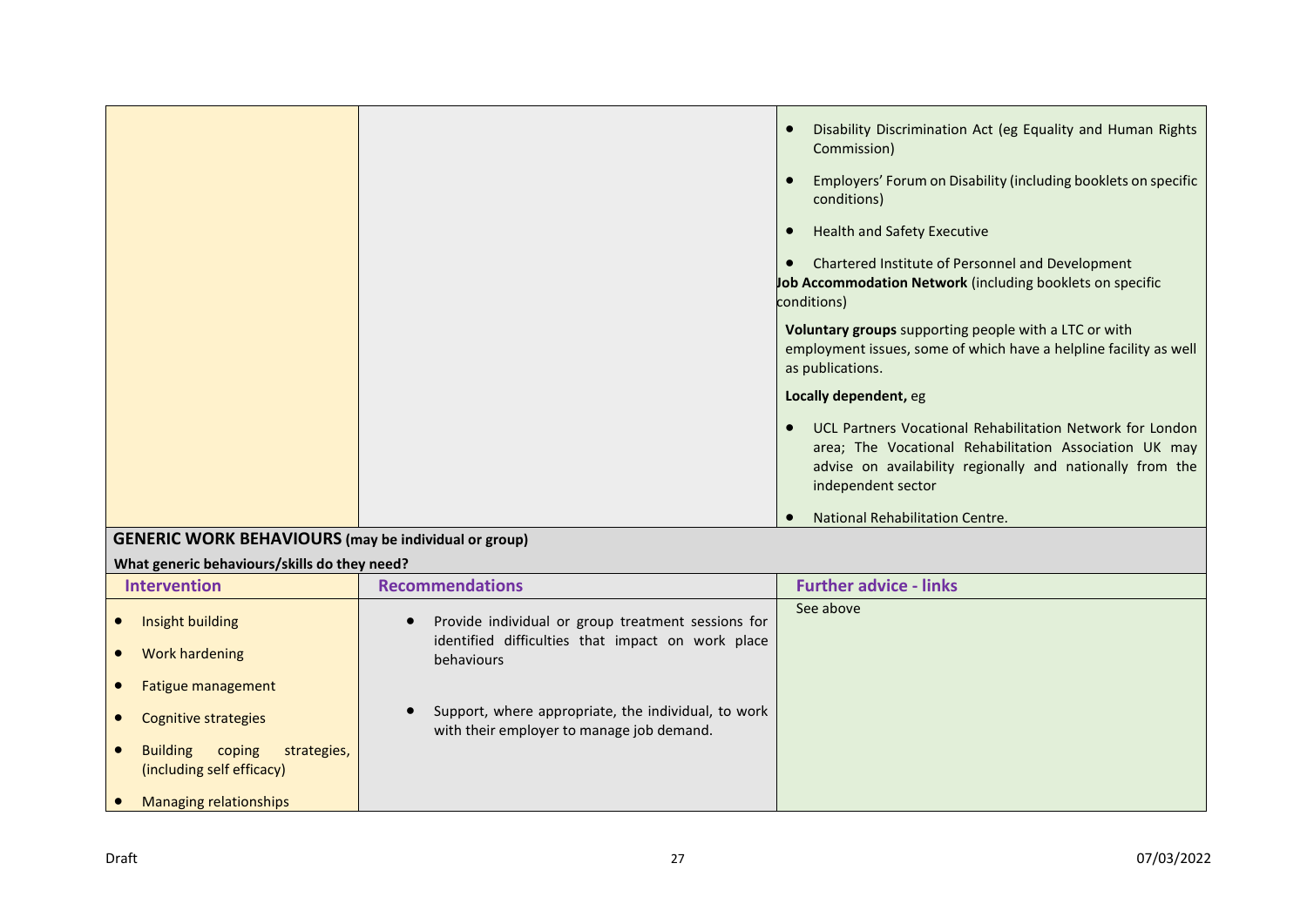|                                                          | Disability Discrimination Act (eg Equality and Human Rights<br>Commission)                                                                                                                             |
|----------------------------------------------------------|--------------------------------------------------------------------------------------------------------------------------------------------------------------------------------------------------------|
|                                                          | Employers' Forum on Disability (including booklets on specific<br>conditions)                                                                                                                          |
|                                                          | <b>Health and Safety Executive</b>                                                                                                                                                                     |
|                                                          | Chartered Institute of Personnel and Development<br>Job Accommodation Network (including booklets on specific<br>conditions)                                                                           |
|                                                          | Voluntary groups supporting people with a LTC or with<br>employment issues, some of which have a helpline facility as well<br>as publications.                                                         |
|                                                          | Locally dependent, eg                                                                                                                                                                                  |
|                                                          | UCL Partners Vocational Rehabilitation Network for London<br>area; The Vocational Rehabilitation Association UK may<br>advise on availability regionally and nationally from the<br>independent sector |
| $CENEDIC MOPV BEHANIOIIDE (max the individual or grain)$ | National Rehabilitation Centre.                                                                                                                                                                        |

### **GENERIC WORK BEHAVIOURS (may be individual or group)**

#### **What generic behaviours/skills do they need?**

| <b>Intervention</b>                                                   | <b>Recommendations</b>                                                                           | <b>Further advice - links</b> |
|-----------------------------------------------------------------------|--------------------------------------------------------------------------------------------------|-------------------------------|
| Insight building                                                      | Provide individual or group treatment sessions for                                               | See above                     |
| Work hardening                                                        | identified difficulties that impact on work place<br>behaviours                                  |                               |
| Fatigue management                                                    |                                                                                                  |                               |
| Cognitive strategies                                                  | Support, where appropriate, the individual, to work<br>with their employer to manage job demand. |                               |
| <b>Building</b><br>strategies,<br>coping<br>(including self efficacy) |                                                                                                  |                               |
| Managing relationships                                                |                                                                                                  |                               |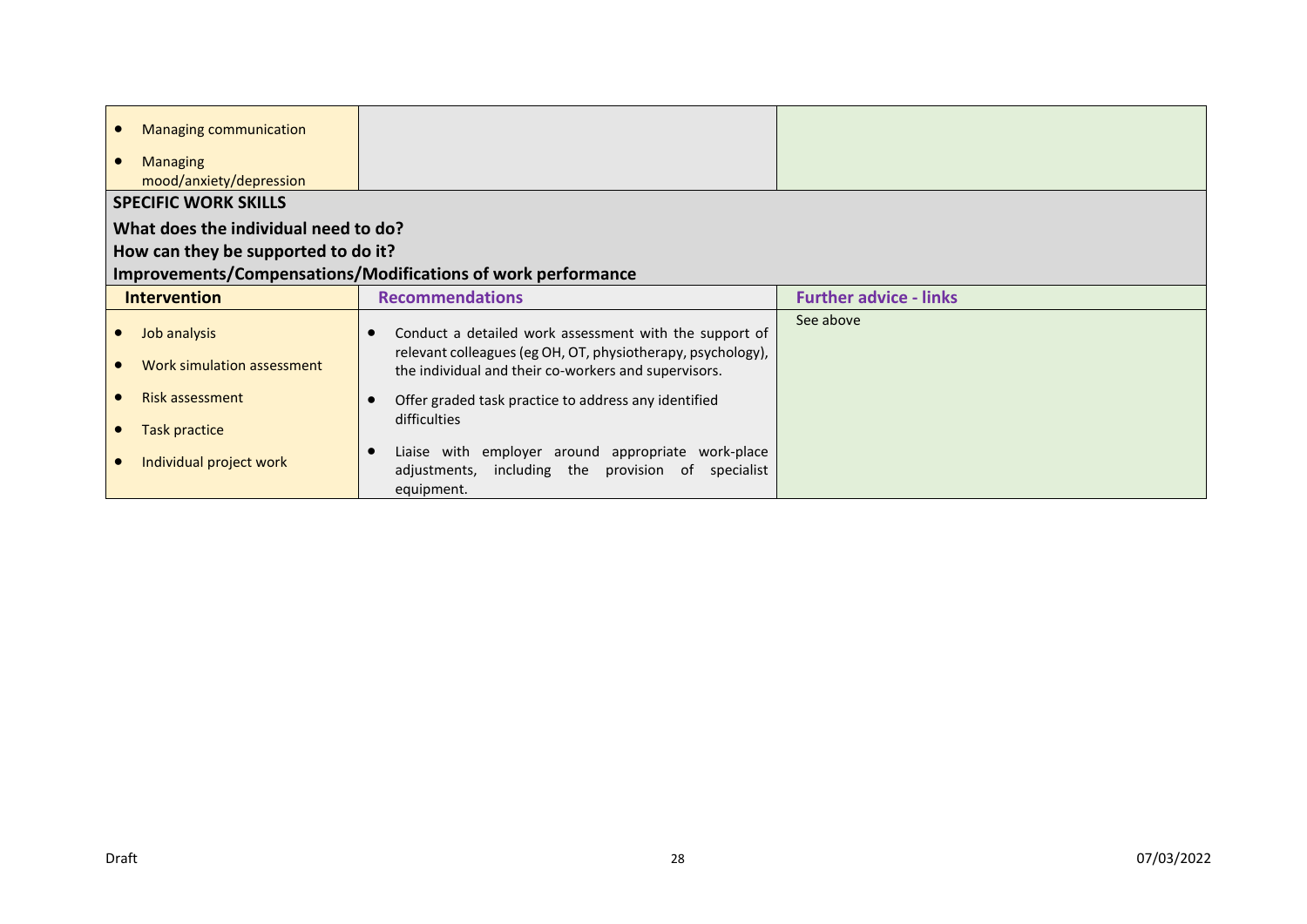| <b>Managing communication</b><br><b>Managing</b><br>mood/anxiety/depression                                                                 |                                                                                                                                                                                                   |                               |  |  |
|---------------------------------------------------------------------------------------------------------------------------------------------|---------------------------------------------------------------------------------------------------------------------------------------------------------------------------------------------------|-------------------------------|--|--|
| <b>SPECIFIC WORK SKILLS</b>                                                                                                                 |                                                                                                                                                                                                   |                               |  |  |
| What does the individual need to do?<br>How can they be supported to do it?<br>Improvements/Compensations/Modifications of work performance |                                                                                                                                                                                                   |                               |  |  |
| <b>Intervention</b>                                                                                                                         | <b>Recommendations</b>                                                                                                                                                                            | <b>Further advice - links</b> |  |  |
| Job analysis<br>Work simulation assessment                                                                                                  | Conduct a detailed work assessment with the support of<br>relevant colleagues (eg OH, OT, physiotherapy, psychology),<br>the individual and their co-workers and supervisors.                     | See above                     |  |  |
| <b>Risk assessment</b><br><b>Task practice</b><br>Individual project work                                                                   | Offer graded task practice to address any identified<br>difficulties<br>Liaise with employer around appropriate work-place<br>including the provision of specialist<br>adjustments,<br>equipment. |                               |  |  |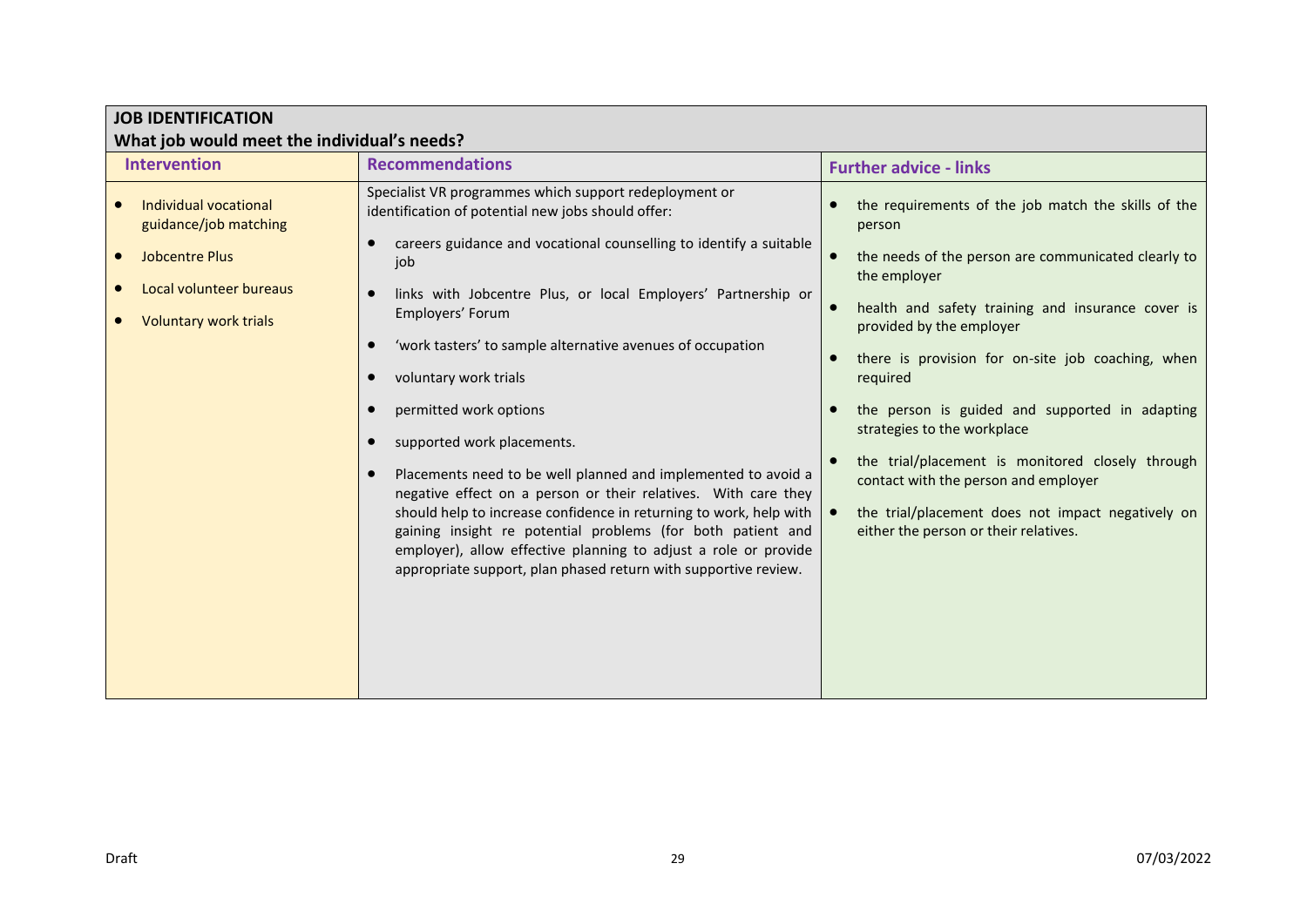| <b>JOB IDENTIFICATION</b>                                                                                                          |                                                                                                                                                                                                                                                                                                                                                                                                                                                                                                                                                                                                                                                                                                                                                                                                                                             |                                                                                                                                                                                                                                                                                                                                                                                                                                                                                                                                                                   |  |  |
|------------------------------------------------------------------------------------------------------------------------------------|---------------------------------------------------------------------------------------------------------------------------------------------------------------------------------------------------------------------------------------------------------------------------------------------------------------------------------------------------------------------------------------------------------------------------------------------------------------------------------------------------------------------------------------------------------------------------------------------------------------------------------------------------------------------------------------------------------------------------------------------------------------------------------------------------------------------------------------------|-------------------------------------------------------------------------------------------------------------------------------------------------------------------------------------------------------------------------------------------------------------------------------------------------------------------------------------------------------------------------------------------------------------------------------------------------------------------------------------------------------------------------------------------------------------------|--|--|
| What job would meet the individual's needs?                                                                                        |                                                                                                                                                                                                                                                                                                                                                                                                                                                                                                                                                                                                                                                                                                                                                                                                                                             |                                                                                                                                                                                                                                                                                                                                                                                                                                                                                                                                                                   |  |  |
| <b>Intervention</b>                                                                                                                | <b>Recommendations</b>                                                                                                                                                                                                                                                                                                                                                                                                                                                                                                                                                                                                                                                                                                                                                                                                                      | <b>Further advice - links</b>                                                                                                                                                                                                                                                                                                                                                                                                                                                                                                                                     |  |  |
| Individual vocational<br>guidance/job matching<br><b>Jobcentre Plus</b><br>Local volunteer bureaus<br><b>Voluntary work trials</b> | Specialist VR programmes which support redeployment or<br>identification of potential new jobs should offer:<br>careers guidance and vocational counselling to identify a suitable<br>job<br>links with Jobcentre Plus, or local Employers' Partnership or<br>Employers' Forum<br>'work tasters' to sample alternative avenues of occupation<br>voluntary work trials<br>permitted work options<br>supported work placements.<br>Placements need to be well planned and implemented to avoid a<br>negative effect on a person or their relatives. With care they<br>should help to increase confidence in returning to work, help with<br>gaining insight re potential problems (for both patient and<br>employer), allow effective planning to adjust a role or provide<br>appropriate support, plan phased return with supportive review. | the requirements of the job match the skills of the<br>person<br>the needs of the person are communicated clearly to<br>the employer<br>health and safety training and insurance cover is<br>provided by the employer<br>there is provision for on-site job coaching, when<br>required<br>the person is guided and supported in adapting<br>strategies to the workplace<br>the trial/placement is monitored closely through<br>contact with the person and employer<br>the trial/placement does not impact negatively on<br>either the person or their relatives. |  |  |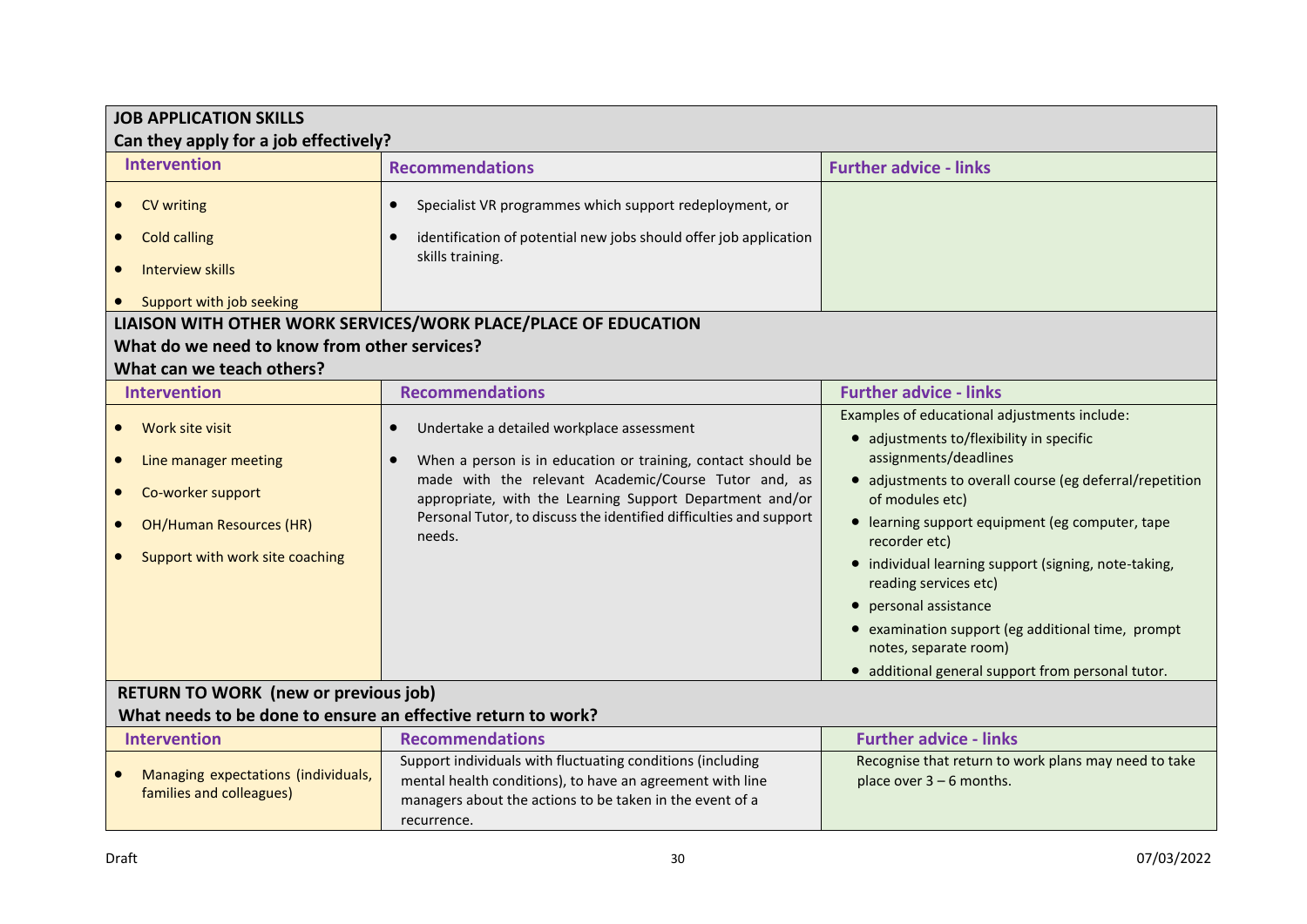| <b>JOB APPLICATION SKILLS</b><br>Can they apply for a job effectively? |                                                                                                                  |                                                                               |  |
|------------------------------------------------------------------------|------------------------------------------------------------------------------------------------------------------|-------------------------------------------------------------------------------|--|
|                                                                        |                                                                                                                  |                                                                               |  |
| <b>Intervention</b>                                                    | <b>Recommendations</b>                                                                                           | <b>Further advice - links</b>                                                 |  |
| CV writing                                                             | Specialist VR programmes which support redeployment, or<br>$\bullet$                                             |                                                                               |  |
| <b>Cold calling</b>                                                    | identification of potential new jobs should offer job application<br>skills training.                            |                                                                               |  |
| <b>Interview skills</b>                                                |                                                                                                                  |                                                                               |  |
| Support with job seeking                                               |                                                                                                                  |                                                                               |  |
|                                                                        | LIAISON WITH OTHER WORK SERVICES/WORK PLACE/PLACE OF EDUCATION                                                   |                                                                               |  |
| What do we need to know from other services?                           |                                                                                                                  |                                                                               |  |
| What can we teach others?                                              |                                                                                                                  |                                                                               |  |
| <b>Intervention</b>                                                    | <b>Recommendations</b>                                                                                           | <b>Further advice - links</b>                                                 |  |
|                                                                        |                                                                                                                  | Examples of educational adjustments include:                                  |  |
| Work site visit                                                        | Undertake a detailed workplace assessment<br>$\bullet$                                                           | • adjustments to/flexibility in specific                                      |  |
| Line manager meeting<br>$\bullet$                                      | When a person is in education or training, contact should be<br>$\bullet$                                        | assignments/deadlines                                                         |  |
| Co-worker support                                                      | made with the relevant Academic/Course Tutor and, as<br>appropriate, with the Learning Support Department and/or | • adjustments to overall course (eg deferral/repetition<br>of modules etc)    |  |
| <b>OH/Human Resources (HR)</b>                                         | Personal Tutor, to discuss the identified difficulties and support<br>needs.                                     | • learning support equipment (eg computer, tape<br>recorder etc)              |  |
| Support with work site coaching                                        |                                                                                                                  | • individual learning support (signing, note-taking,<br>reading services etc) |  |
|                                                                        |                                                                                                                  | • personal assistance                                                         |  |
|                                                                        |                                                                                                                  | • examination support (eg additional time, prompt                             |  |
|                                                                        |                                                                                                                  | notes, separate room)                                                         |  |
|                                                                        |                                                                                                                  | · additional general support from personal tutor.                             |  |
| <b>RETURN TO WORK (new or previous job)</b>                            |                                                                                                                  |                                                                               |  |
| What needs to be done to ensure an effective return to work?           |                                                                                                                  |                                                                               |  |
| <b>Intervention</b>                                                    | <b>Recommendations</b>                                                                                           | <b>Further advice - links</b>                                                 |  |
| Managing expectations (individuals,                                    | Support individuals with fluctuating conditions (including                                                       | Recognise that return to work plans may need to take                          |  |
| families and colleagues)                                               | mental health conditions), to have an agreement with line                                                        | place over $3 - 6$ months.                                                    |  |
|                                                                        | managers about the actions to be taken in the event of a                                                         |                                                                               |  |
|                                                                        | recurrence.                                                                                                      |                                                                               |  |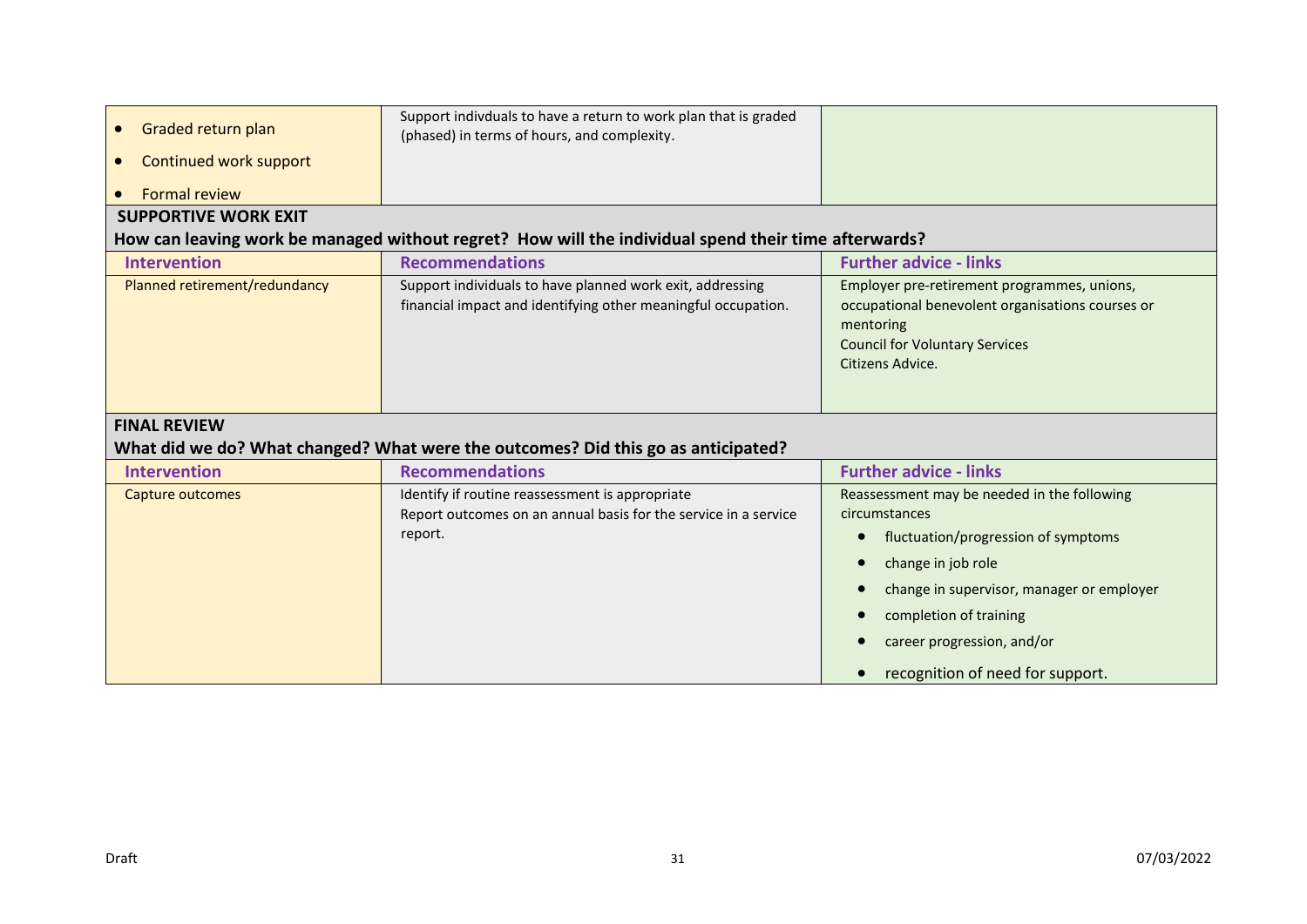| Graded return plan<br>$\bullet$<br>Continued work support<br>$\bullet$ | Support indivduals to have a return to work plan that is graded<br>(phased) in terms of hours, and complexity.                                                                                                                                                                                          |                                                                                                                                                                                                                                                                    |  |  |  |  |  |
|------------------------------------------------------------------------|---------------------------------------------------------------------------------------------------------------------------------------------------------------------------------------------------------------------------------------------------------------------------------------------------------|--------------------------------------------------------------------------------------------------------------------------------------------------------------------------------------------------------------------------------------------------------------------|--|--|--|--|--|
| <b>Formal review</b>                                                   |                                                                                                                                                                                                                                                                                                         |                                                                                                                                                                                                                                                                    |  |  |  |  |  |
| <b>SUPPORTIVE WORK EXIT</b>                                            |                                                                                                                                                                                                                                                                                                         |                                                                                                                                                                                                                                                                    |  |  |  |  |  |
|                                                                        | How can leaving work be managed without regret? How will the individual spend their time afterwards?                                                                                                                                                                                                    |                                                                                                                                                                                                                                                                    |  |  |  |  |  |
| <b>Intervention</b>                                                    | <b>Recommendations</b>                                                                                                                                                                                                                                                                                  | <b>Further advice - links</b>                                                                                                                                                                                                                                      |  |  |  |  |  |
| Planned retirement/redundancy                                          | Support individuals to have planned work exit, addressing<br>Employer pre-retirement programmes, unions,<br>financial impact and identifying other meaningful occupation.<br>occupational benevolent organisations courses or<br>mentoring<br><b>Council for Voluntary Services</b><br>Citizens Advice. |                                                                                                                                                                                                                                                                    |  |  |  |  |  |
| <b>FINAL REVIEW</b>                                                    | What did we do? What changed? What were the outcomes? Did this go as anticipated?                                                                                                                                                                                                                       |                                                                                                                                                                                                                                                                    |  |  |  |  |  |
| <b>Intervention</b>                                                    | <b>Recommendations</b>                                                                                                                                                                                                                                                                                  | <b>Further advice - links</b>                                                                                                                                                                                                                                      |  |  |  |  |  |
| Capture outcomes                                                       | Identify if routine reassessment is appropriate<br>Report outcomes on an annual basis for the service in a service<br>report.                                                                                                                                                                           | Reassessment may be needed in the following<br>circumstances<br>fluctuation/progression of symptoms<br>change in job role<br>change in supervisor, manager or employer<br>completion of training<br>career progression, and/or<br>recognition of need for support. |  |  |  |  |  |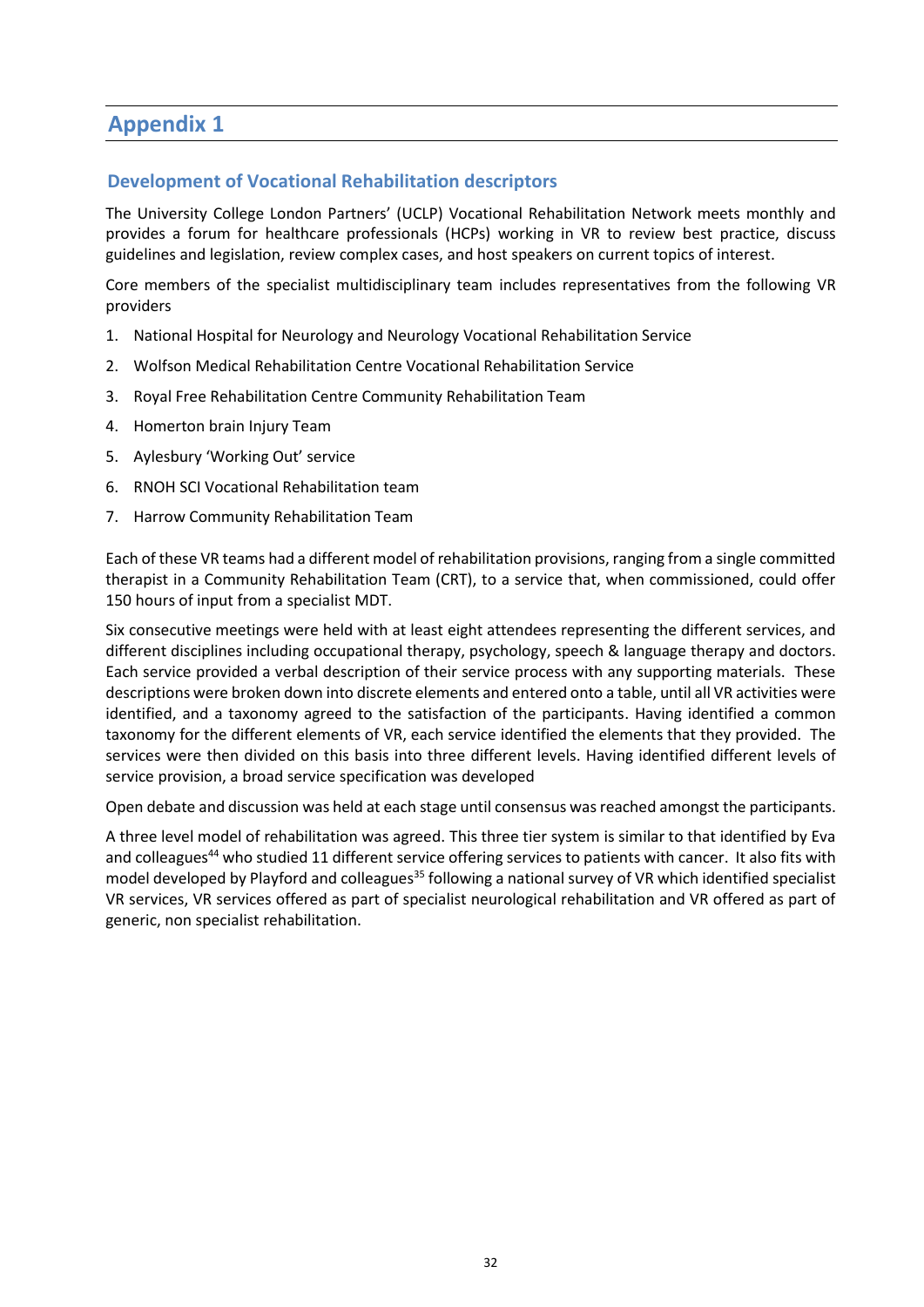# **Appendix 1**

#### **Development of Vocational Rehabilitation descriptors**

The University College London Partners' (UCLP) Vocational Rehabilitation Network meets monthly and provides a forum for healthcare professionals (HCPs) working in VR to review best practice, discuss guidelines and legislation, review complex cases, and host speakers on current topics of interest.

Core members of the specialist multidisciplinary team includes representatives from the following VR providers

- 1. National Hospital for Neurology and Neurology Vocational Rehabilitation Service
- 2. Wolfson Medical Rehabilitation Centre Vocational Rehabilitation Service
- 3. Royal Free Rehabilitation Centre Community Rehabilitation Team
- 4. Homerton brain Injury Team
- 5. Aylesbury 'Working Out' service
- 6. RNOH SCI Vocational Rehabilitation team
- 7. Harrow Community Rehabilitation Team

Each of these VR teams had a different model of rehabilitation provisions, ranging from a single committed therapist in a Community Rehabilitation Team (CRT), to a service that, when commissioned, could offer 150 hours of input from a specialist MDT.

Six consecutive meetings were held with at least eight attendees representing the different services, and different disciplines including occupational therapy, psychology, speech & language therapy and doctors. Each service provided a verbal description of their service process with any supporting materials. These descriptions were broken down into discrete elements and entered onto a table, until all VR activities were identified, and a taxonomy agreed to the satisfaction of the participants. Having identified a common taxonomy for the different elements of VR, each service identified the elements that they provided. The services were then divided on this basis into three different levels. Having identified different levels of service provision, a broad service specification was developed

Open debate and discussion was held at each stage until consensus was reached amongst the participants.

A three level model of rehabilitation was agreed. This three tier system is similar to that identified by Eva and colleagues<sup>44</sup> who studied 11 different service offering services to patients with cancer. It also fits with model developed by Playford and colleagues<sup>35</sup> following a national survey of VR which identified specialist VR services, VR services offered as part of specialist neurological rehabilitation and VR offered as part of generic, non specialist rehabilitation.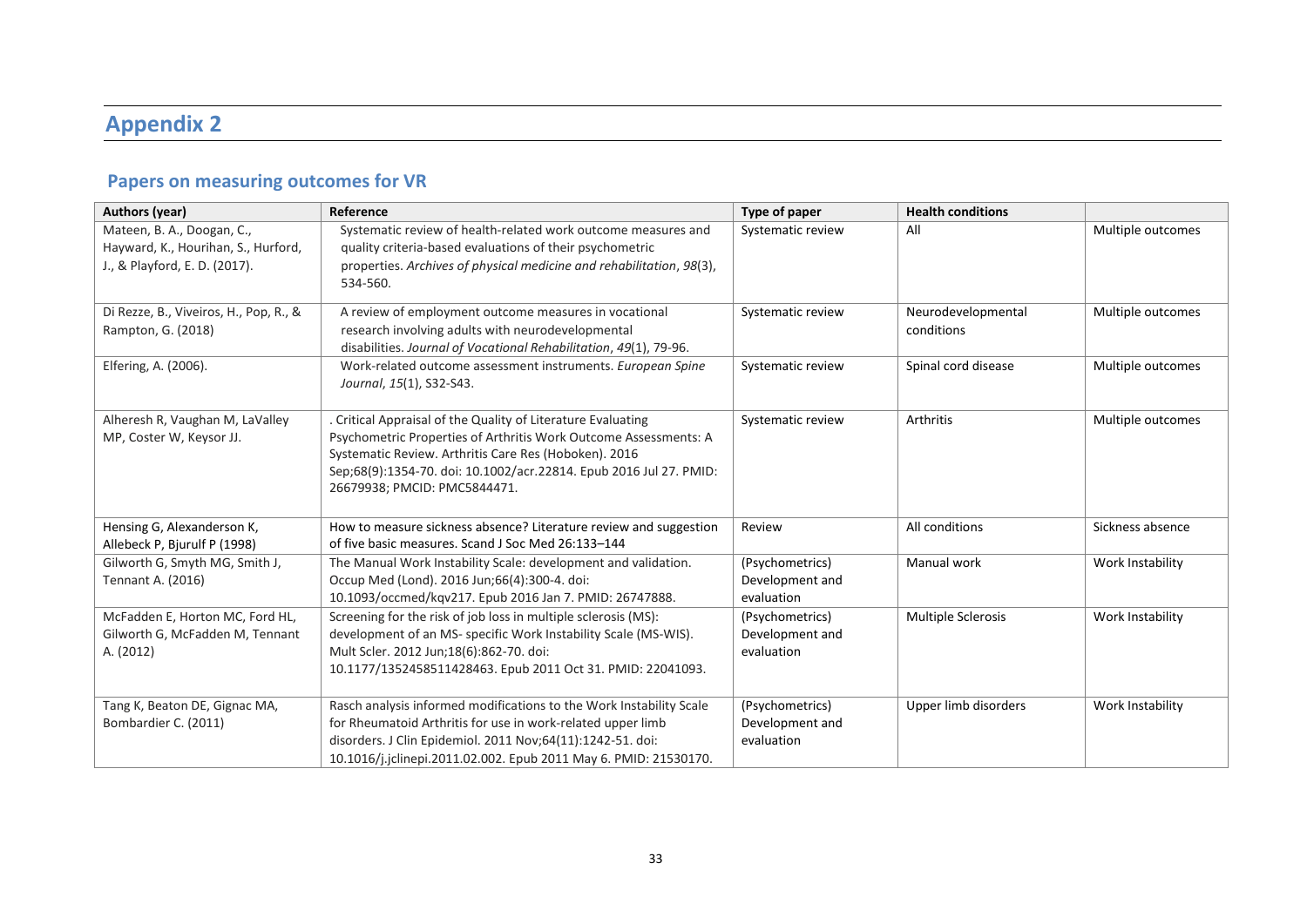# **Appendix 2**

# **Papers on measuring outcomes for VR**

| <b>Authors (year)</b>                                                                              | Reference                                                                                                                                                                                                                                                                                       | Type of paper                                    | <b>Health conditions</b>         |                   |
|----------------------------------------------------------------------------------------------------|-------------------------------------------------------------------------------------------------------------------------------------------------------------------------------------------------------------------------------------------------------------------------------------------------|--------------------------------------------------|----------------------------------|-------------------|
| Mateen, B. A., Doogan, C.,<br>Hayward, K., Hourihan, S., Hurford,<br>J., & Playford, E. D. (2017). | Systematic review of health-related work outcome measures and<br>quality criteria-based evaluations of their psychometric<br>properties. Archives of physical medicine and rehabilitation, 98(3),<br>534-560.                                                                                   | Systematic review                                | All                              | Multiple outcomes |
| Di Rezze, B., Viveiros, H., Pop, R., &<br>Rampton, G. (2018)                                       | A review of employment outcome measures in vocational<br>research involving adults with neurodevelopmental<br>disabilities. Journal of Vocational Rehabilitation, 49(1), 79-96.                                                                                                                 | Systematic review                                | Neurodevelopmental<br>conditions | Multiple outcomes |
| Elfering, A. (2006).                                                                               | Work-related outcome assessment instruments. European Spine<br>Journal, 15(1), S32-S43.                                                                                                                                                                                                         | Systematic review                                | Spinal cord disease              | Multiple outcomes |
| Alheresh R, Vaughan M, LaValley<br>MP, Coster W, Keysor JJ.                                        | . Critical Appraisal of the Quality of Literature Evaluating<br>Psychometric Properties of Arthritis Work Outcome Assessments: A<br>Systematic Review. Arthritis Care Res (Hoboken). 2016<br>Sep;68(9):1354-70. doi: 10.1002/acr.22814. Epub 2016 Jul 27. PMID:<br>26679938; PMCID: PMC5844471. | Systematic review                                | Arthritis                        | Multiple outcomes |
| Hensing G, Alexanderson K,<br>Allebeck P, Bjurulf P (1998)                                         | How to measure sickness absence? Literature review and suggestion<br>of five basic measures. Scand J Soc Med 26:133-144                                                                                                                                                                         | Review                                           | All conditions                   | Sickness absence  |
| Gilworth G, Smyth MG, Smith J,<br>Tennant A. (2016)                                                | The Manual Work Instability Scale: development and validation.<br>Occup Med (Lond). 2016 Jun;66(4):300-4. doi:<br>10.1093/occmed/kqv217. Epub 2016 Jan 7. PMID: 26747888.                                                                                                                       | (Psychometrics)<br>Development and<br>evaluation | Manual work                      | Work Instability  |
| McFadden E, Horton MC, Ford HL,<br>Gilworth G, McFadden M, Tennant<br>A. (2012)                    | Screening for the risk of job loss in multiple sclerosis (MS):<br>development of an MS- specific Work Instability Scale (MS-WIS).<br>Mult Scler. 2012 Jun;18(6):862-70. doi:<br>10.1177/1352458511428463. Epub 2011 Oct 31. PMID: 22041093.                                                     | (Psychometrics)<br>Development and<br>evaluation | <b>Multiple Sclerosis</b>        | Work Instability  |
| Tang K, Beaton DE, Gignac MA,<br>Bombardier C. (2011)                                              | Rasch analysis informed modifications to the Work Instability Scale<br>for Rheumatoid Arthritis for use in work-related upper limb<br>disorders. J Clin Epidemiol. 2011 Nov;64(11):1242-51. doi:<br>10.1016/j.jclinepi.2011.02.002. Epub 2011 May 6. PMID: 21530170.                            | (Psychometrics)<br>Development and<br>evaluation | Upper limb disorders             | Work Instability  |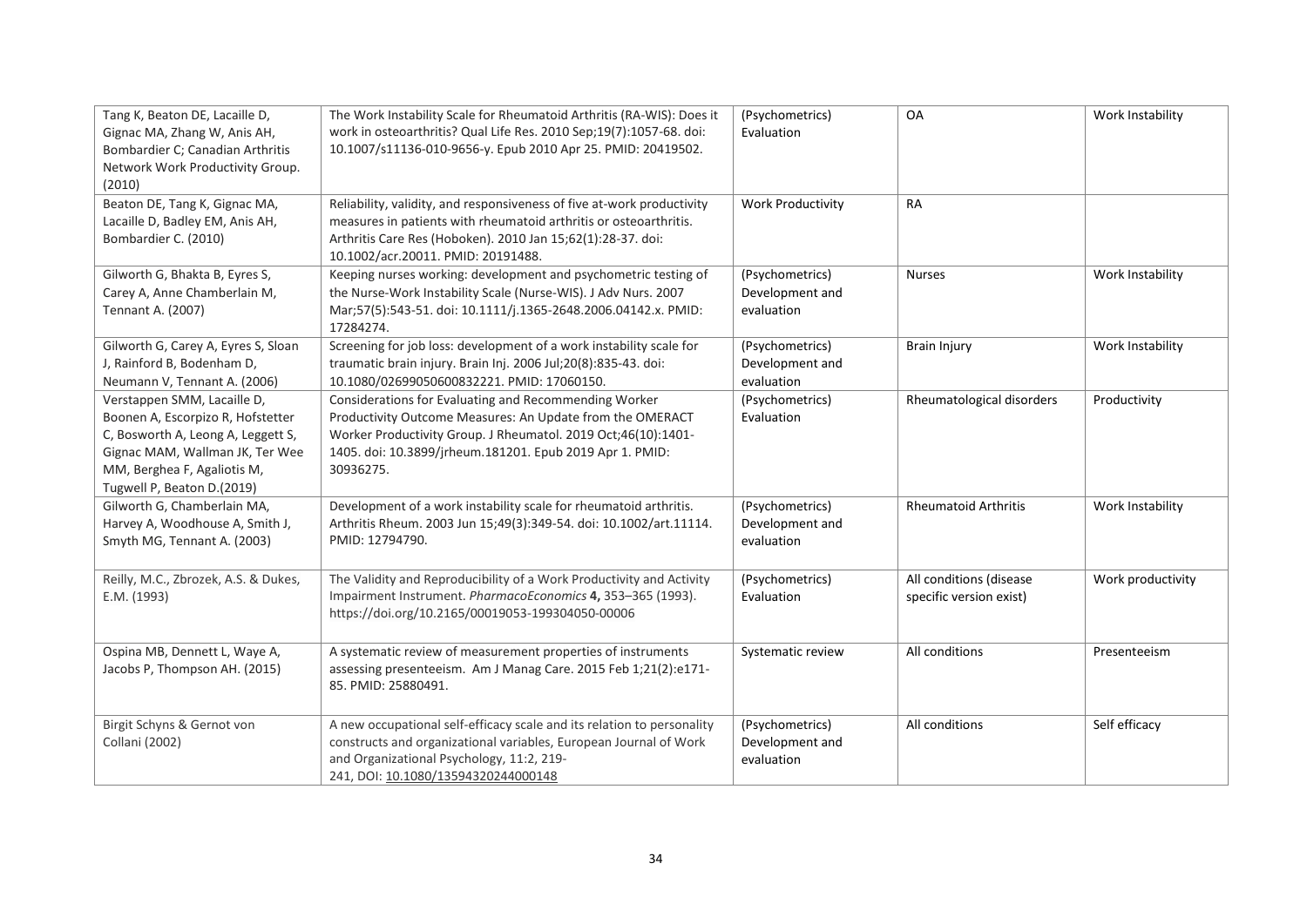| Tang K, Beaton DE, Lacaille D,<br>Gignac MA, Zhang W, Anis AH,<br>Bombardier C; Canadian Arthritis<br>Network Work Productivity Group.<br>(2010)                                                       | The Work Instability Scale for Rheumatoid Arthritis (RA-WIS): Does it<br>work in osteoarthritis? Qual Life Res. 2010 Sep;19(7):1057-68. doi:<br>10.1007/s11136-010-9656-y. Epub 2010 Apr 25. PMID: 20419502.                                                 | (Psychometrics)<br>Evaluation                    | OA                                                 | Work Instability  |
|--------------------------------------------------------------------------------------------------------------------------------------------------------------------------------------------------------|--------------------------------------------------------------------------------------------------------------------------------------------------------------------------------------------------------------------------------------------------------------|--------------------------------------------------|----------------------------------------------------|-------------------|
| Beaton DE, Tang K, Gignac MA,<br>Lacaille D, Badley EM, Anis AH,<br>Bombardier C. (2010)                                                                                                               | Reliability, validity, and responsiveness of five at-work productivity<br>measures in patients with rheumatoid arthritis or osteoarthritis.<br>Arthritis Care Res (Hoboken). 2010 Jan 15;62(1):28-37. doi:<br>10.1002/acr.20011. PMID: 20191488.             | <b>Work Productivity</b>                         | RA                                                 |                   |
| Gilworth G, Bhakta B, Eyres S,<br>Carey A, Anne Chamberlain M,<br>Tennant A. (2007)                                                                                                                    | Keeping nurses working: development and psychometric testing of<br>the Nurse-Work Instability Scale (Nurse-WIS). J Adv Nurs. 2007<br>Mar;57(5):543-51. doi: 10.1111/j.1365-2648.2006.04142.x. PMID:<br>17284274.                                             | (Psychometrics)<br>Development and<br>evaluation | <b>Nurses</b>                                      | Work Instability  |
| Gilworth G, Carey A, Eyres S, Sloan<br>J, Rainford B, Bodenham D,<br>Neumann V, Tennant A. (2006)                                                                                                      | Screening for job loss: development of a work instability scale for<br>traumatic brain injury. Brain Inj. 2006 Jul;20(8):835-43. doi:<br>10.1080/02699050600832221. PMID: 17060150.                                                                          | (Psychometrics)<br>Development and<br>evaluation | <b>Brain Injury</b>                                | Work Instability  |
| Verstappen SMM, Lacaille D,<br>Boonen A, Escorpizo R, Hofstetter<br>C, Bosworth A, Leong A, Leggett S,<br>Gignac MAM, Wallman JK, Ter Wee<br>MM, Berghea F, Agaliotis M,<br>Tugwell P, Beaton D.(2019) | Considerations for Evaluating and Recommending Worker<br>Productivity Outcome Measures: An Update from the OMERACT<br>Worker Productivity Group. J Rheumatol. 2019 Oct;46(10):1401-<br>1405. doi: 10.3899/jrheum.181201. Epub 2019 Apr 1. PMID:<br>30936275. | (Psychometrics)<br>Evaluation                    | Rheumatological disorders                          | Productivity      |
| Gilworth G, Chamberlain MA,<br>Harvey A, Woodhouse A, Smith J,<br>Smyth MG, Tennant A. (2003)                                                                                                          | Development of a work instability scale for rheumatoid arthritis.<br>Arthritis Rheum. 2003 Jun 15;49(3):349-54. doi: 10.1002/art.11114.<br>PMID: 12794790.                                                                                                   | (Psychometrics)<br>Development and<br>evaluation | <b>Rheumatoid Arthritis</b>                        | Work Instability  |
| Reilly, M.C., Zbrozek, A.S. & Dukes,<br>E.M. (1993)                                                                                                                                                    | The Validity and Reproducibility of a Work Productivity and Activity<br>Impairment Instrument. PharmacoEconomics 4, 353-365 (1993).<br>https://doi.org/10.2165/00019053-199304050-00006                                                                      | (Psychometrics)<br>Evaluation                    | All conditions (disease<br>specific version exist) | Work productivity |
| Ospina MB, Dennett L, Waye A,<br>Jacobs P, Thompson AH. (2015)                                                                                                                                         | A systematic review of measurement properties of instruments<br>assessing presenteeism. Am J Manag Care. 2015 Feb 1;21(2):e171-<br>85. PMID: 25880491.                                                                                                       | Systematic review                                | All conditions                                     | Presenteeism      |
| Birgit Schyns & Gernot von<br>Collani (2002)                                                                                                                                                           | A new occupational self-efficacy scale and its relation to personality<br>constructs and organizational variables, European Journal of Work<br>and Organizational Psychology, 11:2, 219-<br>241, DOI: 10.1080/13594320244000148                              | (Psychometrics)<br>Development and<br>evaluation | All conditions                                     | Self efficacy     |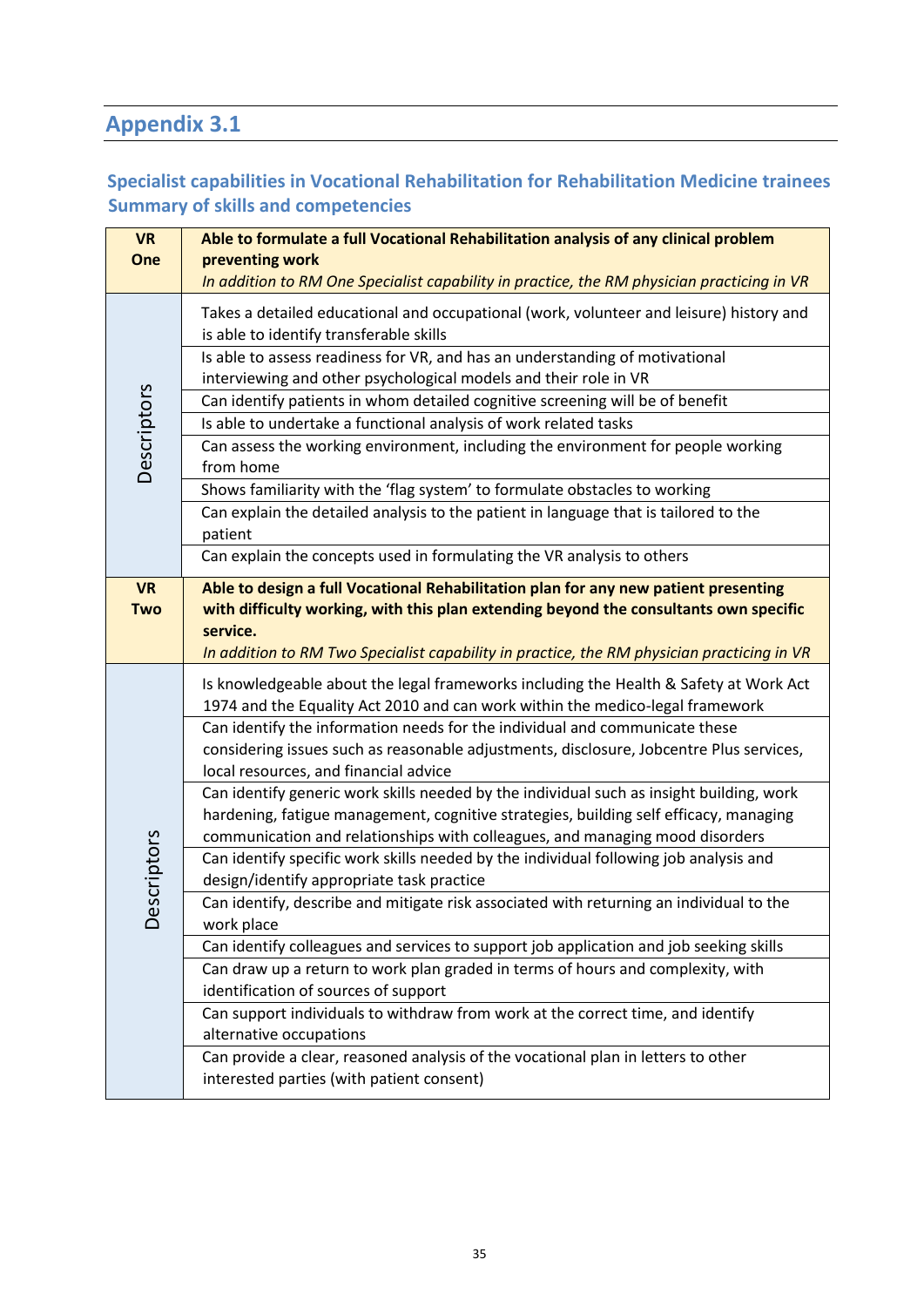# **Appendix 3.1**

# **Specialist capabilities in Vocational Rehabilitation for Rehabilitation Medicine trainees Summary of skills and competencies**

| <b>VR</b>   | Able to formulate a full Vocational Rehabilitation analysis of any clinical problem                                                                                                             |
|-------------|-------------------------------------------------------------------------------------------------------------------------------------------------------------------------------------------------|
| One         | preventing work                                                                                                                                                                                 |
|             | In addition to RM One Specialist capability in practice, the RM physician practicing in VR                                                                                                      |
|             | Takes a detailed educational and occupational (work, volunteer and leisure) history and<br>is able to identify transferable skills                                                              |
|             | Is able to assess readiness for VR, and has an understanding of motivational                                                                                                                    |
|             | interviewing and other psychological models and their role in VR                                                                                                                                |
|             | Can identify patients in whom detailed cognitive screening will be of benefit                                                                                                                   |
|             | Is able to undertake a functional analysis of work related tasks                                                                                                                                |
| Descriptors | Can assess the working environment, including the environment for people working<br>from home                                                                                                   |
|             | Shows familiarity with the 'flag system' to formulate obstacles to working                                                                                                                      |
|             | Can explain the detailed analysis to the patient in language that is tailored to the<br>patient                                                                                                 |
|             | Can explain the concepts used in formulating the VR analysis to others                                                                                                                          |
| <b>VR</b>   | Able to design a full Vocational Rehabilitation plan for any new patient presenting                                                                                                             |
| <b>Two</b>  | with difficulty working, with this plan extending beyond the consultants own specific<br>service.<br>In addition to RM Two Specialist capability in practice, the RM physician practicing in VR |
|             | Is knowledgeable about the legal frameworks including the Health & Safety at Work Act<br>1974 and the Equality Act 2010 and can work within the medico-legal framework                          |
|             | Can identify the information needs for the individual and communicate these                                                                                                                     |
|             | considering issues such as reasonable adjustments, disclosure, Jobcentre Plus services,<br>local resources, and financial advice                                                                |
|             | Can identify generic work skills needed by the individual such as insight building, work                                                                                                        |
|             | hardening, fatigue management, cognitive strategies, building self efficacy, managing                                                                                                           |
|             | communication and relationships with colleagues, and managing mood disorders                                                                                                                    |
|             | Can identify specific work skills needed by the individual following job analysis and                                                                                                           |
|             | design/identify appropriate task practice                                                                                                                                                       |
| Descriptors | Can identify, describe and mitigate risk associated with returning an individual to the<br>work place                                                                                           |
|             | Can identify colleagues and services to support job application and job seeking skills                                                                                                          |
|             | Can draw up a return to work plan graded in terms of hours and complexity, with                                                                                                                 |
|             | identification of sources of support                                                                                                                                                            |
|             | Can support individuals to withdraw from work at the correct time, and identify                                                                                                                 |
|             | alternative occupations                                                                                                                                                                         |
|             | Can provide a clear, reasoned analysis of the vocational plan in letters to other                                                                                                               |
|             | interested parties (with patient consent)                                                                                                                                                       |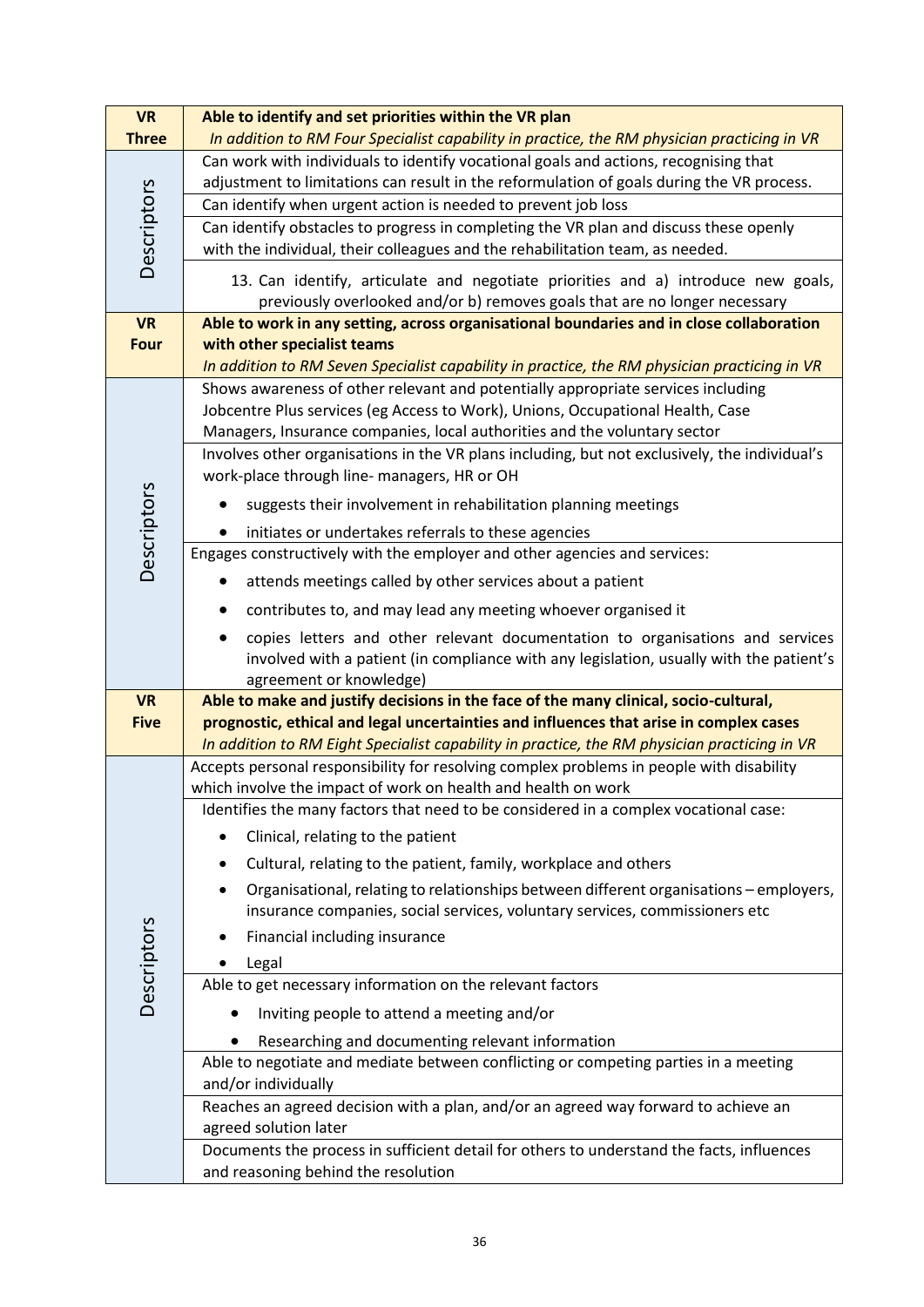| <b>VR</b>                | Able to identify and set priorities within the VR plan                                                                                                                         |
|--------------------------|--------------------------------------------------------------------------------------------------------------------------------------------------------------------------------|
| <b>Three</b>             | In addition to RM Four Specialist capability in practice, the RM physician practicing in VR                                                                                    |
|                          | Can work with individuals to identify vocational goals and actions, recognising that                                                                                           |
|                          | adjustment to limitations can result in the reformulation of goals during the VR process.                                                                                      |
|                          | Can identify when urgent action is needed to prevent job loss                                                                                                                  |
|                          | Can identify obstacles to progress in completing the VR plan and discuss these openly                                                                                          |
| Descriptors              | with the individual, their colleagues and the rehabilitation team, as needed.                                                                                                  |
|                          | 13. Can identify, articulate and negotiate priorities and a) introduce new goals,                                                                                              |
|                          | previously overlooked and/or b) removes goals that are no longer necessary                                                                                                     |
| <b>VR</b>                | Able to work in any setting, across organisational boundaries and in close collaboration                                                                                       |
| <b>Four</b>              | with other specialist teams                                                                                                                                                    |
|                          | In addition to RM Seven Specialist capability in practice, the RM physician practicing in VR                                                                                   |
|                          | Shows awareness of other relevant and potentially appropriate services including<br>Jobcentre Plus services (eg Access to Work), Unions, Occupational Health, Case             |
|                          | Managers, Insurance companies, local authorities and the voluntary sector                                                                                                      |
|                          | Involves other organisations in the VR plans including, but not exclusively, the individual's                                                                                  |
|                          | work-place through line- managers, HR or OH                                                                                                                                    |
| Descriptors              | suggests their involvement in rehabilitation planning meetings                                                                                                                 |
|                          | initiates or undertakes referrals to these agencies                                                                                                                            |
|                          | Engages constructively with the employer and other agencies and services:                                                                                                      |
|                          | attends meetings called by other services about a patient                                                                                                                      |
|                          | contributes to, and may lead any meeting whoever organised it                                                                                                                  |
|                          | copies letters and other relevant documentation to organisations and services                                                                                                  |
|                          | involved with a patient (in compliance with any legislation, usually with the patient's                                                                                        |
|                          | agreement or knowledge)                                                                                                                                                        |
| <b>VR</b><br><b>Five</b> | Able to make and justify decisions in the face of the many clinical, socio-cultural,<br>prognostic, ethical and legal uncertainties and influences that arise in complex cases |
|                          | In addition to RM Eight Specialist capability in practice, the RM physician practicing in VR                                                                                   |
|                          | Accepts personal responsibility for resolving complex problems in people with disability                                                                                       |
|                          | which involve the impact of work on health and health on work                                                                                                                  |
|                          | Identifies the many factors that need to be considered in a complex vocational case:                                                                                           |
|                          | Clinical, relating to the patient                                                                                                                                              |
|                          | Cultural, relating to the patient, family, workplace and others                                                                                                                |
|                          | Organisational, relating to relationships between different organisations - employers,                                                                                         |
|                          | insurance companies, social services, voluntary services, commissioners etc                                                                                                    |
| Descriptors              | Financial including insurance                                                                                                                                                  |
|                          | Legal                                                                                                                                                                          |
|                          | Able to get necessary information on the relevant factors                                                                                                                      |
|                          | Inviting people to attend a meeting and/or                                                                                                                                     |
|                          |                                                                                                                                                                                |
|                          | Researching and documenting relevant information                                                                                                                               |
|                          | Able to negotiate and mediate between conflicting or competing parties in a meeting                                                                                            |
|                          | and/or individually                                                                                                                                                            |
|                          | Reaches an agreed decision with a plan, and/or an agreed way forward to achieve an                                                                                             |
|                          | agreed solution later<br>Documents the process in sufficient detail for others to understand the facts, influences                                                             |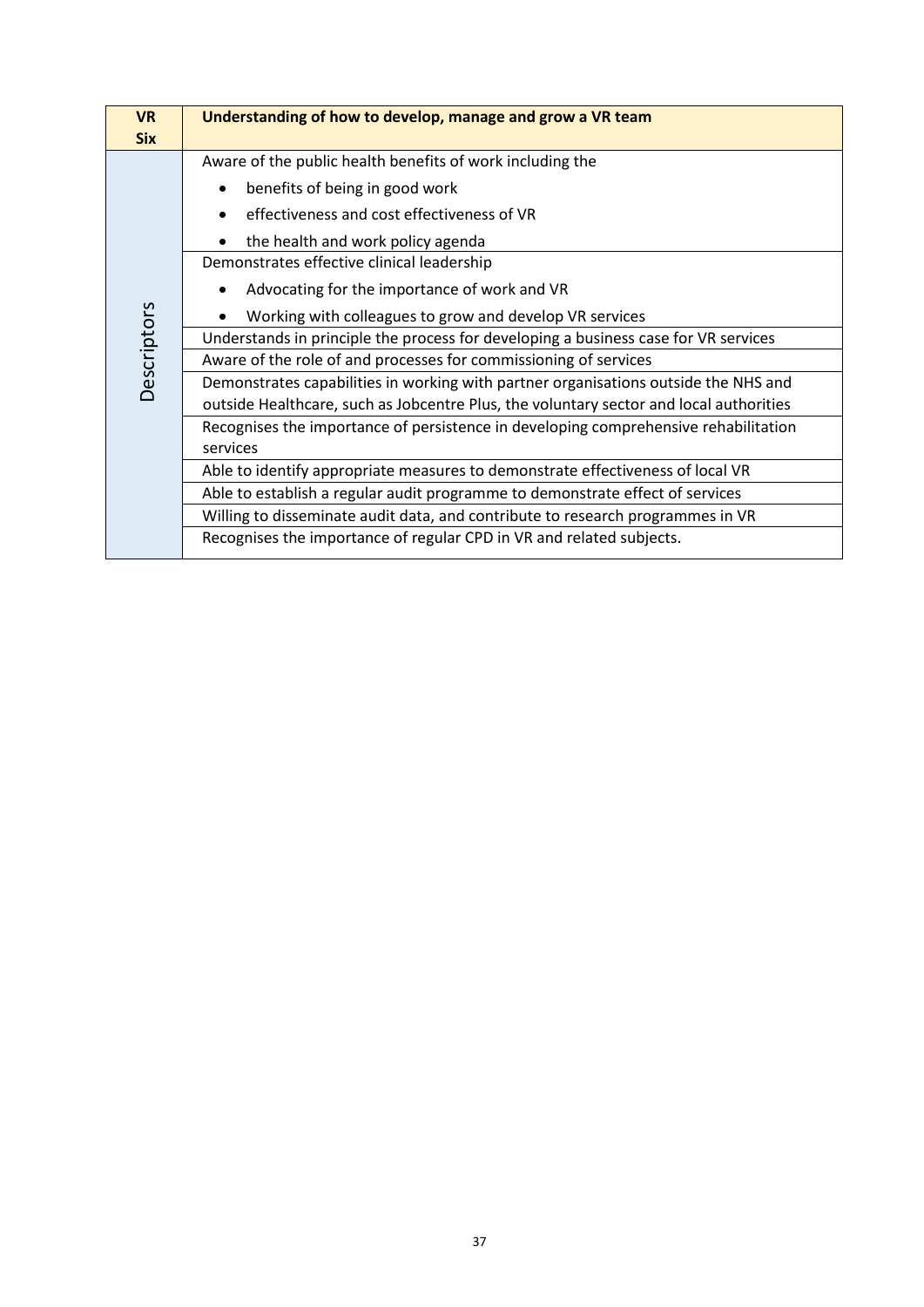| <b>VR</b><br><b>Six</b> | Understanding of how to develop, manage and grow a VR team                             |
|-------------------------|----------------------------------------------------------------------------------------|
|                         | Aware of the public health benefits of work including the                              |
|                         | benefits of being in good work                                                         |
|                         | effectiveness and cost effectiveness of VR                                             |
|                         | the health and work policy agenda                                                      |
|                         | Demonstrates effective clinical leadership                                             |
|                         | Advocating for the importance of work and VR                                           |
| Descriptors             | Working with colleagues to grow and develop VR services                                |
|                         | Understands in principle the process for developing a business case for VR services    |
|                         | Aware of the role of and processes for commissioning of services                       |
|                         | Demonstrates capabilities in working with partner organisations outside the NHS and    |
|                         | outside Healthcare, such as Jobcentre Plus, the voluntary sector and local authorities |
|                         | Recognises the importance of persistence in developing comprehensive rehabilitation    |
|                         | services                                                                               |
|                         | Able to identify appropriate measures to demonstrate effectiveness of local VR         |
|                         | Able to establish a regular audit programme to demonstrate effect of services          |
|                         | Willing to disseminate audit data, and contribute to research programmes in VR         |
|                         | Recognises the importance of regular CPD in VR and related subjects.                   |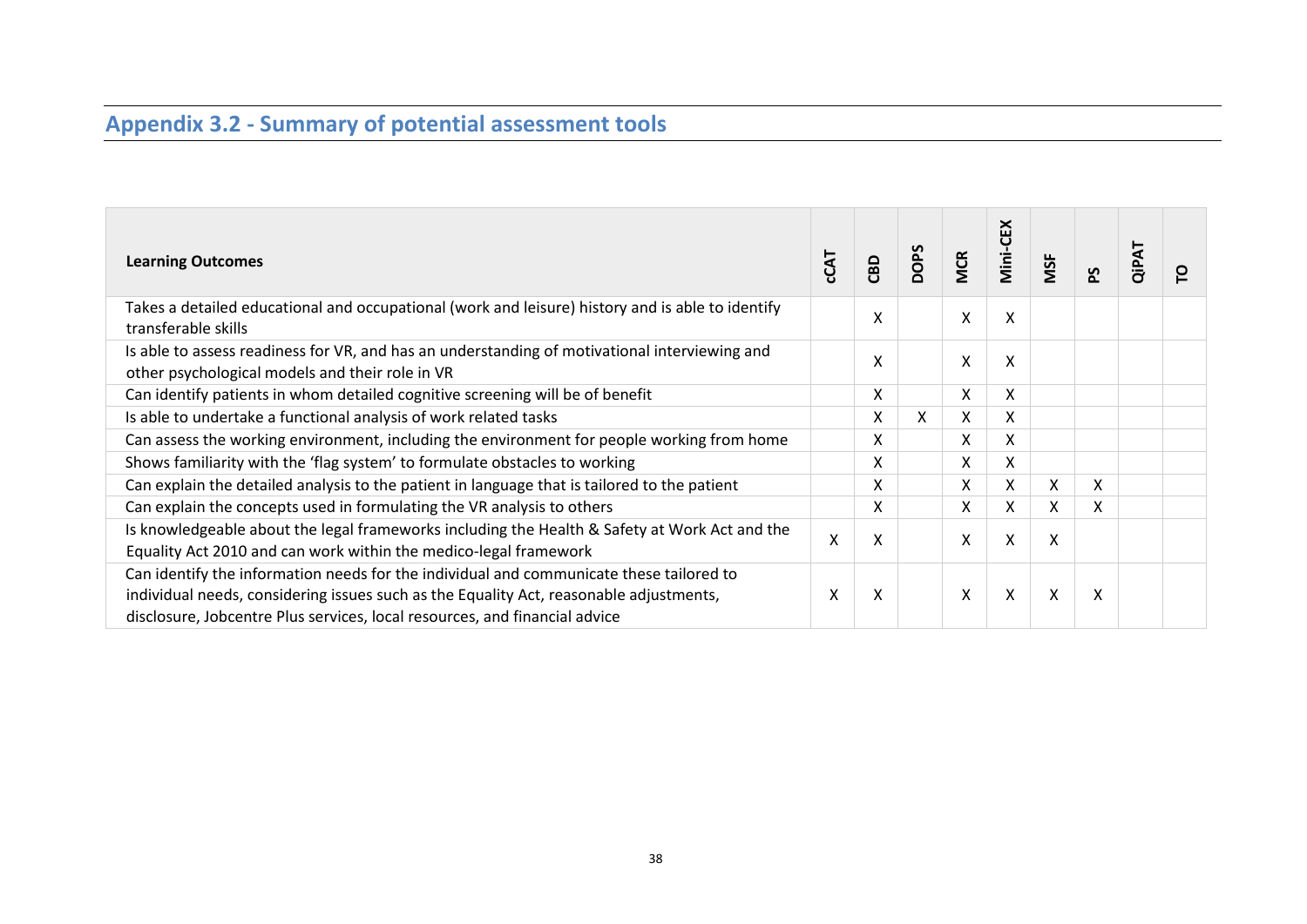# **Appendix 3.2 - Summary of potential assessment tools**

| <b>Learning Outcomes</b>                                                                                                                                                                                                                                        | <b>CCAT</b> | CBD | <b>DOPS</b> | <b>MCR</b> | Mini-CEX | MSF | <u>ა</u> | QiPAT | ဥ |
|-----------------------------------------------------------------------------------------------------------------------------------------------------------------------------------------------------------------------------------------------------------------|-------------|-----|-------------|------------|----------|-----|----------|-------|---|
| Takes a detailed educational and occupational (work and leisure) history and is able to identify<br>transferable skills                                                                                                                                         |             | X   |             | X          | X        |     |          |       |   |
| Is able to assess readiness for VR, and has an understanding of motivational interviewing and<br>other psychological models and their role in VR                                                                                                                |             | X   |             | Χ          | X        |     |          |       |   |
| Can identify patients in whom detailed cognitive screening will be of benefit                                                                                                                                                                                   |             | X   |             | X          | X        |     |          |       |   |
| Is able to undertake a functional analysis of work related tasks                                                                                                                                                                                                |             | X   | X           | X          | X        |     |          |       |   |
| Can assess the working environment, including the environment for people working from home                                                                                                                                                                      |             | X   |             | X          | X        |     |          |       |   |
| Shows familiarity with the 'flag system' to formulate obstacles to working                                                                                                                                                                                      |             | Χ   |             | Χ          | Χ        |     |          |       |   |
| Can explain the detailed analysis to the patient in language that is tailored to the patient                                                                                                                                                                    |             | Χ   |             | X          | X        | X   | X        |       |   |
| Can explain the concepts used in formulating the VR analysis to others                                                                                                                                                                                          |             | X   |             | X          | X        | X   | X        |       |   |
| Is knowledgeable about the legal frameworks including the Health & Safety at Work Act and the<br>Equality Act 2010 and can work within the medico-legal framework                                                                                               | Χ           | Χ   |             | X          | Χ        | Χ   |          |       |   |
| Can identify the information needs for the individual and communicate these tailored to<br>individual needs, considering issues such as the Equality Act, reasonable adjustments,<br>disclosure, Jobcentre Plus services, local resources, and financial advice | x           | X   |             | X          | Χ        | X   | X        |       |   |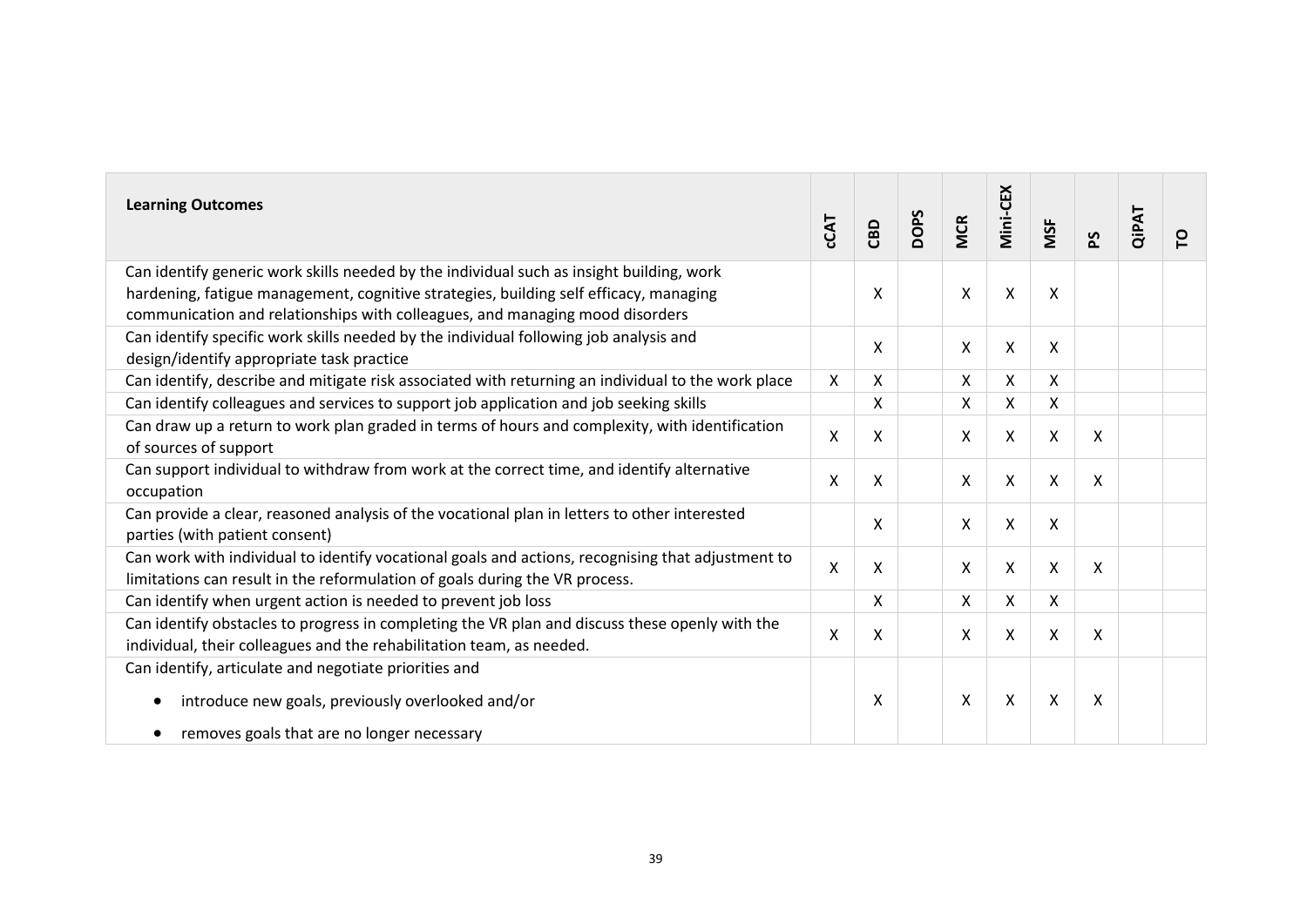| <b>Learning Outcomes</b>                                                                                                                                                                                                                                          | CCAT | CBD | <b>DOPS</b> | <b>MCR</b> | Viini-CEX          | MSF                       | ۵S | QiPAT | ဥ |
|-------------------------------------------------------------------------------------------------------------------------------------------------------------------------------------------------------------------------------------------------------------------|------|-----|-------------|------------|--------------------|---------------------------|----|-------|---|
| Can identify generic work skills needed by the individual such as insight building, work<br>hardening, fatigue management, cognitive strategies, building self efficacy, managing<br>communication and relationships with colleagues, and managing mood disorders |      | Χ   |             | X          | X                  | X                         |    |       |   |
| Can identify specific work skills needed by the individual following job analysis and<br>design/identify appropriate task practice                                                                                                                                |      | X   |             | X          | X                  | X                         |    |       |   |
| Can identify, describe and mitigate risk associated with returning an individual to the work place                                                                                                                                                                | X    | Χ   |             | X          | X                  | X                         |    |       |   |
| Can identify colleagues and services to support job application and job seeking skills                                                                                                                                                                            |      | Χ   |             | X          | X                  | X                         |    |       |   |
| Can draw up a return to work plan graded in terms of hours and complexity, with identification<br>of sources of support                                                                                                                                           | X    | X   |             | X          | X                  | $\mathsf{X}$              | X  |       |   |
| Can support individual to withdraw from work at the correct time, and identify alternative<br>occupation                                                                                                                                                          | X    | Χ   |             | X          | $\pmb{\mathsf{X}}$ | $\boldsymbol{\mathsf{X}}$ | X  |       |   |
| Can provide a clear, reasoned analysis of the vocational plan in letters to other interested<br>parties (with patient consent)                                                                                                                                    |      | X   |             | X          | X                  | X                         |    |       |   |
| Can work with individual to identify vocational goals and actions, recognising that adjustment to<br>limitations can result in the reformulation of goals during the VR process.                                                                                  | X    | X   |             | X          | X                  | $\boldsymbol{\mathsf{X}}$ | X  |       |   |
| Can identify when urgent action is needed to prevent job loss                                                                                                                                                                                                     |      | X   |             | X          | X                  | X                         |    |       |   |
| Can identify obstacles to progress in completing the VR plan and discuss these openly with the<br>individual, their colleagues and the rehabilitation team, as needed.                                                                                            | X    | X   |             | X          | X                  | X                         | X  |       |   |
| Can identify, articulate and negotiate priorities and<br>introduce new goals, previously overlooked and/or                                                                                                                                                        |      | X   |             | X          | X                  | X                         | X  |       |   |
| removes goals that are no longer necessary                                                                                                                                                                                                                        |      |     |             |            |                    |                           |    |       |   |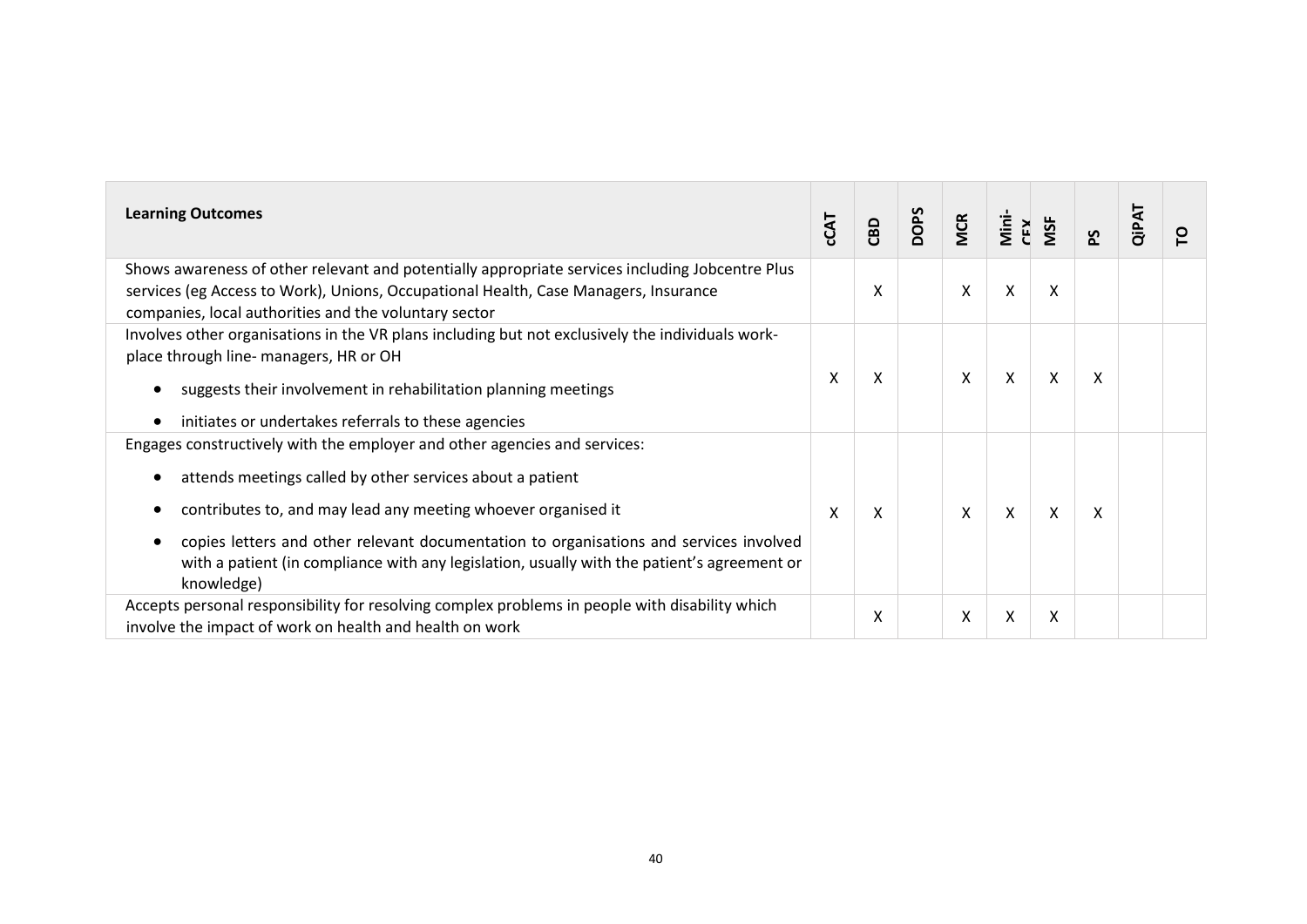| <b>Learning Outcomes</b>                                                                                                                                                                                                                                                                                                                                                                                       | CCAT | CBD | <b>DOPS</b> | <b>MCR</b> | Mini-<br>CEX | MSF | Σq | <b>QiPAT</b> | ဥ |
|----------------------------------------------------------------------------------------------------------------------------------------------------------------------------------------------------------------------------------------------------------------------------------------------------------------------------------------------------------------------------------------------------------------|------|-----|-------------|------------|--------------|-----|----|--------------|---|
| Shows awareness of other relevant and potentially appropriate services including Jobcentre Plus<br>services (eg Access to Work), Unions, Occupational Health, Case Managers, Insurance<br>companies, local authorities and the voluntary sector                                                                                                                                                                |      | Χ   |             | X          | X            | X   |    |              |   |
| Involves other organisations in the VR plans including but not exclusively the individuals work-<br>place through line- managers, HR or OH<br>suggests their involvement in rehabilitation planning meetings<br>initiates or undertakes referrals to these agencies                                                                                                                                            | X    | X   |             | X          | X            | X   | X  |              |   |
| Engages constructively with the employer and other agencies and services:<br>attends meetings called by other services about a patient<br>contributes to, and may lead any meeting whoever organised it<br>copies letters and other relevant documentation to organisations and services involved<br>with a patient (in compliance with any legislation, usually with the patient's agreement or<br>knowledge) | X    | X   |             | X          | X            | X   | X  |              |   |
| Accepts personal responsibility for resolving complex problems in people with disability which<br>involve the impact of work on health and health on work                                                                                                                                                                                                                                                      |      | Χ   |             | X          | X            | X   |    |              |   |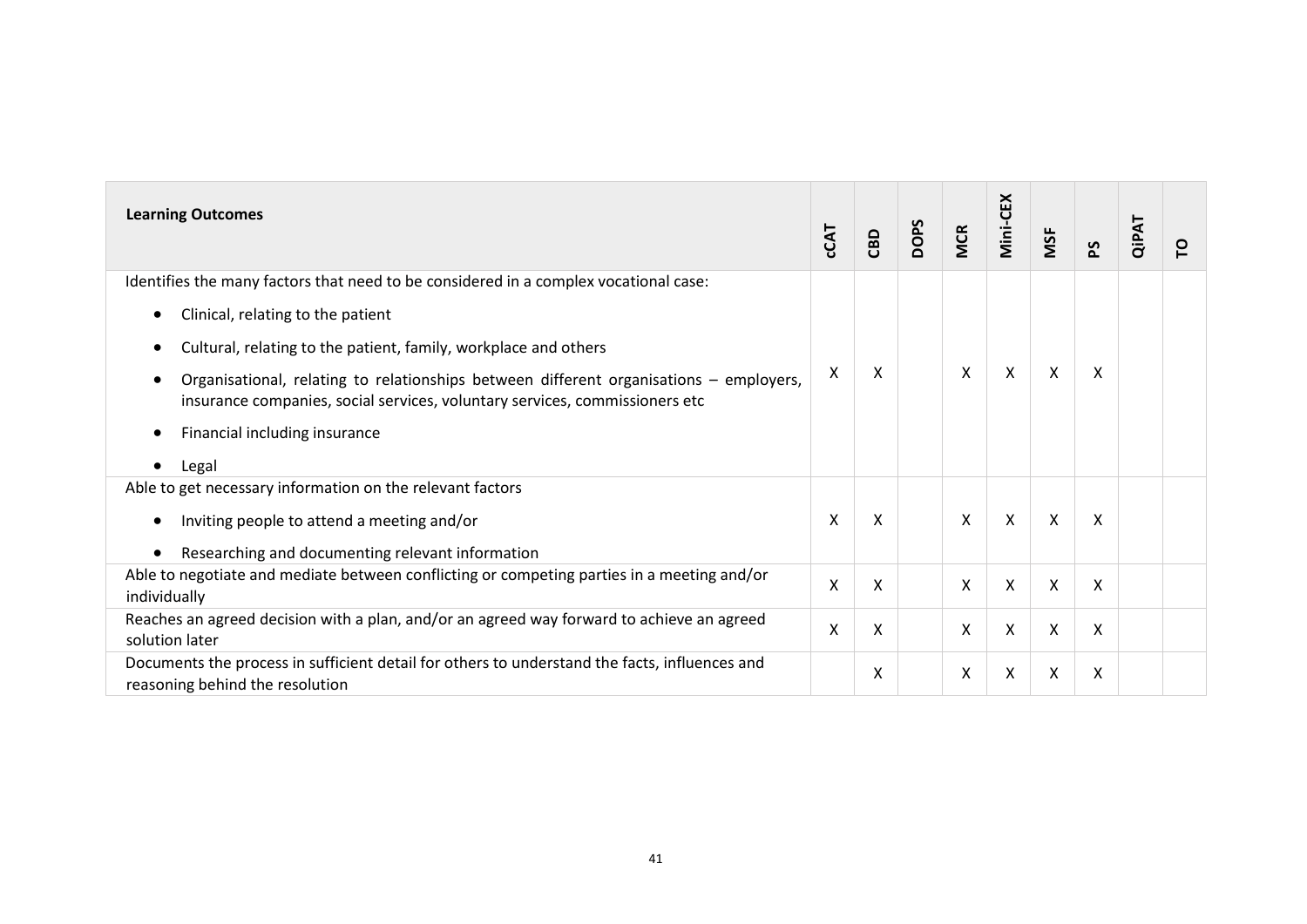| <b>Learning Outcomes</b>                                                                                                                                              | CCAT | CBD | DOPS | <b>MCR</b> | Mini-CEX | MSF                       | $\Sigma$ | QiPAT | ဥ |
|-----------------------------------------------------------------------------------------------------------------------------------------------------------------------|------|-----|------|------------|----------|---------------------------|----------|-------|---|
| Identifies the many factors that need to be considered in a complex vocational case:                                                                                  |      |     |      |            |          |                           |          |       |   |
| Clinical, relating to the patient                                                                                                                                     |      |     |      |            |          |                           |          |       |   |
| Cultural, relating to the patient, family, workplace and others                                                                                                       |      |     |      |            |          |                           |          |       |   |
| Organisational, relating to relationships between different organisations – employers,<br>insurance companies, social services, voluntary services, commissioners etc | X    | Χ   |      | X          | X        | Χ                         | X        |       |   |
| Financial including insurance                                                                                                                                         |      |     |      |            |          |                           |          |       |   |
| Legal                                                                                                                                                                 |      |     |      |            |          |                           |          |       |   |
| Able to get necessary information on the relevant factors                                                                                                             |      |     |      |            |          |                           |          |       |   |
| Inviting people to attend a meeting and/or                                                                                                                            | X    | Χ   |      | X          | X        | $\boldsymbol{\mathsf{X}}$ | X        |       |   |
| Researching and documenting relevant information                                                                                                                      |      |     |      |            |          |                           |          |       |   |
| Able to negotiate and mediate between conflicting or competing parties in a meeting and/or<br>individually                                                            | X    | X   |      | X          | X        | X                         | X        |       |   |
| Reaches an agreed decision with a plan, and/or an agreed way forward to achieve an agreed<br>solution later                                                           | X    | X   |      | X          | X        | X                         | X        |       |   |
| Documents the process in sufficient detail for others to understand the facts, influences and<br>reasoning behind the resolution                                      |      | X   |      | X          | X        | x                         | X        |       |   |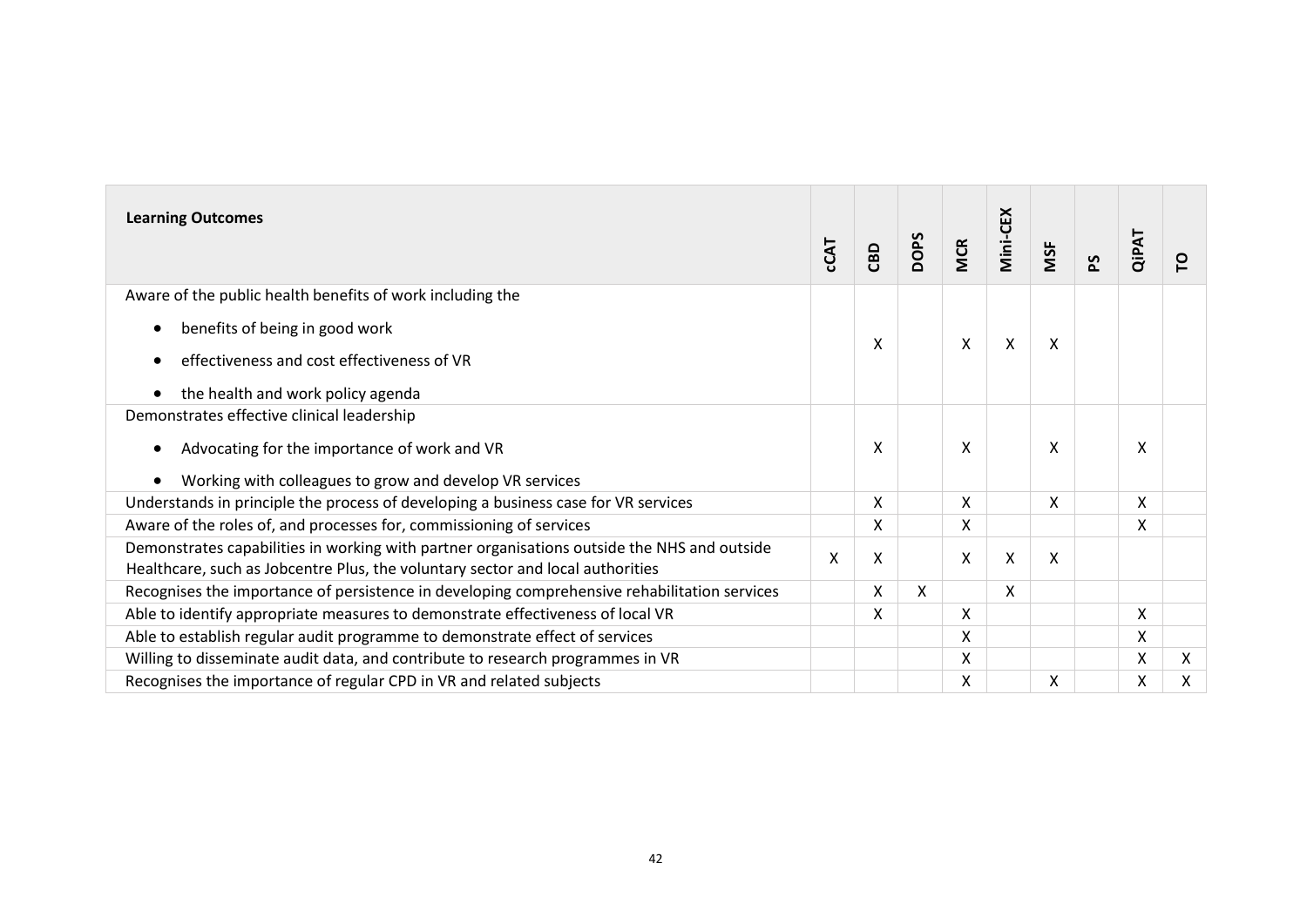| <b>Learning Outcomes</b>                                                                                                                                                      | <b>CCAT</b> | CBD | <b>DOPS</b> | <b>MCR</b>   | Mini-CEX           | MSF | <b>Sd</b> | <b>QiPAT</b> | P |
|-------------------------------------------------------------------------------------------------------------------------------------------------------------------------------|-------------|-----|-------------|--------------|--------------------|-----|-----------|--------------|---|
| Aware of the public health benefits of work including the                                                                                                                     |             |     |             |              |                    |     |           |              |   |
| benefits of being in good work                                                                                                                                                |             | Χ   |             | X            | $\pmb{\mathsf{X}}$ | X   |           |              |   |
| effectiveness and cost effectiveness of VR                                                                                                                                    |             |     |             |              |                    |     |           |              |   |
| the health and work policy agenda                                                                                                                                             |             |     |             |              |                    |     |           |              |   |
| Demonstrates effective clinical leadership                                                                                                                                    |             |     |             |              |                    |     |           |              |   |
| Advocating for the importance of work and VR                                                                                                                                  |             | x   |             | X            |                    | X   |           | X            |   |
| Working with colleagues to grow and develop VR services                                                                                                                       |             |     |             |              |                    |     |           |              |   |
| Understands in principle the process of developing a business case for VR services                                                                                            |             | X   |             | X            |                    | X   |           | X            |   |
| Aware of the roles of, and processes for, commissioning of services                                                                                                           |             | X   |             | X            |                    |     |           | X            |   |
| Demonstrates capabilities in working with partner organisations outside the NHS and outside<br>Healthcare, such as Jobcentre Plus, the voluntary sector and local authorities | $\sf X$     | Χ   |             | $\mathsf{X}$ | $\pmb{\mathsf{X}}$ | X   |           |              |   |
| Recognises the importance of persistence in developing comprehensive rehabilitation services                                                                                  |             | X   | X           |              | X                  |     |           |              |   |
| Able to identify appropriate measures to demonstrate effectiveness of local VR                                                                                                |             | X   |             | X            |                    |     |           | X            |   |
| Able to establish regular audit programme to demonstrate effect of services                                                                                                   |             |     |             | X            |                    |     |           | X            |   |
| Willing to disseminate audit data, and contribute to research programmes in VR                                                                                                |             |     |             | X            |                    |     |           | X            | X |
| Recognises the importance of regular CPD in VR and related subjects                                                                                                           |             |     |             | Χ            |                    | X   |           | Χ            | Χ |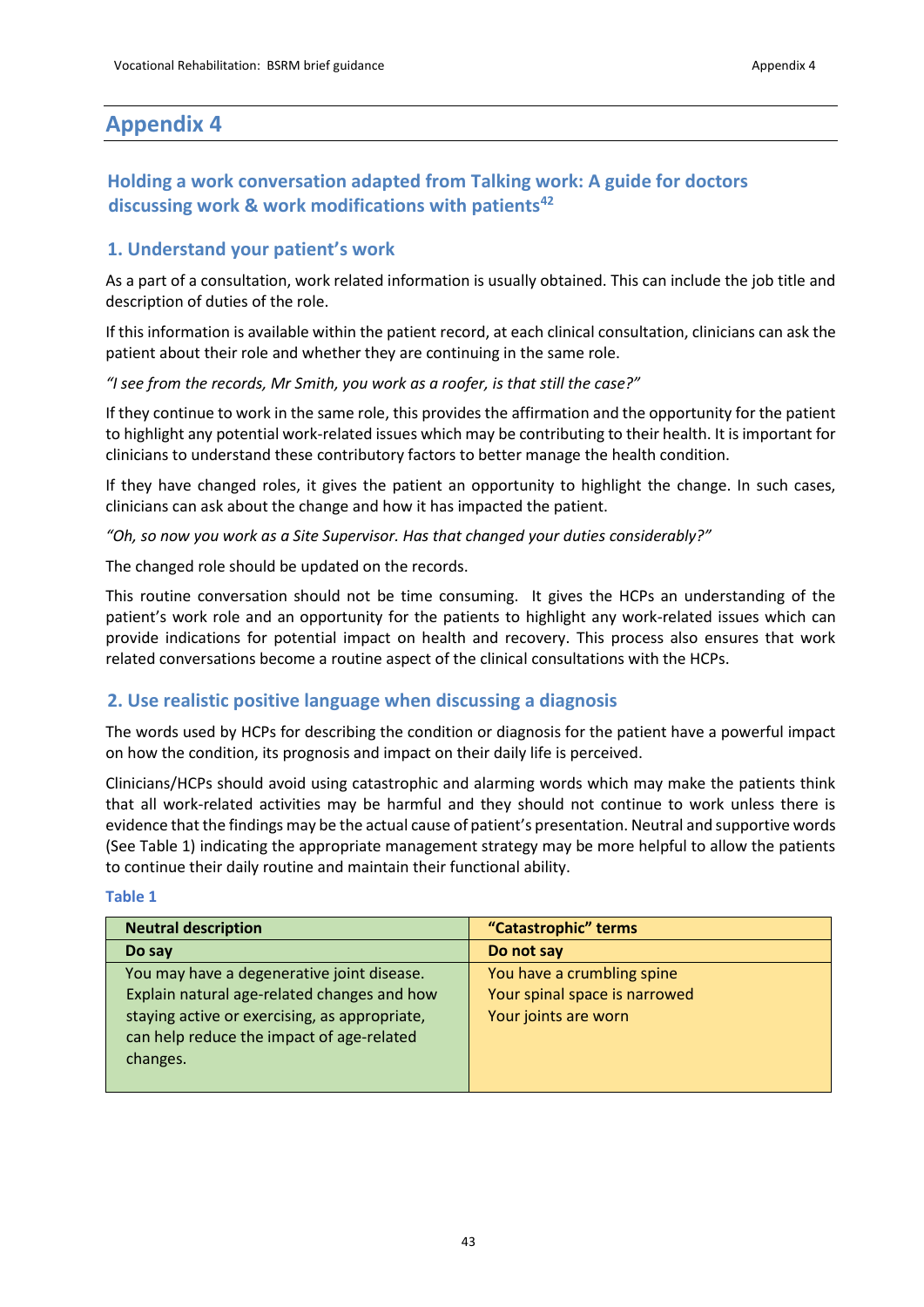# **Appendix 4**

#### **Holding a work conversation adapted from Talking work: A guide for doctors discussing work & work modifications with patients<sup>42</sup>**

#### **1. Understand your patient's work**

As a part of a consultation, work related information is usually obtained. This can include the job title and description of duties of the role.

If this information is available within the patient record, at each clinical consultation, clinicians can ask the patient about their role and whether they are continuing in the same role.

*"I see from the records, Mr Smith, you work as a roofer, is that still the case?"*

If they continue to work in the same role, this provides the affirmation and the opportunity for the patient to highlight any potential work-related issues which may be contributing to their health. It is important for clinicians to understand these contributory factors to better manage the health condition.

If they have changed roles, it gives the patient an opportunity to highlight the change. In such cases, clinicians can ask about the change and how it has impacted the patient.

*"Oh, so now you work as a Site Supervisor. Has that changed your duties considerably?"* 

The changed role should be updated on the records.

This routine conversation should not be time consuming. It gives the HCPs an understanding of the patient's work role and an opportunity for the patients to highlight any work-related issues which can provide indications for potential impact on health and recovery. This process also ensures that work related conversations become a routine aspect of the clinical consultations with the HCPs.

#### **2. Use realistic positive language when discussing a diagnosis**

The words used by HCPs for describing the condition or diagnosis for the patient have a powerful impact on how the condition, its prognosis and impact on their daily life is perceived.

Clinicians/HCPs should avoid using catastrophic and alarming words which may make the patients think that all work-related activities may be harmful and they should not continue to work unless there is evidence that the findings may be the actual cause of patient's presentation. Neutral and supportive words (See Table 1) indicating the appropriate management strategy may be more helpful to allow the patients to continue their daily routine and maintain their functional ability.

#### <span id="page-42-0"></span>**Table 1**

| <b>Neutral description</b>                    | "Catastrophic" terms          |
|-----------------------------------------------|-------------------------------|
| Do say                                        | Do not say                    |
| You may have a degenerative joint disease.    | You have a crumbling spine    |
| Explain natural age-related changes and how   | Your spinal space is narrowed |
| staying active or exercising, as appropriate, | Your joints are worn          |
| can help reduce the impact of age-related     |                               |
| changes.                                      |                               |
|                                               |                               |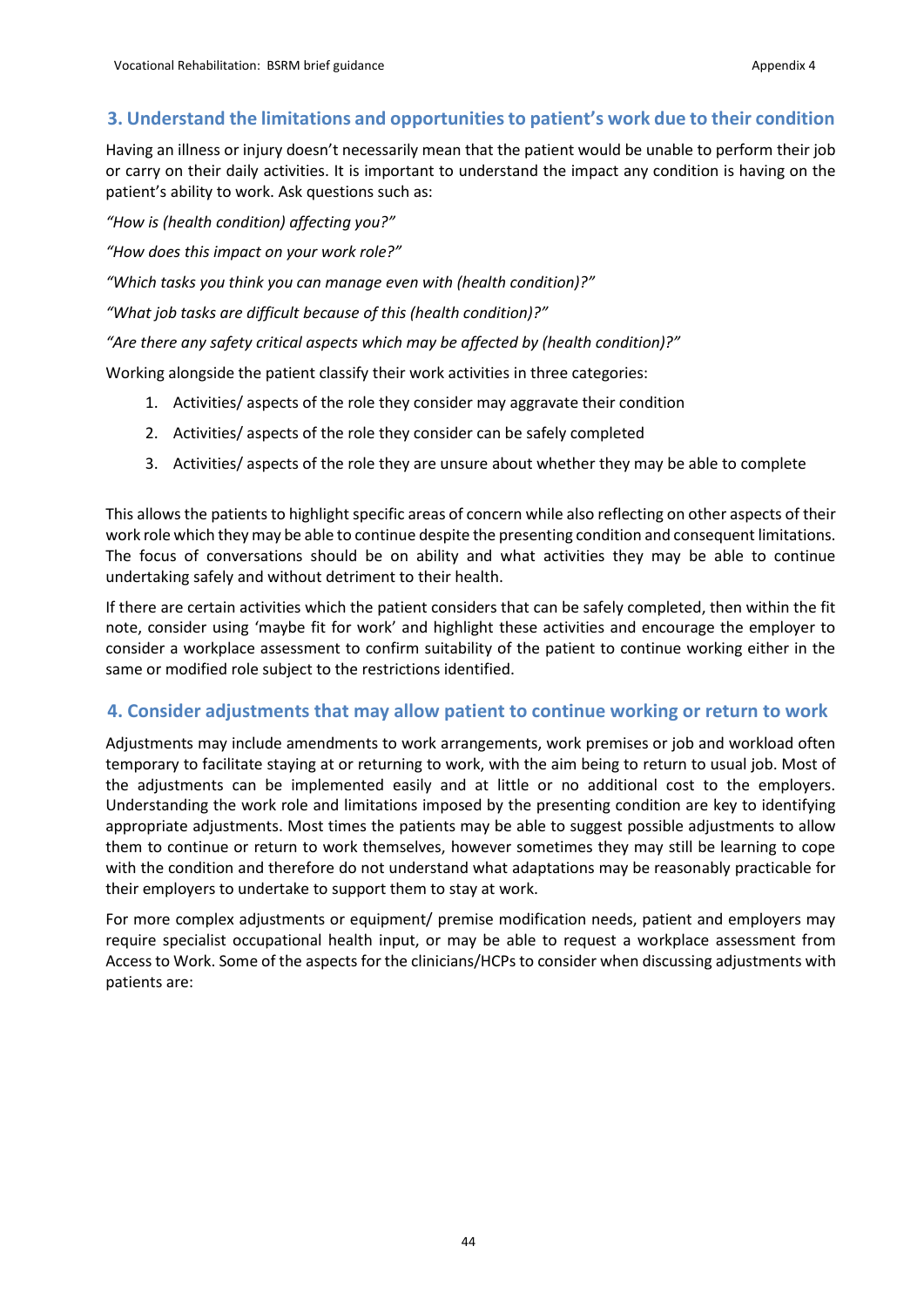#### **3. Understand the limitations and opportunities to patient's work due to their condition**

Having an illness or injury doesn't necessarily mean that the patient would be unable to perform their job or carry on their daily activities. It is important to understand the impact any condition is having on the patient's ability to work. Ask questions such as:

*"How is (health condition) affecting you?"*

*"How does this impact on your work role?"*

*"Which tasks you think you can manage even with (health condition)?"*

*"What job tasks are difficult because of this (health condition)?"*

*"Are there any safety critical aspects which may be affected by (health condition)?"*

Working alongside the patient classify their work activities in three categories:

- 1. Activities/ aspects of the role they consider may aggravate their condition
- 2. Activities/ aspects of the role they consider can be safely completed
- 3. Activities/ aspects of the role they are unsure about whether they may be able to complete

This allows the patients to highlight specific areas of concern while also reflecting on other aspects of their work role which they may be able to continue despite the presenting condition and consequent limitations. The focus of conversations should be on ability and what activities they may be able to continue undertaking safely and without detriment to their health.

If there are certain activities which the patient considers that can be safely completed, then within the fit note, consider using 'maybe fit for work' and highlight these activities and encourage the employer to consider a workplace assessment to confirm suitability of the patient to continue working either in the same or modified role subject to the restrictions identified.

#### **4. Consider adjustments that may allow patient to continue working or return to work**

Adjustments may include amendments to work arrangements, work premises or job and workload often temporary to facilitate staying at or returning to work, with the aim being to return to usual job. Most of the adjustments can be implemented easily and at little or no additional cost to the employers. Understanding the work role and limitations imposed by the presenting condition are key to identifying appropriate adjustments. Most times the patients may be able to suggest possible adjustments to allow them to continue or return to work themselves, however sometimes they may still be learning to cope with the condition and therefore do not understand what adaptations may be reasonably practicable for their employers to undertake to support them to stay at work.

For more complex adjustments or equipment/ premise modification needs, patient and employers may require specialist occupational health input, or may be able to request a workplace assessment from Access to Work. Some of the aspects for the clinicians/HCPs to consider when discussing adjustments with patients are: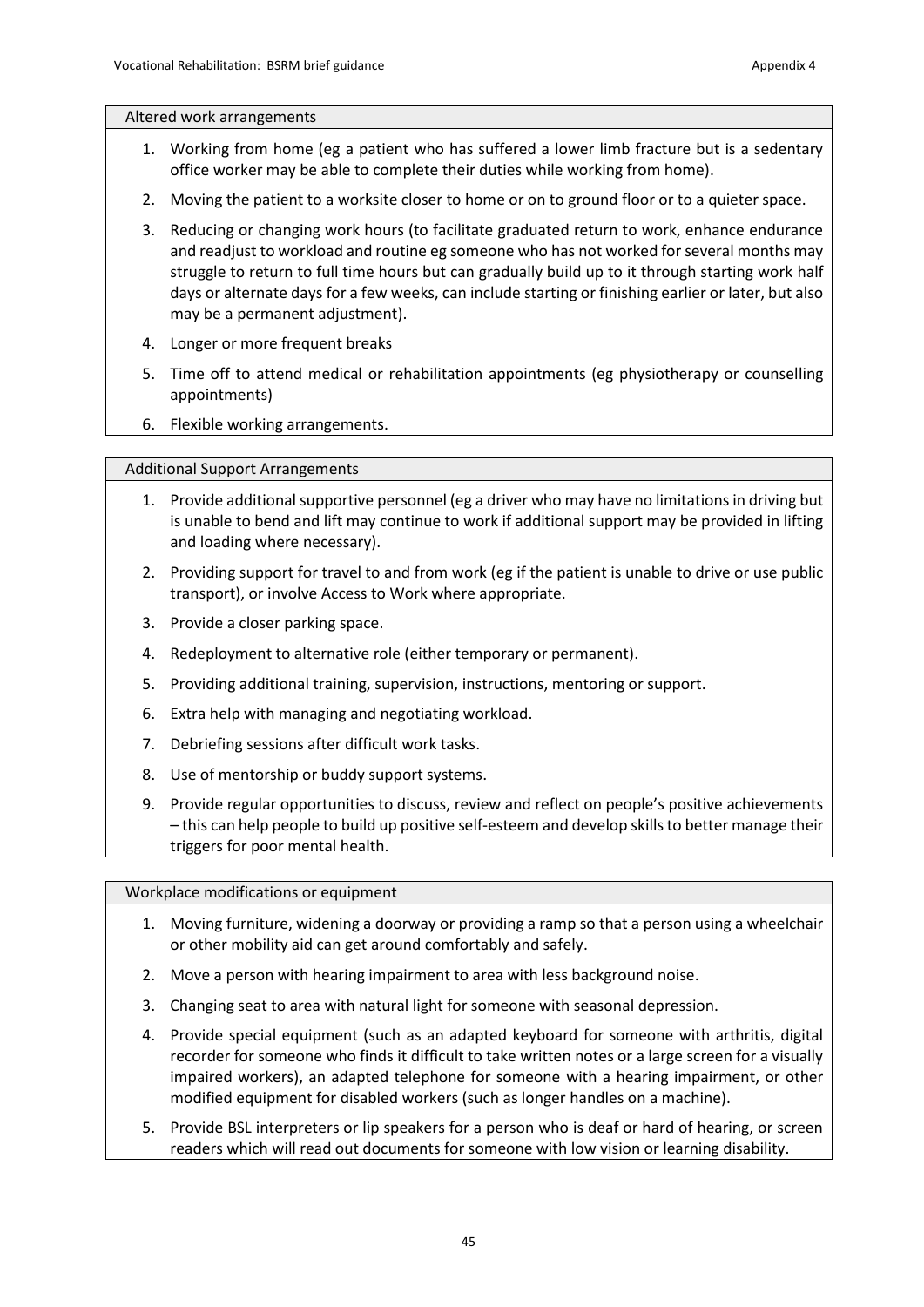#### Altered work arrangements

- 1. Working from home (eg a patient who has suffered a lower limb fracture but is a sedentary office worker may be able to complete their duties while working from home).
- 2. Moving the patient to a worksite closer to home or on to ground floor or to a quieter space.
- 3. Reducing or changing work hours (to facilitate graduated return to work, enhance endurance and readjust to workload and routine eg someone who has not worked for several months may struggle to return to full time hours but can gradually build up to it through starting work half days or alternate days for a few weeks, can include starting or finishing earlier or later, but also may be a permanent adjustment).
- 4. Longer or more frequent breaks
- 5. Time off to attend medical or rehabilitation appointments (eg physiotherapy or counselling appointments)
- 6. Flexible working arrangements.

#### Additional Support Arrangements

- 1. Provide additional supportive personnel (eg a driver who may have no limitations in driving but is unable to bend and lift may continue to work if additional support may be provided in lifting and loading where necessary).
- 2. Providing support for travel to and from work (eg if the patient is unable to drive or use public transport), or involve Access to Work where appropriate.
- 3. Provide a closer parking space.
- 4. Redeployment to alternative role (either temporary or permanent).
- 5. Providing additional training, supervision, instructions, mentoring or support.
- 6. Extra help with managing and negotiating workload.
- 7. Debriefing sessions after difficult work tasks.
- 8. Use of mentorship or buddy support systems.
- 9. Provide regular opportunities to discuss, review and reflect on people's positive achievements – this can help people to build up positive self-esteem and develop skills to better manage their triggers for poor mental health.

Workplace modifications or equipment

- 1. Moving furniture, widening a doorway or providing a ramp so that a person using a wheelchair or other mobility aid can get around comfortably and safely.
- 2. Move a person with hearing impairment to area with less background noise.
- 3. Changing seat to area with natural light for someone with seasonal depression.
- 4. Provide special equipment (such as an adapted keyboard for someone with arthritis, digital recorder for someone who finds it difficult to take written notes or a large screen for a visually impaired workers), an adapted telephone for someone with a hearing impairment, or other modified equipment for disabled workers (such as longer handles on a machine).
- 5. Provide BSL interpreters or lip speakers for a person who is deaf or hard of hearing, or screen readers which will read out documents for someone with low vision or learning disability.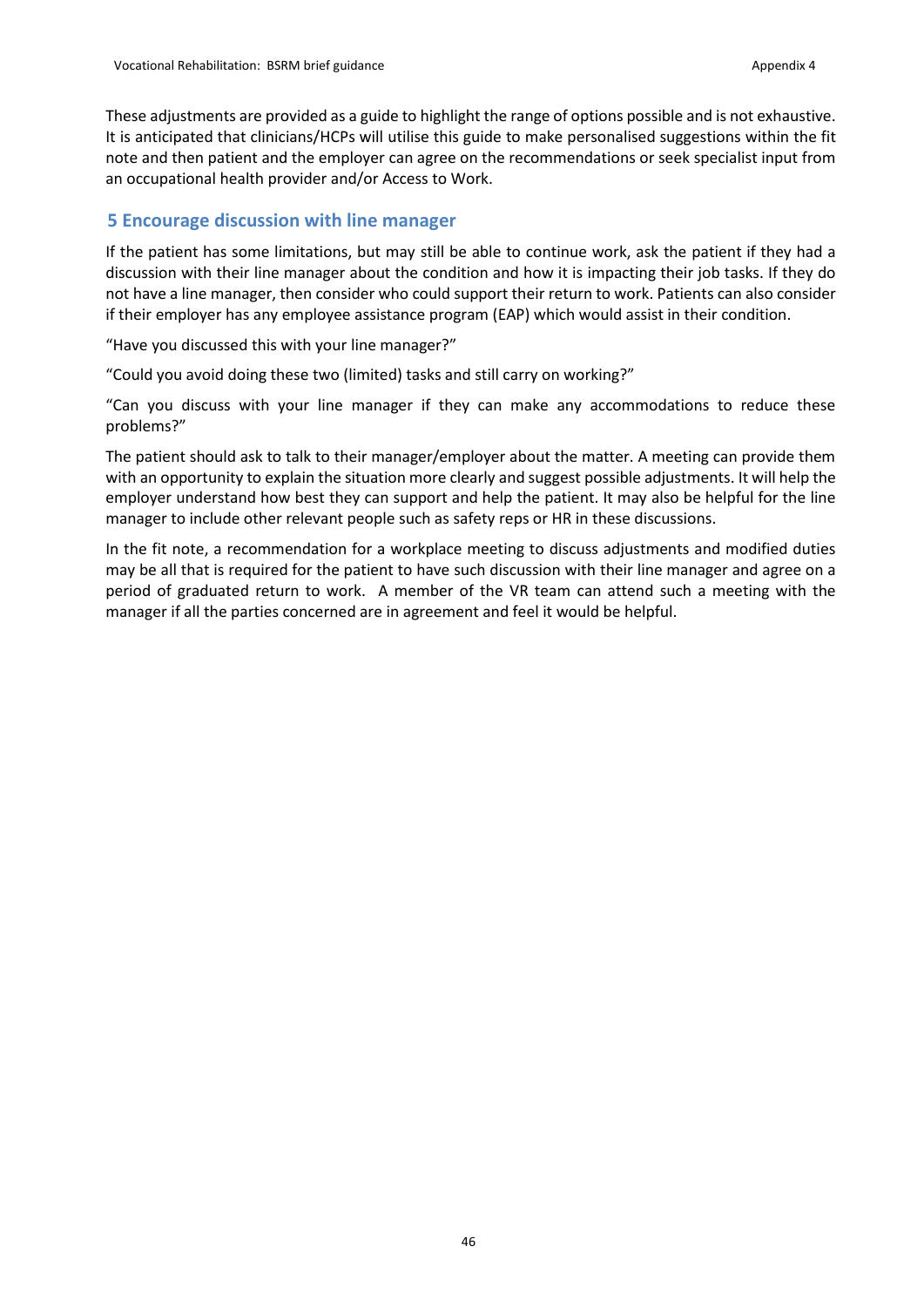These adjustments are provided as a guide to highlight the range of options possible and is not exhaustive. It is anticipated that clinicians/HCPs will utilise this guide to make personalised suggestions within the fit note and then patient and the employer can agree on the recommendations or seek specialist input from an occupational health provider and/or Access to Work.

#### **5 Encourage discussion with line manager**

If the patient has some limitations, but may still be able to continue work, ask the patient if they had a discussion with their line manager about the condition and how it is impacting their job tasks. If they do not have a line manager, then consider who could support their return to work. Patients can also consider if their employer has any employee assistance program (EAP) which would assist in their condition.

"Have you discussed this with your line manager?"

"Could you avoid doing these two (limited) tasks and still carry on working?"

"Can you discuss with your line manager if they can make any accommodations to reduce these problems?"

The patient should ask to talk to their manager/employer about the matter. A meeting can provide them with an opportunity to explain the situation more clearly and suggest possible adjustments. It will help the employer understand how best they can support and help the patient. It may also be helpful for the line manager to include other relevant people such as safety reps or HR in these discussions.

In the fit note, a recommendation for a workplace meeting to discuss adjustments and modified duties may be all that is required for the patient to have such discussion with their line manager and agree on a period of graduated return to work. A member of the VR team can attend such a meeting with the manager if all the parties concerned are in agreement and feel it would be helpful.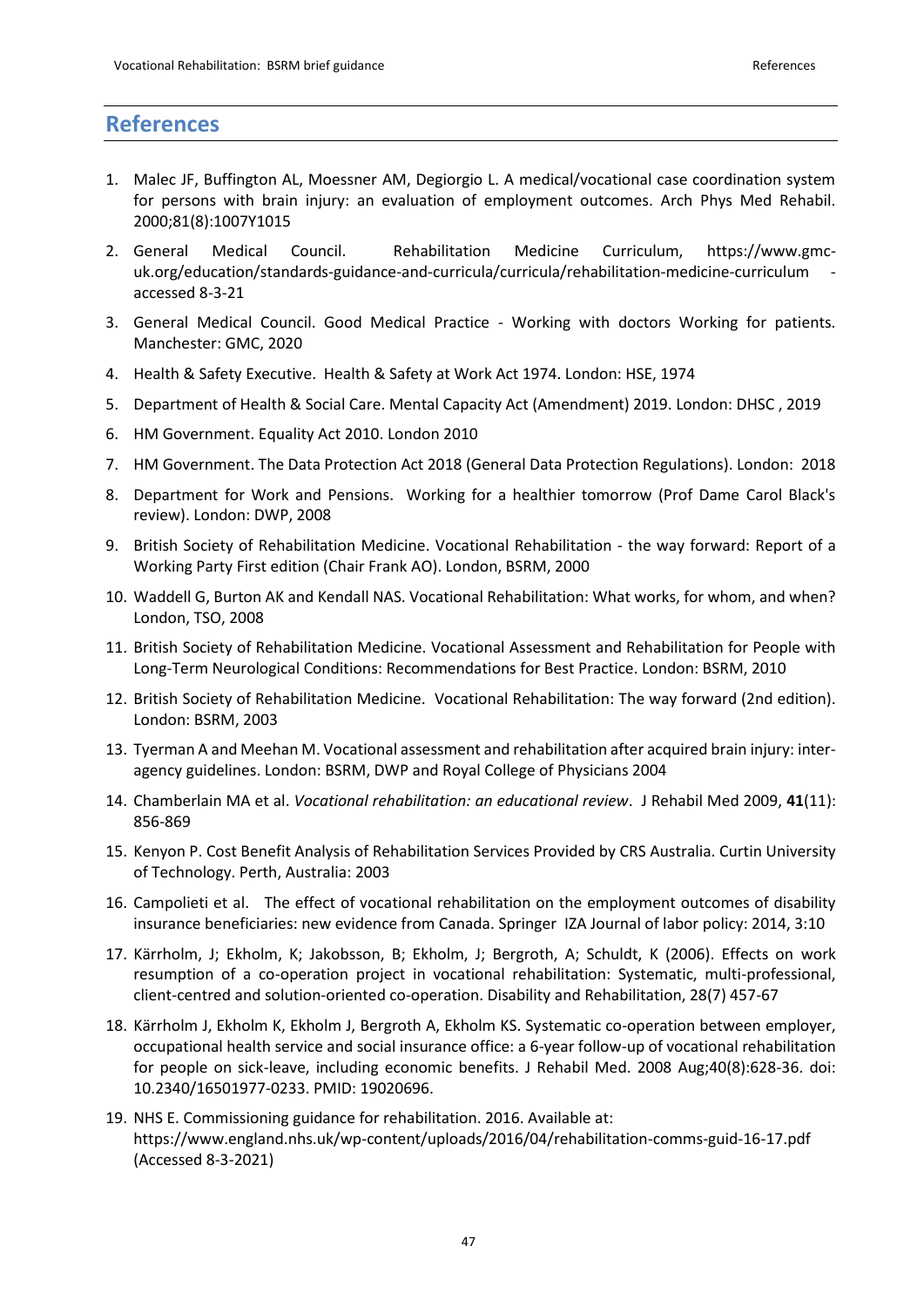### **References**

- 1. Malec JF, Buffington AL, Moessner AM, Degiorgio L. A medical/vocational case coordination system for persons with brain injury: an evaluation of employment outcomes. Arch Phys Med Rehabil. 2000;81(8):1007Y1015
- 2. General Medical Council. Rehabilitation Medicine Curriculum, https://www.gmcuk.org/education/standards-guidance-and-curricula/curricula/rehabilitation-medicine-curriculum accessed 8-3-21
- 3. General Medical Council. Good Medical Practice Working with doctors Working for patients. Manchester: GMC, 2020
- 4. Health & Safety Executive. Health & Safety at Work Act 1974. London: HSE, 1974
- 5. Department of Health & Social Care. Mental Capacity Act (Amendment) 2019. London: DHSC , 2019
- 6. HM Government. Equality Act 2010. London 2010
- 7. HM Government. The Data Protection Act 2018 (General Data Protection Regulations). London: 2018
- 8. Department for Work and Pensions. Working for a healthier tomorrow (Prof Dame Carol Black's review). London: DWP, 2008
- 9. British Society of Rehabilitation Medicine. Vocational Rehabilitation the way forward: Report of a Working Party First edition (Chair Frank AO). London, BSRM, 2000
- 10. Waddell G, Burton AK and Kendall NAS. Vocational Rehabilitation: What works, for whom, and when? London, TSO, 2008
- 11. British Society of Rehabilitation Medicine. Vocational Assessment and Rehabilitation for People with Long-Term Neurological Conditions: Recommendations for Best Practice. London: BSRM, 2010
- 12. British Society of Rehabilitation Medicine. Vocational Rehabilitation: The way forward (2nd edition). London: BSRM, 2003
- 13. Tyerman A and Meehan M. Vocational assessment and rehabilitation after acquired brain injury: interagency guidelines. London: BSRM, DWP and Royal College of Physicians 2004
- 14. Chamberlain MA et al. *Vocational rehabilitation: an educational review*. J Rehabil Med 2009, **41**(11): 856-869
- 15. Kenyon P. Cost Benefit Analysis of Rehabilitation Services Provided by CRS Australia. Curtin University of Technology. Perth, Australia: 2003
- 16. Campolieti et al. The effect of vocational rehabilitation on the employment outcomes of disability insurance beneficiaries: new evidence from Canada. Springer IZA Journal of labor policy: 2014, 3:10
- 17. Kärrholm, J; Ekholm, K; Jakobsson, B; Ekholm, J; Bergroth, A; Schuldt, K (2006). Effects on work resumption of a co-operation project in vocational rehabilitation: Systematic, multi-professional, client-centred and solution-oriented co-operation. Disability and Rehabilitation, 28(7) 457-67
- 18. Kärrholm J, Ekholm K, Ekholm J, Bergroth A, Ekholm KS. Systematic co-operation between employer, occupational health service and social insurance office: a 6-year follow-up of vocational rehabilitation for people on sick-leave, including economic benefits. J Rehabil Med. 2008 Aug;40(8):628-36. doi: 10.2340/16501977-0233. PMID: 19020696.
- 19. [NHS E. Commissioning guidance for rehabilitation. 2016. Available at:](https://www.england.nhs.uk/wp-content/uploads/2016/04/rehabilitation-comms-guid-16-17.pdf)  <https://www.england.nhs.uk/wp-content/uploads/2016/04/rehabilitation-comms-guid-16-17.pdf> [\(Accessed 8-3-2021\)](https://www.england.nhs.uk/wp-content/uploads/2016/04/rehabilitation-comms-guid-16-17.pdf)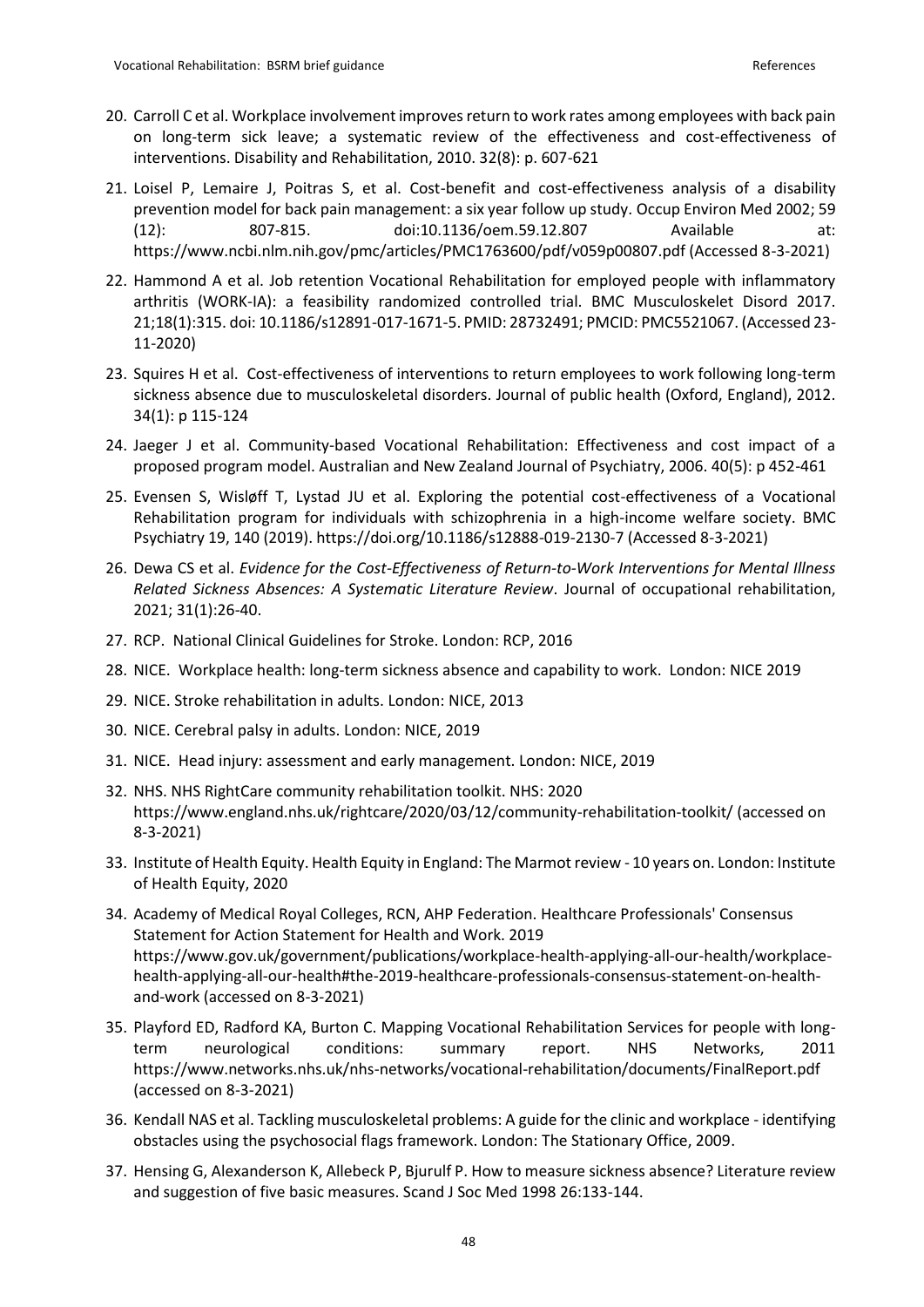- 20. Carroll C et al. Workplace involvement improves return to work rates among employees with back pain on long-term sick leave; a systematic review of the effectiveness and cost-effectiveness of interventions. Disability and Rehabilitation, 2010. 32(8): p. 607-621
- 21. [Loisel P, Lemaire J, Poitras S, et al. Cost-benefit and cost-effectiveness analysis of a disability](https://www.ncbi.nlm.nih.gov/pmc/articles/PMC1763600/pdf/v059p00807.pdf)  [prevention model for back pain management: a six year follow up study.](https://www.ncbi.nlm.nih.gov/pmc/articles/PMC1763600/pdf/v059p00807.pdf) Occup Environ Med 2002; 59 [\(12\): 807-815. doi:10.1136/oem.59.12.807 Available at:](https://www.ncbi.nlm.nih.gov/pmc/articles/PMC1763600/pdf/v059p00807.pdf)  [https://www.ncbi.nlm.nih.gov/pmc/articles/PMC1763600/pdf/v059p00807.pdf \(Accessed 8-3-2021\)](https://www.ncbi.nlm.nih.gov/pmc/articles/PMC1763600/pdf/v059p00807.pdf)
- 22. Hammond A et al. Job retention Vocational Rehabilitation for employed people with inflammatory arthritis (WORK-IA): a feasibility randomized controlled trial. BMC Musculoskelet Disord 2017. 21;18(1):315. doi: 10.1186/s12891-017-1671-5. PMID: 28732491; PMCID: PMC5521067. (Accessed 23- 11-2020)
- 23. Squires H et al. Cost-effectiveness of interventions to return employees to work following long-term sickness absence due to musculoskeletal disorders. Journal of public health (Oxford, England), 2012. 34(1): p 115-124
- 24. Jaeger J et al. Community-based Vocational Rehabilitation: Effectiveness and cost impact of a proposed program model. Australian and New Zealand Journal of Psychiatry, 2006. 40(5): p 452-461
- 25. [Evensen S, Wisløff T, Lystad JU et al. Exploring the potential cost-effectiveness of a Vocational](https://doi.org/10.1186/s12888-019-2130-7)  [Rehabilitation program for individuals with schizophrenia in a high-income welfare society. BMC](https://doi.org/10.1186/s12888-019-2130-7)  [Psychiatry 19, 140 \(2019\). https://doi.org/10.1186/s12888-019-2130-7 \(Accessed 8-3-2021\)](https://doi.org/10.1186/s12888-019-2130-7)
- 26. Dewa CS et al. *Evidence for the Cost-Effectiveness of Return-to-Work Interventions for Mental Illness Related Sickness Absences: A Systematic Literature Review*. Journal of occupational rehabilitation, 2021; 31(1):26-40.
- 27. RCP. National Clinical Guidelines for Stroke. London: RCP, 2016
- 28. NICE. Workplace health: long-term sickness absence and capability to work. London: NICE 2019
- 29. NICE. Stroke rehabilitation in adults. London: NICE, 2013
- 30. NICE. Cerebral palsy in adults. London: NICE, 2019
- 31. NICE. Head injury: assessment and early management. London: NICE, 2019
- 32. NHS. NHS RightCare community rehabilitation toolkit. NHS: 2020 https://www.england.nhs.uk/rightcare/2020/03/12/community-rehabilitation-toolkit/ (accessed on 8-3-2021)
- 33. Institute of Health Equity. Health Equity in England: The Marmot review 10 years on. London: Institute of Health Equity, 2020
- 34. Academy of Medical Royal Colleges, RCN, AHP Federation. Healthcare Professionals' Consensus Statement for Action Statement for Health and Work. 2019 https://www.gov.uk/government/publications/workplace-health-applying-all-our-health/workplacehealth-applying-all-our-health#the-2019-healthcare-professionals-consensus-statement-on-healthand-work (accessed on 8-3-2021)
- 35. Playford ED, Radford KA, Burton C. Mapping Vocational Rehabilitation Services for people with longterm neurological conditions: summary report. NHS Networks, 2011 https://www.networks.nhs.uk/nhs-networks/vocational-rehabilitation/documents/FinalReport.pdf (accessed on 8-3-2021)
- 36. Kendall NAS et al. Tackling musculoskeletal problems: A guide for the clinic and workplace identifying obstacles using the psychosocial flags framework. London: The Stationary Office, 2009.
- 37. Hensing G, Alexanderson K, Allebeck P, Bjurulf P. How to measure sickness absence? Literature review and suggestion of five basic measures. Scand J Soc Med 1998 26:133-144.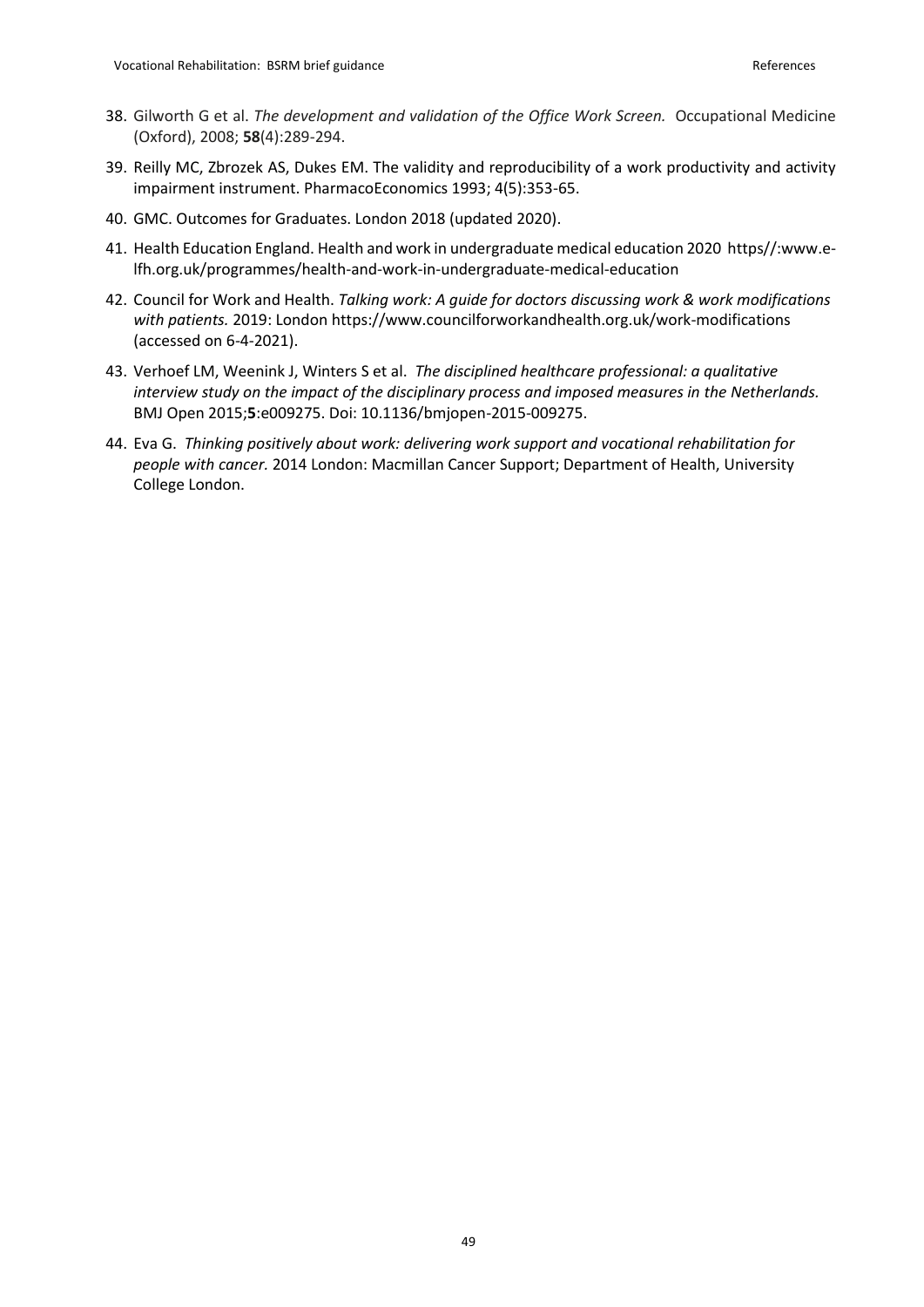- 38. Gilworth G et al. *The development and validation of the Office Work Screen.* Occupational Medicine (Oxford), 2008; **58**(4):289-294.
- 39. Reilly MC, Zbrozek AS, Dukes EM. The validity and reproducibility of a work productivity and activity impairment instrument. PharmacoEconomics 1993; 4(5):353-65.
- 40. GMC. Outcomes for Graduates. London 2018 (updated 2020).
- 41. Health Education England. Health and work in undergraduate medical education 2020 https//:www.elfh.org.uk/programmes/health-and-work-in-undergraduate-medical-education
- 42. Council for Work and Health. *Talking work: A guide for doctors discussing work & work modifications with patients.* 2019: London https://www.councilforworkandhealth.org.uk/work-modifications (accessed on 6-4-2021).
- 43. Verhoef LM, Weenink J, Winters S et al. *The disciplined healthcare professional: a qualitative interview study on the impact of the disciplinary process and imposed measures in the Netherlands.*  BMJ Open 2015;**5**:e009275. Doi: 10.1136/bmjopen-2015-009275.
- 44. Eva G. *Thinking positively about work: delivering work support and vocational rehabilitation for people with cancer.* 2014 London: Macmillan Cancer Support; Department of Health, University College London.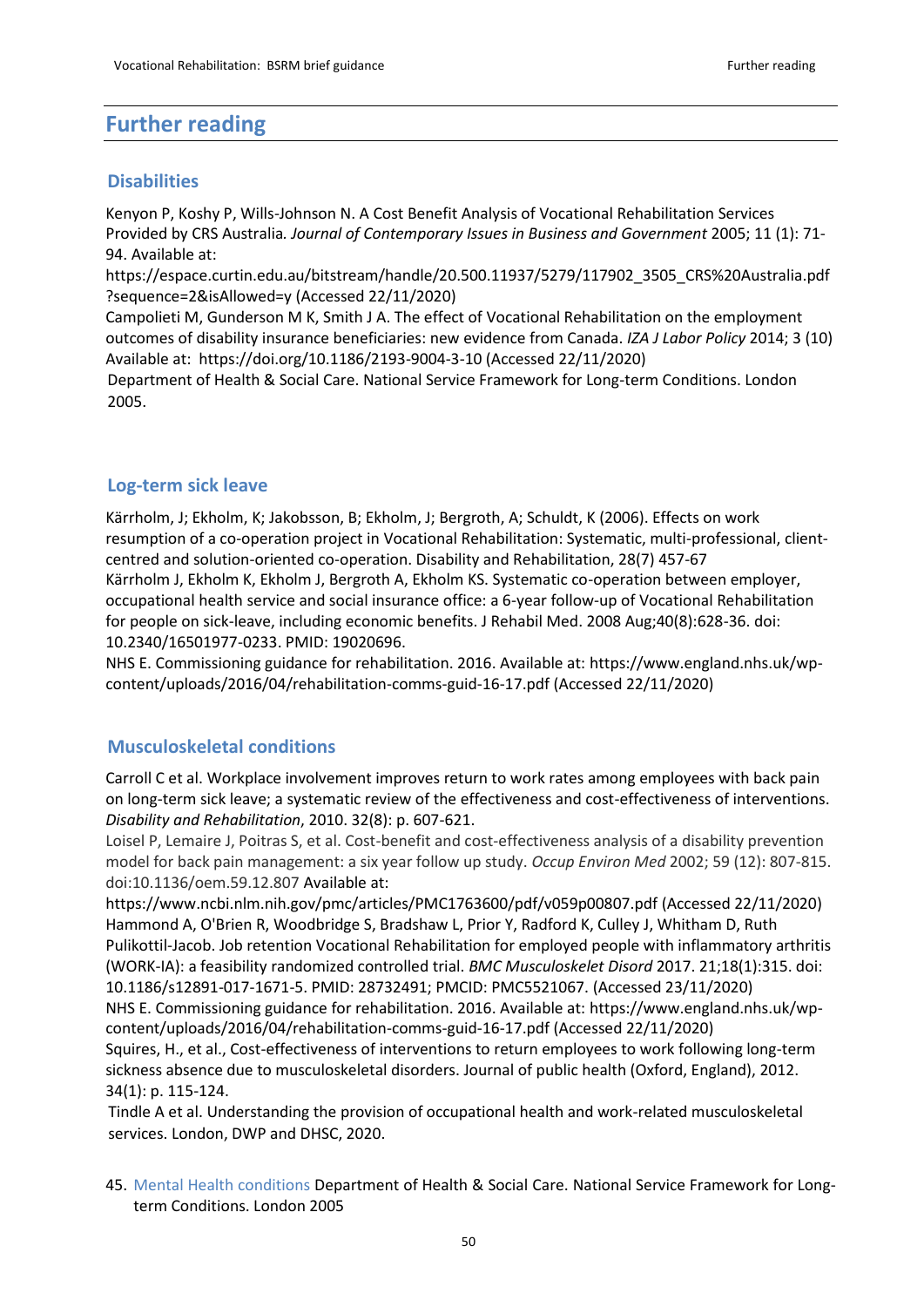### **Further reading**

#### **Disabilities**

Kenyon P, Koshy P, Wills-Johnson N. A Cost Benefit Analysis of Vocational Rehabilitation Services Provided by CRS Australia*. Journal of Contemporary Issues in Business and Government* 2005; 11 (1): 71- 94. Available at:

[https://espace.curtin.edu.au/bitstream/handle/20.500.11937/5279/117902\\_3505\\_CRS%20Australia.pdf](https://espace.curtin.edu.au/bitstream/handle/20.500.11937/5279/117902_3505_CRS%20Australia.pdf?sequence=2&isAllowed=y) [?sequence=2&isAllowed=y](https://espace.curtin.edu.au/bitstream/handle/20.500.11937/5279/117902_3505_CRS%20Australia.pdf?sequence=2&isAllowed=y) (Accessed 22/11/2020)

Campolieti M, Gunderson M K, Smith J A. The effect of Vocational Rehabilitation on the employment outcomes of disability insurance beneficiaries: new evidence from Canada. *IZA J Labor Policy* 2014; 3 (10) Available at: <https://doi.org/10.1186/2193-9004-3-10> (Accessed 22/11/2020)

Department of Health & Social Care. National Service Framework for Long-term Conditions. London 2005.

#### **Log-term sick leave**

Kärrholm, J; Ekholm, K; Jakobsson, B; Ekholm, J; Bergroth, A; Schuldt, K (2006). Effects on work resumption of a co-operation project in Vocational Rehabilitation: Systematic, multi-professional, clientcentred and solution-oriented co-operation. Disability and Rehabilitation, 28(7) 457-67 Kärrholm J, Ekholm K, Ekholm J, Bergroth A, Ekholm KS. Systematic co-operation between employer, occupational health service and social insurance office: a 6-year follow-up of Vocational Rehabilitation for people on sick-leave, including economic benefits. J Rehabil Med. 2008 Aug;40(8):628-36. doi: 10.2340/16501977-0233. PMID: 19020696.

NHS E. Commissioning guidance for rehabilitation. 2016. Available at: [https://www.england.nhs.uk/wp](https://www.england.nhs.uk/wp-content/uploads/2016/04/rehabilitation-comms-guid-16-17.pdf)[content/uploads/2016/04/rehabilitation-comms-guid-16-17.pdf](https://www.england.nhs.uk/wp-content/uploads/2016/04/rehabilitation-comms-guid-16-17.pdf) (Accessed 22/11/2020)

#### **Musculoskeletal conditions**

Carroll C et al. Workplace involvement improves return to work rates among employees with back pain on long-term sick leave; a systematic review of the effectiveness and cost-effectiveness of interventions. *Disability and Rehabilitation*, 2010. 32(8): p. 607-621.

Loisel P, Lemaire J, Poitras S, et al. Cost-benefit and cost-effectiveness analysis of a disability prevention model for back pain management: a six year follow up study. *Occup Environ Med* 2002; 59 (12): 807-815. doi:10.1136/oem.59.12.807 Available at:

<https://www.ncbi.nlm.nih.gov/pmc/articles/PMC1763600/pdf/v059p00807.pdf> (Accessed 22/11/2020) Hammond A, O'Brien R, Woodbridge S, Bradshaw L, Prior Y, Radford K, Culley J, Whitham D, Ruth Pulikottil-Jacob. Job retention Vocational Rehabilitation for employed people with inflammatory arthritis (WORK-IA): a feasibility randomized controlled trial. *BMC Musculoskelet Disord* 2017. 21;18(1):315. doi: 10.1186/s12891-017-1671-5. PMID: 28732491; PMCID: PMC5521067. (Accessed 23/11/2020) NHS E. Commissioning guidance for rehabilitation. 2016. Available at: [https://www.england.nhs.uk/wp](https://www.england.nhs.uk/wp-content/uploads/2016/04/rehabilitation-comms-guid-16-17.pdf)[content/uploads/2016/04/rehabilitation-comms-guid-16-17.pdf](https://www.england.nhs.uk/wp-content/uploads/2016/04/rehabilitation-comms-guid-16-17.pdf) (Accessed 22/11/2020) Squires, H., et al., Cost-effectiveness of interventions to return employees to work following long-term sickness absence due to musculoskeletal disorders. Journal of public health (Oxford, England), 2012. 34(1): p. 115-124.

Tindle A et al. Understanding the provision of occupational health and work-related musculoskeletal services. London, DWP and DHSC, 2020.

45. Mental Health conditions Department of Health & Social Care. National Service Framework for Longterm Conditions. London 2005